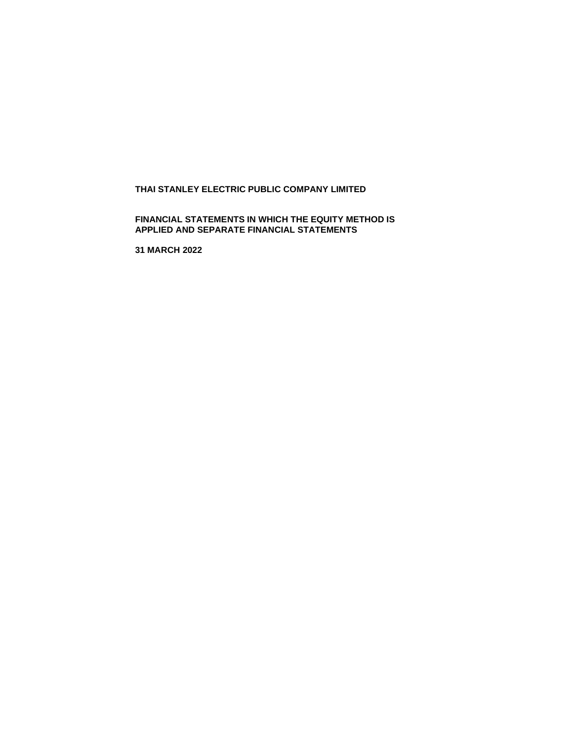# **THAI STANLEY ELECTRIC PUBLIC COMPANY LIMITED**

# **FINANCIAL STATEMENTS IN WHICH THE EQUITY METHOD IS APPLIED AND SEPARATE FINANCIAL STATEMENTS**

**31 MARCH 2022**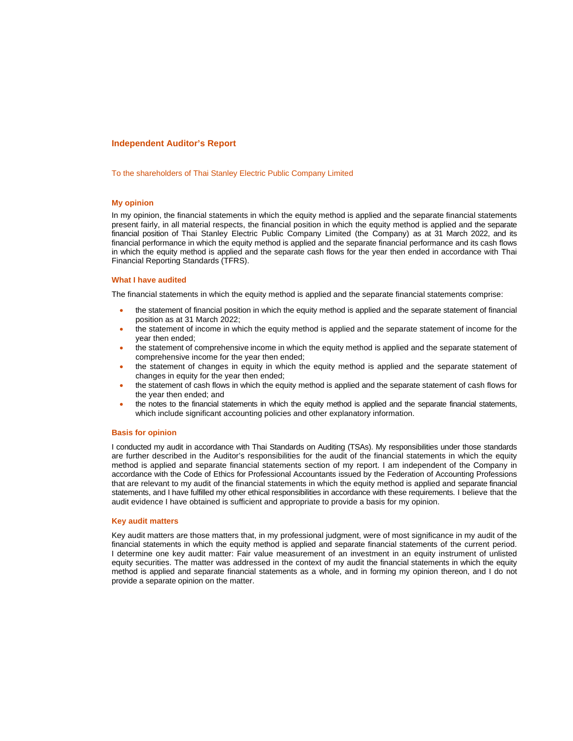#### **Independent Auditor's Report**

To the shareholders of Thai Stanley Electric Public Company Limited

#### **My opinion**

In my opinion, the financial statements in which the equity method is applied and the separate financial statements present fairly, in all material respects, the financial position in which the equity method is applied and the separate financial position of Thai Stanley Electric Public Company Limited (the Company) as at 31 March 2022, and its financial performance in which the equity method is applied and the separate financial performance and its cash flows in which the equity method is applied and the separate cash flows for the year then ended in accordance with Thai Financial Reporting Standards (TFRS).

#### **What I have audited**

The financial statements in which the equity method is applied and the separate financial statements comprise:

- the statement of financial position in which the equity method is applied and the separate statement of financial position as at 31 March 2022;
- the statement of income in which the equity method is applied and the separate statement of income for the year then ended;
- the statement of comprehensive income in which the equity method is applied and the separate statement of comprehensive income for the year then ended;
- the statement of changes in equity in which the equity method is applied and the separate statement of changes in equity for the year then ended;
- the statement of cash flows in which the equity method is applied and the separate statement of cash flows for the year then ended; and
- the notes to the financial statements in which the equity method is applied and the separate financial statements, which include significant accounting policies and other explanatory information.

#### **Basis for opinion**

I conducted my audit in accordance with Thai Standards on Auditing (TSAs). My responsibilities under those standards are further described in the Auditor's responsibilities for the audit of the financial statements in which the equity method is applied and separate financial statements section of my report. I am independent of the Company in accordance with the Code of Ethics for Professional Accountants issued by the Federation of Accounting Professions that are relevant to my audit of the financial statements in which the equity method is applied and separate financial statements, and I have fulfilled my other ethical responsibilities in accordance with these requirements. I believe that the audit evidence I have obtained is sufficient and appropriate to provide a basis for my opinion.

#### **Key audit matters**

Key audit matters are those matters that, in my professional judgment, were of most significance in my audit of the financial statements in which the equity method is applied and separate financial statements of the current period. I determine one key audit matter: Fair value measurement of an investment in an equity instrument of unlisted equity securities. The matter was addressed in the context of my audit the financial statements in which the equity method is applied and separate financial statements as a whole, and in forming my opinion thereon, and I do not provide a separate opinion on the matter.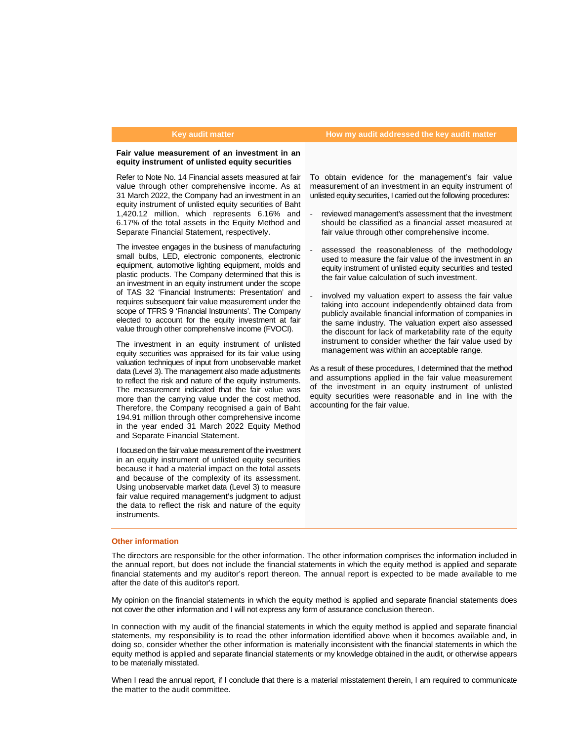#### **Key audit matter How my audit addressed the key audit matter**

### **Fair value measurement of an investment in an equity instrument of unlisted equity securities**

Refer to Note No. 14 Financial assets measured at fair value through other comprehensive income. As at 31 March 2022, the Company had an investment in an equity instrument of unlisted equity securities of Baht 1,420.12 million, which represents 6.16% and 6.17% of the total assets in the Equity Method and Separate Financial Statement, respectively.

The investee engages in the business of manufacturing small bulbs, LED, electronic components, electronic equipment, automotive lighting equipment, molds and plastic products. The Company determined that this is an investment in an equity instrument under the scope of TAS 32 'Financial Instruments: Presentation' and requires subsequent fair value measurement under the scope of TFRS 9 'Financial Instruments'. The Company elected to account for the equity investment at fair value through other comprehensive income (FVOCI).

The investment in an equity instrument of unlisted equity securities was appraised for its fair value using valuation techniques of input from unobservable market data (Level 3). The management also made adjustments to reflect the risk and nature of the equity instruments. The measurement indicated that the fair value was more than the carrying value under the cost method. Therefore, the Company recognised a gain of Baht 194.91 million through other comprehensive income in the year ended 31 March 2022 Equity Method and Separate Financial Statement.

I focused on the fair value measurement of the investment in an equity instrument of unlisted equity securities because it had a material impact on the total assets and because of the complexity of its assessment. Using unobservable market data (Level 3) to measure fair value required management's judgment to adjust the data to reflect the risk and nature of the equity instruments.

To obtain evidence for the management's fair value measurement of an investment in an equity instrument of unlisted equity securities, I carried out the following procedures:

- reviewed management's assessment that the investment should be classified as a financial asset measured at fair value through other comprehensive income.
- assessed the reasonableness of the methodology used to measure the fair value of the investment in an equity instrument of unlisted equity securities and tested the fair value calculation of such investment.
- involved my valuation expert to assess the fair value taking into account independently obtained data from publicly available financial information of companies in the same industry. The valuation expert also assessed the discount for lack of marketability rate of the equity instrument to consider whether the fair value used by management was within an acceptable range.

As a result of these procedures, I determined that the method and assumptions applied in the fair value measurement of the investment in an equity instrument of unlisted equity securities were reasonable and in line with the accounting for the fair value.

#### **Other information**

The directors are responsible for the other information. The other information comprises the information included in the annual report, but does not include the financial statements in which the equity method is applied and separate financial statements and my auditor's report thereon. The annual report is expected to be made available to me after the date of this auditor's report.

My opinion on the financial statements in which the equity method is applied and separate financial statements does not cover the other information and I will not express any form of assurance conclusion thereon.

In connection with my audit of the financial statements in which the equity method is applied and separate financial statements, my responsibility is to read the other information identified above when it becomes available and, in doing so, consider whether the other information is materially inconsistent with the financial statements in which the equity method is applied and separate financial statements or my knowledge obtained in the audit, or otherwise appears to be materially misstated.

When I read the annual report, if I conclude that there is a material misstatement therein, I am required to communicate the matter to the audit committee.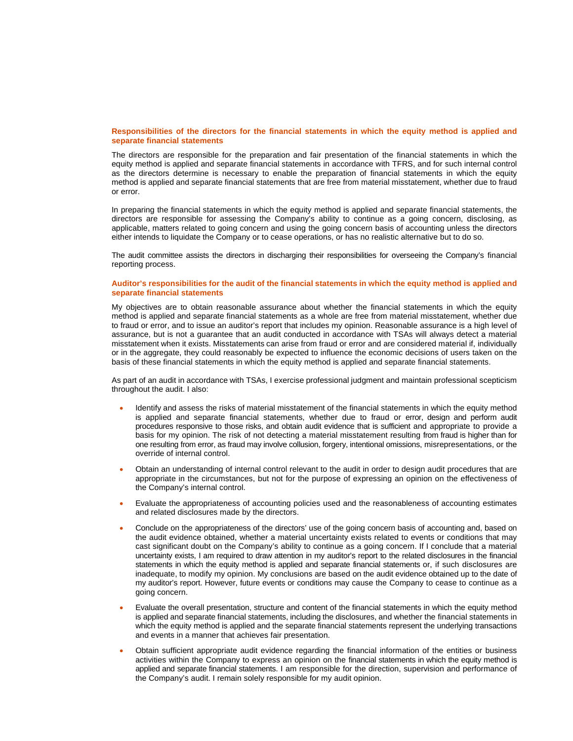#### **Responsibilities of the directors for the financial statements in which the equity method is applied and separate financial statements**

The directors are responsible for the preparation and fair presentation of the financial statements in which the equity method is applied and separate financial statements in accordance with TFRS, and for such internal control as the directors determine is necessary to enable the preparation of financial statements in which the equity method is applied and separate financial statements that are free from material misstatement, whether due to fraud or error.

In preparing the financial statements in which the equity method is applied and separate financial statements, the directors are responsible for assessing the Company's ability to continue as a going concern, disclosing, as applicable, matters related to going concern and using the going concern basis of accounting unless the directors either intends to liquidate the Company or to cease operations, or has no realistic alternative but to do so.

The audit committee assists the directors in discharging their responsibilities for overseeing the Company's financial reporting process.

#### **Auditor's responsibilities for the audit of the financial statements in which the equity method is applied and separate financial statements**

My objectives are to obtain reasonable assurance about whether the financial statements in which the equity method is applied and separate financial statements as a whole are free from material misstatement, whether due to fraud or error, and to issue an auditor's report that includes my opinion. Reasonable assurance is a high level of assurance, but is not a guarantee that an audit conducted in accordance with TSAs will always detect a material misstatement when it exists. Misstatements can arise from fraud or error and are considered material if, individually or in the aggregate, they could reasonably be expected to influence the economic decisions of users taken on the basis of these financial statements in which the equity method is applied and separate financial statements.

As part of an audit in accordance with TSAs, I exercise professional judgment and maintain professional scepticism throughout the audit. I also:

- Identify and assess the risks of material misstatement of the financial statements in which the equity method is applied and separate financial statements, whether due to fraud or error, design and perform audit procedures responsive to those risks, and obtain audit evidence that is sufficient and appropriate to provide a basis for my opinion. The risk of not detecting a material misstatement resulting from fraud is higher than for one resulting from error, as fraud may involve collusion, forgery, intentional omissions, misrepresentations, or the override of internal control.
- Obtain an understanding of internal control relevant to the audit in order to design audit procedures that are appropriate in the circumstances, but not for the purpose of expressing an opinion on the effectiveness of the Company's internal control.
- Evaluate the appropriateness of accounting policies used and the reasonableness of accounting estimates and related disclosures made by the directors.
- Conclude on the appropriateness of the directors' use of the going concern basis of accounting and, based on the audit evidence obtained, whether a material uncertainty exists related to events or conditions that may cast significant doubt on the Company's ability to continue as a going concern. If I conclude that a material uncertainty exists, I am required to draw attention in my auditor's report to the related disclosures in the financial statements in which the equity method is applied and separate financial statements or, if such disclosures are inadequate, to modify my opinion. My conclusions are based on the audit evidence obtained up to the date of my auditor's report. However, future events or conditions may cause the Company to cease to continue as a going concern.
- Evaluate the overall presentation, structure and content of the financial statements in which the equity method is applied and separate financial statements, including the disclosures, and whether the financial statements in which the equity method is applied and the separate financial statements represent the underlying transactions and events in a manner that achieves fair presentation.
- Obtain sufficient appropriate audit evidence regarding the financial information of the entities or business activities within the Company to express an opinion on the financial statements in which the equity method is applied and separate financial statements. I am responsible for the direction, supervision and performance of the Company's audit. I remain solely responsible for my audit opinion.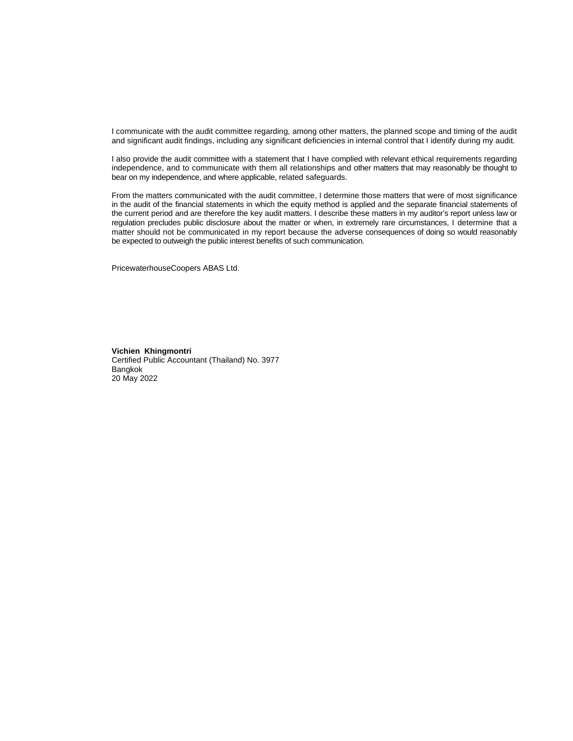I communicate with the audit committee regarding, among other matters, the planned scope and timing of the audit and significant audit findings, including any significant deficiencies in internal control that I identify during my audit.

I also provide the audit committee with a statement that I have complied with relevant ethical requirements regarding independence, and to communicate with them all relationships and other matters that may reasonably be thought to bear on my independence, and where applicable, related safeguards.

From the matters communicated with the audit committee, I determine those matters that were of most significance in the audit of the financial statements in which the equity method is applied and the separate financial statements of the current period and are therefore the key audit matters. I describe these matters in my auditor's report unless law or regulation precludes public disclosure about the matter or when, in extremely rare circumstances, I determine that a matter should not be communicated in my report because the adverse consequences of doing so would reasonably be expected to outweigh the public interest benefits of such communication.

PricewaterhouseCoopers ABAS Ltd.

**Vichien Khingmontri** Certified Public Accountant (Thailand) No. 3977 Bangkok 20 May 2022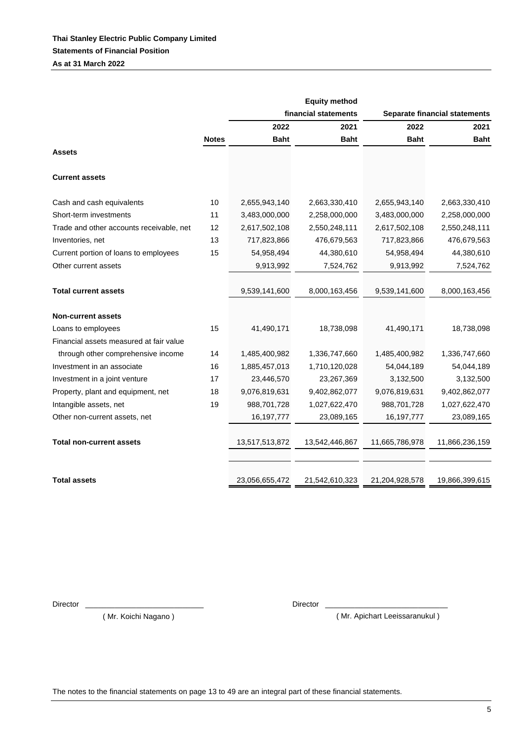|                                          |              |                | <b>Equity method</b> |                |                                      |
|------------------------------------------|--------------|----------------|----------------------|----------------|--------------------------------------|
|                                          |              |                | financial statements |                | <b>Separate financial statements</b> |
|                                          |              | 2022           | 2021                 | 2022           | 2021                                 |
|                                          | <b>Notes</b> | <b>Baht</b>    | <b>Baht</b>          | <b>Baht</b>    | <b>Baht</b>                          |
| <b>Assets</b>                            |              |                |                      |                |                                      |
| <b>Current assets</b>                    |              |                |                      |                |                                      |
| Cash and cash equivalents                | 10           | 2,655,943,140  | 2,663,330,410        | 2,655,943,140  | 2,663,330,410                        |
| Short-term investments                   | 11           | 3,483,000,000  | 2,258,000,000        | 3,483,000,000  | 2,258,000,000                        |
| Trade and other accounts receivable, net | 12           | 2,617,502,108  | 2,550,248,111        | 2,617,502,108  | 2,550,248,111                        |
| Inventories, net                         | 13           | 717,823,866    | 476,679,563          | 717,823,866    | 476,679,563                          |
| Current portion of loans to employees    | 15           | 54,958,494     | 44,380,610           | 54,958,494     | 44,380,610                           |
| Other current assets                     |              | 9,913,992      | 7,524,762            | 9,913,992      | 7,524,762                            |
|                                          |              |                |                      |                |                                      |
| <b>Total current assets</b>              |              | 9,539,141,600  | 8,000,163,456        | 9,539,141,600  | 8,000,163,456                        |
| <b>Non-current assets</b>                |              |                |                      |                |                                      |
| Loans to employees                       | 15           | 41,490,171     | 18,738,098           | 41,490,171     | 18,738,098                           |
| Financial assets measured at fair value  |              |                |                      |                |                                      |
| through other comprehensive income       | 14           | 1,485,400,982  | 1,336,747,660        | 1,485,400,982  | 1,336,747,660                        |
| Investment in an associate               | 16           | 1,885,457,013  | 1,710,120,028        | 54,044,189     | 54,044,189                           |
| Investment in a joint venture            | 17           | 23,446,570     | 23,267,369           | 3,132,500      | 3,132,500                            |
| Property, plant and equipment, net       | 18           | 9,076,819,631  | 9,402,862,077        | 9,076,819,631  | 9,402,862,077                        |
| Intangible assets, net                   | 19           | 988,701,728    | 1,027,622,470        | 988,701,728    | 1,027,622,470                        |
| Other non-current assets, net            |              | 16, 197, 777   | 23,089,165           | 16, 197, 777   | 23,089,165                           |
|                                          |              |                |                      |                |                                      |
| <b>Total non-current assets</b>          |              | 13,517,513,872 | 13,542,446,867       | 11,665,786,978 | 11,866,236,159                       |
|                                          |              |                |                      |                |                                      |
| <b>Total assets</b>                      |              | 23,056,655,472 | 21,542,610,323       | 21,204,928,578 | 19,866,399,615                       |

Director \_\_\_\_\_\_\_\_\_\_\_\_\_\_\_\_\_\_\_\_\_\_\_\_\_\_\_\_ Director \_\_\_\_\_\_\_\_\_\_\_\_\_\_\_\_\_\_\_\_\_\_\_\_\_\_\_\_\_

( Mr. Koichi Nagano )

( Mr. Apichart Leeissaranukul )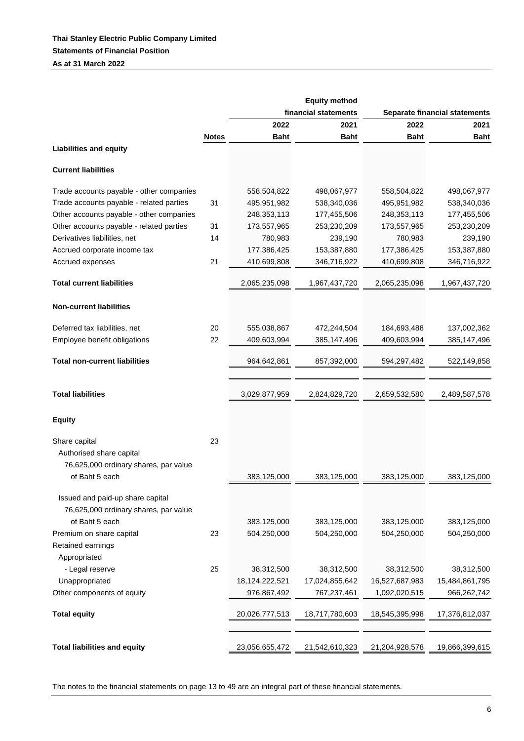|                                          |              |                | <b>Equity method</b> |                |                                      |
|------------------------------------------|--------------|----------------|----------------------|----------------|--------------------------------------|
|                                          |              |                | financial statements |                | <b>Separate financial statements</b> |
|                                          |              | 2022           | 2021                 | 2022           | 2021                                 |
|                                          | <b>Notes</b> | <b>Baht</b>    | <b>Baht</b>          | <b>Baht</b>    | <b>Baht</b>                          |
| <b>Liabilities and equity</b>            |              |                |                      |                |                                      |
| <b>Current liabilities</b>               |              |                |                      |                |                                      |
| Trade accounts payable - other companies |              | 558,504,822    | 498,067,977          | 558,504,822    | 498,067,977                          |
| Trade accounts payable - related parties | 31           | 495,951,982    | 538,340,036          | 495,951,982    | 538,340,036                          |
| Other accounts payable - other companies |              | 248,353,113    | 177,455,506          | 248, 353, 113  | 177,455,506                          |
| Other accounts payable - related parties | 31           | 173,557,965    | 253,230,209          | 173,557,965    | 253,230,209                          |
| Derivatives liabilities, net             | 14           | 780,983        | 239,190              | 780,983        | 239,190                              |
| Accrued corporate income tax             |              | 177,386,425    | 153,387,880          | 177,386,425    | 153,387,880                          |
| Accrued expenses                         | 21           | 410,699,808    | 346,716,922          | 410,699,808    | 346,716,922                          |
| <b>Total current liabilities</b>         |              | 2,065,235,098  | 1,967,437,720        | 2,065,235,098  | 1,967,437,720                        |
| <b>Non-current liabilities</b>           |              |                |                      |                |                                      |
| Deferred tax liabilities, net            | 20           | 555,038,867    | 472,244,504          | 184,693,488    | 137,002,362                          |
| Employee benefit obligations             | 22           | 409,603,994    | 385,147,496          | 409,603,994    | 385,147,496                          |
| <b>Total non-current liabilities</b>     |              | 964,642,861    | 857,392,000          | 594,297,482    | 522,149,858                          |
|                                          |              |                |                      |                |                                      |
| <b>Total liabilities</b>                 |              | 3,029,877,959  | 2,824,829,720        | 2,659,532,580  | 2,489,587,578                        |
| <b>Equity</b>                            |              |                |                      |                |                                      |
| Share capital                            | 23           |                |                      |                |                                      |
| Authorised share capital                 |              |                |                      |                |                                      |
| 76,625,000 ordinary shares, par value    |              |                |                      |                |                                      |
| of Baht 5 each                           |              | 383,125,000    | 383,125,000          | 383,125,000    | 383,125,000                          |
|                                          |              |                |                      |                |                                      |
| Issued and paid-up share capital         |              |                |                      |                |                                      |
| 76,625,000 ordinary shares, par value    |              |                |                      |                |                                      |
| of Baht 5 each                           |              | 383,125,000    | 383,125,000          | 383,125,000    | 383,125,000                          |
| Premium on share capital                 | 23           | 504,250,000    | 504,250,000          | 504,250,000    | 504,250,000                          |
| Retained earnings                        |              |                |                      |                |                                      |
| Appropriated                             |              |                |                      |                |                                      |
| - Legal reserve                          | 25           | 38,312,500     | 38,312,500           | 38,312,500     | 38,312,500                           |
| Unappropriated                           |              | 18,124,222,521 | 17,024,855,642       | 16,527,687,983 | 15,484,861,795                       |
| Other components of equity               |              | 976,867,492    | 767,237,461          | 1,092,020,515  | 966,262,742                          |
| <b>Total equity</b>                      |              | 20,026,777,513 | 18,717,780,603       | 18,545,395,998 | 17,376,812,037                       |
|                                          |              |                |                      |                |                                      |
| <b>Total liabilities and equity</b>      |              | 23,056,655,472 | 21,542,610,323       | 21,204,928,578 | 19,866,399,615                       |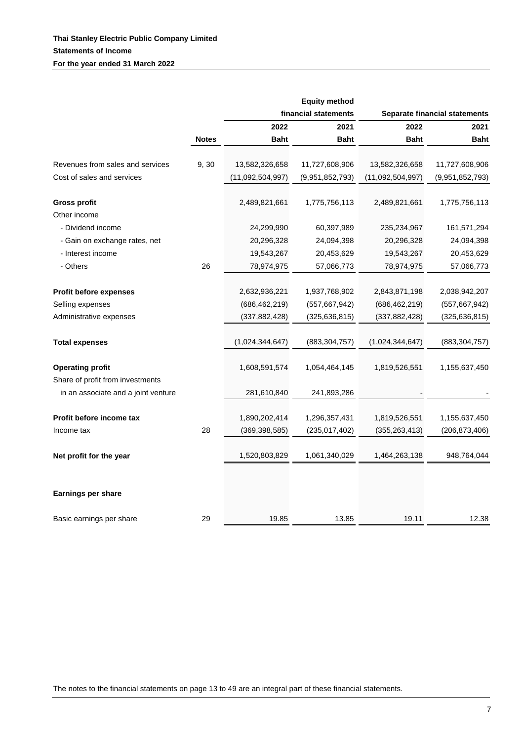|                                                             |              |                  | <b>Equity method</b> |                  |                                      |
|-------------------------------------------------------------|--------------|------------------|----------------------|------------------|--------------------------------------|
|                                                             |              |                  | financial statements |                  | <b>Separate financial statements</b> |
|                                                             |              | 2022             | 2021                 | 2022             | 2021                                 |
|                                                             | <b>Notes</b> | <b>Baht</b>      | <b>Baht</b>          | <b>Baht</b>      | <b>Baht</b>                          |
| Revenues from sales and services                            | 9,30         | 13,582,326,658   | 11,727,608,906       | 13,582,326,658   | 11,727,608,906                       |
| Cost of sales and services                                  |              | (11,092,504,997) | (9,951,852,793)      | (11,092,504,997) | (9,951,852,793)                      |
| <b>Gross profit</b>                                         |              | 2,489,821,661    | 1,775,756,113        | 2,489,821,661    | 1,775,756,113                        |
| Other income                                                |              |                  |                      |                  |                                      |
| - Dividend income                                           |              | 24,299,990       | 60,397,989           | 235,234,967      | 161,571,294                          |
| - Gain on exchange rates, net                               |              | 20,296,328       | 24,094,398           | 20,296,328       | 24,094,398                           |
| - Interest income                                           |              | 19,543,267       | 20,453,629           | 19,543,267       | 20,453,629                           |
| - Others                                                    | 26           | 78,974,975       | 57,066,773           | 78,974,975       | 57,066,773                           |
|                                                             |              |                  |                      |                  |                                      |
| Profit before expenses                                      |              | 2,632,936,221    | 1,937,768,902        | 2,843,871,198    | 2,038,942,207                        |
| Selling expenses                                            |              | (686, 462, 219)  | (557, 667, 942)      | (686, 462, 219)  | (557, 667, 942)                      |
| Administrative expenses                                     |              | (337, 882, 428)  | (325, 636, 815)      | (337, 882, 428)  | (325, 636, 815)                      |
| <b>Total expenses</b>                                       |              | (1,024,344,647)  | (883, 304, 757)      | (1,024,344,647)  | (883, 304, 757)                      |
| <b>Operating profit</b><br>Share of profit from investments |              | 1,608,591,574    | 1,054,464,145        | 1,819,526,551    | 1,155,637,450                        |
| in an associate and a joint venture                         |              | 281,610,840      | 241,893,286          |                  |                                      |
| Profit before income tax                                    |              | 1,890,202,414    | 1,296,357,431        | 1,819,526,551    | 1,155,637,450                        |
| Income tax                                                  | 28           | (369, 398, 585)  | (235, 017, 402)      | (355, 263, 413)  | (206, 873, 406)                      |
|                                                             |              |                  |                      |                  |                                      |
| Net profit for the year                                     |              | 1,520,803,829    | 1,061,340,029        | 1,464,263,138    | 948,764,044                          |
| Earnings per share                                          |              |                  |                      |                  |                                      |
| Basic earnings per share                                    | 29           | 19.85            | 13.85                | 19.11            | 12.38                                |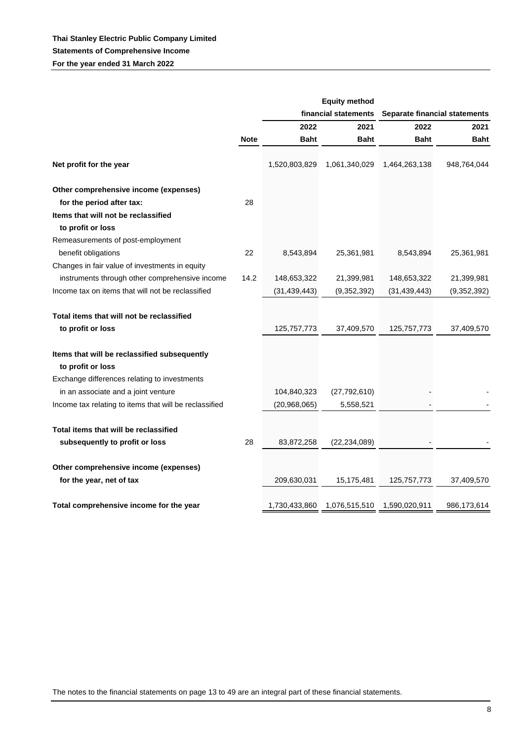|                                                                   |             |                | <b>Equity method</b> |                |                               |
|-------------------------------------------------------------------|-------------|----------------|----------------------|----------------|-------------------------------|
|                                                                   |             |                | financial statements |                | Separate financial statements |
|                                                                   |             | 2022           | 2021                 | 2022           | 2021                          |
|                                                                   | <b>Note</b> | <b>Baht</b>    | <b>Baht</b>          | <b>Baht</b>    | <b>Baht</b>                   |
| Net profit for the year                                           |             | 1,520,803,829  | 1,061,340,029        | 1,464,263,138  | 948,764,044                   |
| Other comprehensive income (expenses)                             |             |                |                      |                |                               |
| for the period after tax:                                         | 28          |                |                      |                |                               |
| Items that will not be reclassified                               |             |                |                      |                |                               |
| to profit or loss                                                 |             |                |                      |                |                               |
| Remeasurements of post-employment                                 |             |                |                      |                |                               |
| benefit obligations                                               | 22          | 8,543,894      | 25,361,981           | 8,543,894      | 25,361,981                    |
| Changes in fair value of investments in equity                    |             |                |                      |                |                               |
| instruments through other comprehensive income                    | 14.2        | 148,653,322    | 21,399,981           | 148,653,322    | 21,399,981                    |
| Income tax on items that will not be reclassified                 |             | (31, 439, 443) | (9,352,392)          | (31, 439, 443) | (9,352,392)                   |
| Total items that will not be reclassified<br>to profit or loss    |             | 125,757,773    | 37,409,570           | 125, 757, 773  | 37,409,570                    |
| Items that will be reclassified subsequently<br>to profit or loss |             |                |                      |                |                               |
| Exchange differences relating to investments                      |             |                |                      |                |                               |
| in an associate and a joint venture                               |             | 104,840,323    | (27, 792, 610)       |                |                               |
| Income tax relating to items that will be reclassified            |             | (20,968,065)   | 5,558,521            |                |                               |
| Total items that will be reclassified                             |             |                |                      |                |                               |
| subsequently to profit or loss                                    | 28          | 83,872,258     | (22, 234, 089)       |                |                               |
| Other comprehensive income (expenses)<br>for the year, net of tax |             | 209,630,031    | 15,175,481           | 125,757,773    | 37,409,570                    |
|                                                                   |             |                |                      |                |                               |
| Total comprehensive income for the year                           |             | 1,730,433,860  | 1,076,515,510        | 1,590,020,911  | 986,173,614                   |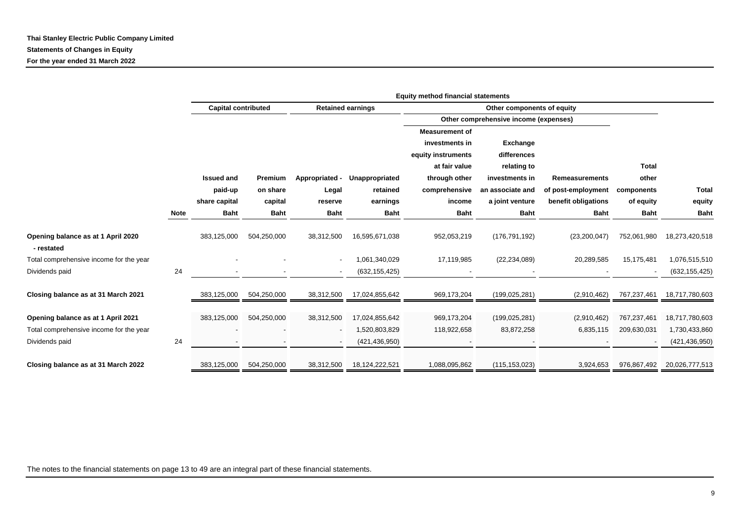|                                                  |             | <b>Equity method financial statements</b> |             |                |                          |                                       |                  |                       |                          |                 |  |
|--------------------------------------------------|-------------|-------------------------------------------|-------------|----------------|--------------------------|---------------------------------------|------------------|-----------------------|--------------------------|-----------------|--|
|                                                  |             | <b>Capital contributed</b>                |             |                | <b>Retained earnings</b> | Other components of equity            |                  |                       |                          |                 |  |
|                                                  |             |                                           |             |                |                          | Other comprehensive income (expenses) |                  |                       |                          |                 |  |
|                                                  |             |                                           |             |                |                          | <b>Measurement of</b>                 |                  |                       |                          |                 |  |
|                                                  |             |                                           |             |                |                          | investments in                        | <b>Exchange</b>  |                       |                          |                 |  |
|                                                  |             |                                           |             |                |                          | equity instruments                    | differences      |                       |                          |                 |  |
|                                                  |             |                                           |             |                |                          | at fair value                         | relating to      |                       | <b>Total</b>             |                 |  |
|                                                  |             | <b>Issued and</b>                         | Premium     | Appropriated - | Unappropriated           | through other                         | investments in   | <b>Remeasurements</b> | other                    |                 |  |
|                                                  |             | paid-up                                   | on share    | Legal          | retained                 | comprehensive                         | an associate and | of post-employment    | components               | <b>Total</b>    |  |
|                                                  |             | share capital                             | capital     | reserve        | earnings                 | income                                | a joint venture  | benefit obligations   | of equity                | equity          |  |
|                                                  | <b>Note</b> | <b>Baht</b>                               | <b>Baht</b> | <b>Baht</b>    | <b>Baht</b>              | <b>Baht</b>                           | <b>Baht</b>      | <b>Baht</b>           | <b>Baht</b>              | <b>Baht</b>     |  |
|                                                  |             |                                           |             |                |                          |                                       |                  |                       |                          |                 |  |
| Opening balance as at 1 April 2020<br>- restated |             | 383,125,000                               | 504,250,000 | 38,312,500     | 16,595,671,038           | 952,053,219                           | (176, 791, 192)  | (23, 200, 047)        | 752,061,980              | 18,273,420,518  |  |
| Total comprehensive income for the year          |             |                                           |             |                | 1,061,340,029            | 17,119,985                            | (22, 234, 089)   | 20,289,585            | 15,175,481               | 1,076,515,510   |  |
| Dividends paid                                   | 24          |                                           |             |                | (632, 155, 425)          |                                       |                  |                       | $\overline{\phantom{a}}$ | (632, 155, 425) |  |
|                                                  |             |                                           |             |                |                          |                                       |                  |                       |                          |                 |  |
| Closing balance as at 31 March 2021              |             | 383,125,000                               | 504,250,000 | 38,312,500     | 17,024,855,642           | 969,173,204                           | (199, 025, 281)  | (2,910,462)           | 767,237,461              | 18,717,780,603  |  |
|                                                  |             |                                           |             |                |                          |                                       |                  |                       |                          |                 |  |
| Opening balance as at 1 April 2021               |             | 383,125,000                               | 504,250,000 | 38,312,500     | 17,024,855,642           | 969,173,204                           | (199, 025, 281)  | (2,910,462)           | 767,237,461              | 18,717,780,603  |  |
| Total comprehensive income for the year          |             |                                           |             |                | 1,520,803,829            | 118,922,658                           | 83,872,258       | 6,835,115             | 209,630,031              | 1,730,433,860   |  |
| Dividends paid                                   | 24          |                                           |             |                | (421, 436, 950)          |                                       |                  |                       |                          | (421, 436, 950) |  |
|                                                  |             |                                           |             |                |                          |                                       |                  |                       |                          |                 |  |
| Closing balance as at 31 March 2022              |             | 383,125,000                               | 504,250,000 | 38,312,500     | 18,124,222,521           | 1,088,095,862                         | (115, 153, 023)  | 3,924,653             | 976,867,492              | 20,026,777,513  |  |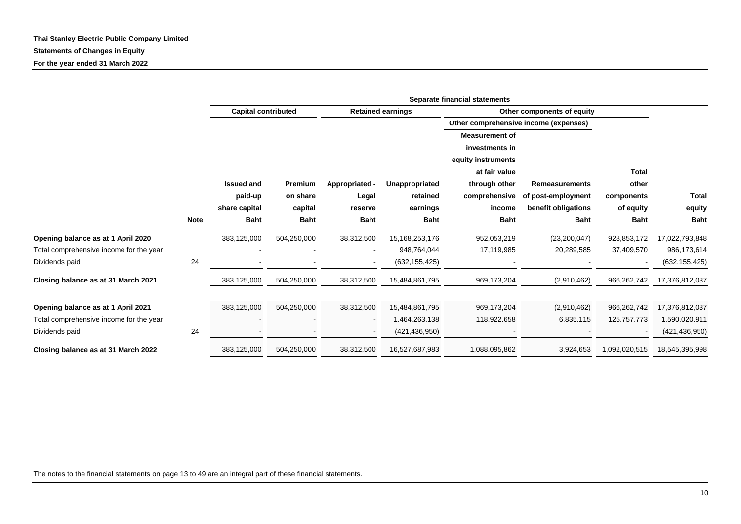|                                         |             |                            | Separate financial statements |                          |                          |                            |                                       |               |                 |  |  |  |  |
|-----------------------------------------|-------------|----------------------------|-------------------------------|--------------------------|--------------------------|----------------------------|---------------------------------------|---------------|-----------------|--|--|--|--|
|                                         |             | <b>Capital contributed</b> |                               |                          | <b>Retained earnings</b> | Other components of equity |                                       |               |                 |  |  |  |  |
|                                         |             |                            |                               |                          |                          |                            | Other comprehensive income (expenses) |               |                 |  |  |  |  |
|                                         |             |                            |                               |                          |                          | <b>Measurement of</b>      |                                       |               |                 |  |  |  |  |
|                                         |             |                            |                               |                          |                          | investments in             |                                       |               |                 |  |  |  |  |
|                                         |             |                            |                               |                          |                          | equity instruments         |                                       |               |                 |  |  |  |  |
|                                         |             |                            |                               |                          |                          | at fair value              |                                       | Total         |                 |  |  |  |  |
|                                         |             | <b>Issued and</b>          | Premium                       | Appropriated -           | Unappropriated           | through other              | <b>Remeasurements</b>                 | other         |                 |  |  |  |  |
|                                         |             | paid-up                    | on share                      | Legal                    | retained                 | comprehensive              | of post-employment                    | components    | <b>Total</b>    |  |  |  |  |
|                                         |             | share capital              | capital                       |                          | earnings                 | income                     | benefit obligations                   | of equity     | equity          |  |  |  |  |
|                                         | <b>Note</b> | <b>Baht</b>                | <b>Baht</b>                   | <b>Baht</b>              | <b>Baht</b>              | <b>Baht</b>                | <b>Baht</b>                           | <b>Baht</b>   | <b>Baht</b>     |  |  |  |  |
| Opening balance as at 1 April 2020      |             | 383,125,000                | 504,250,000                   | 38,312,500               | 15,168,253,176           | 952,053,219                | (23, 200, 047)                        | 928,853,172   | 17,022,793,848  |  |  |  |  |
| Total comprehensive income for the year |             |                            |                               |                          | 948,764,044              | 17,119,985                 | 20,289,585                            | 37,409,570    | 986,173,614     |  |  |  |  |
| Dividends paid                          | 24          |                            |                               | $\overline{\phantom{a}}$ | (632, 155, 425)          |                            |                                       |               | (632, 155, 425) |  |  |  |  |
| Closing balance as at 31 March 2021     |             | 383,125,000                | 504,250,000                   | 38,312,500               | 15,484,861,795           | 969,173,204                | (2,910,462)                           | 966,262,742   | 17,376,812,037  |  |  |  |  |
| Opening balance as at 1 April 2021      |             | 383,125,000                | 504,250,000                   | 38,312,500               | 15,484,861,795           | 969,173,204                | (2,910,462)                           | 966,262,742   | 17,376,812,037  |  |  |  |  |
| Total comprehensive income for the year |             |                            |                               |                          | 1,464,263,138            | 118,922,658                | 6,835,115                             | 125,757,773   | 1,590,020,911   |  |  |  |  |
| Dividends paid                          | 24          |                            |                               |                          | (421, 436, 950)          |                            |                                       |               | (421, 436, 950) |  |  |  |  |
| Closing balance as at 31 March 2022     |             | 383,125,000                | 504,250,000                   | 38,312,500               | 16,527,687,983           | 1,088,095,862              | 3,924,653                             | 1,092,020,515 | 18,545,395,998  |  |  |  |  |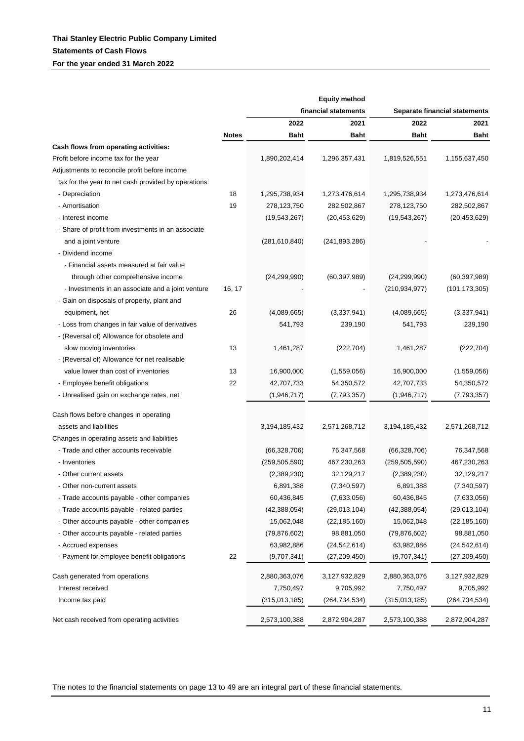|                                                      |              |                 | <b>Equity method</b> |                               |                 |  |
|------------------------------------------------------|--------------|-----------------|----------------------|-------------------------------|-----------------|--|
|                                                      |              |                 | financial statements | Separate financial statements |                 |  |
|                                                      |              | 2022            | 2021                 | 2022                          | 2021            |  |
|                                                      | <b>Notes</b> | <b>Baht</b>     | <b>Baht</b>          | <b>Baht</b>                   | <b>Baht</b>     |  |
| Cash flows from operating activities:                |              |                 |                      |                               |                 |  |
| Profit before income tax for the year                |              | 1,890,202,414   | 1,296,357,431        | 1,819,526,551                 | 1,155,637,450   |  |
| Adjustments to reconcile profit before income        |              |                 |                      |                               |                 |  |
| tax for the year to net cash provided by operations: |              |                 |                      |                               |                 |  |
| - Depreciation                                       | 18           | 1,295,738,934   | 1,273,476,614        | 1,295,738,934                 | 1,273,476,614   |  |
| - Amortisation                                       | 19           | 278,123,750     | 282,502,867          | 278,123,750                   | 282,502,867     |  |
| - Interest income                                    |              | (19, 543, 267)  | (20, 453, 629)       | (19, 543, 267)                | (20, 453, 629)  |  |
| - Share of profit from investments in an associate   |              |                 |                      |                               |                 |  |
| and a joint venture                                  |              | (281, 610, 840) | (241, 893, 286)      |                               |                 |  |
| - Dividend income                                    |              |                 |                      |                               |                 |  |
| - Financial assets measured at fair value            |              |                 |                      |                               |                 |  |
| through other comprehensive income                   |              | (24, 299, 990)  | (60, 397, 989)       | (24, 299, 990)                | (60, 397, 989)  |  |
| - Investments in an associate and a joint venture    | 16, 17       |                 |                      | (210, 934, 977)               | (101, 173, 305) |  |
| - Gain on disposals of property, plant and           |              |                 |                      |                               |                 |  |
| equipment, net                                       | 26           | (4,089,665)     | (3,337,941)          | (4,089,665)                   | (3,337,941)     |  |
| - Loss from changes in fair value of derivatives     |              | 541,793         | 239,190              | 541,793                       | 239,190         |  |
| - (Reversal of) Allowance for obsolete and           |              |                 |                      |                               |                 |  |
| slow moving inventories                              | 13           | 1,461,287       | (222, 704)           | 1,461,287                     | (222, 704)      |  |
| - (Reversal of) Allowance for net realisable         |              |                 |                      |                               |                 |  |
| value lower than cost of inventories                 | 13           | 16,900,000      | (1,559,056)          | 16,900,000                    | (1,559,056)     |  |
| - Employee benefit obligations                       | 22           | 42,707,733      | 54,350,572           | 42,707,733                    | 54,350,572      |  |
| - Unrealised gain on exchange rates, net             |              | (1,946,717)     | (7,793,357)          | (1,946,717)                   | (7,793,357)     |  |
| Cash flows before changes in operating               |              |                 |                      |                               |                 |  |
| assets and liabilities                               |              | 3,194,185,432   | 2,571,268,712        | 3,194,185,432                 | 2,571,268,712   |  |
| Changes in operating assets and liabilities          |              |                 |                      |                               |                 |  |
| - Trade and other accounts receivable                |              | (66,328,706)    | 76,347,568           | (66,328,706)                  | 76,347,568      |  |
| - Inventories                                        |              | (259, 505, 590) | 467,230,263          | (259, 505, 590)               | 467,230,263     |  |
| - Other current assets                               |              | (2,389,230)     | 32,129,217           | (2,389,230)                   | 32,129,217      |  |
| - Other non-current assets                           |              | 6,891,388       | (7, 340, 597)        | 6,891,388                     | (7, 340, 597)   |  |
| - Trade accounts payable - other companies           |              | 60,436,845      | (7,633,056)          | 60,436,845                    | (7,633,056)     |  |
| - Trade accounts payable - related parties           |              | (42, 388, 054)  | (29,013,104)         | (42, 388, 054)                | (29,013,104)    |  |
| - Other accounts payable - other companies           |              | 15,062,048      | (22, 185, 160)       | 15,062,048                    | (22, 185, 160)  |  |
| - Other accounts payable - related parties           |              | (79, 876, 602)  | 98,881,050           | (79, 876, 602)                | 98,881,050      |  |
| - Accrued expenses                                   |              | 63,982,886      | (24, 542, 614)       | 63,982,886                    | (24, 542, 614)  |  |
| - Payment for employee benefit obligations           | 22           | (9,707,341)     | (27,209,450)         | (9,707,341)                   | (27, 209, 450)  |  |
| Cash generated from operations                       |              | 2,880,363,076   | 3,127,932,829        | 2,880,363,076                 | 3,127,932,829   |  |
| Interest received                                    |              | 7,750,497       | 9,705,992            | 7,750,497                     | 9,705,992       |  |
| Income tax paid                                      |              | (315,013,185)   | (264, 734, 534)      | (315,013,185)                 | (264, 734, 534) |  |
| Net cash received from operating activities          |              | 2,573,100,388   | 2,872,904,287        | 2,573,100,388                 | 2,872,904,287   |  |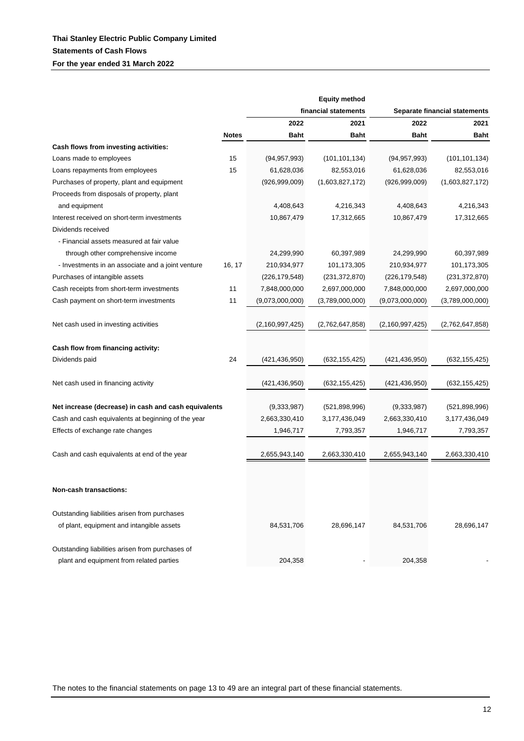|                                                      |              |                 | <b>Equity method</b> |                               |                 |  |
|------------------------------------------------------|--------------|-----------------|----------------------|-------------------------------|-----------------|--|
|                                                      |              |                 | financial statements | Separate financial statements |                 |  |
|                                                      |              | 2022            | 2021                 | 2022                          | 2021            |  |
|                                                      | <b>Notes</b> | <b>Baht</b>     | <b>Baht</b>          | <b>Baht</b>                   | <b>Baht</b>     |  |
| Cash flows from investing activities:                |              |                 |                      |                               |                 |  |
| Loans made to employees                              | 15           | (94, 957, 993)  | (101, 101, 134)      | (94, 957, 993)                | (101, 101, 134) |  |
| Loans repayments from employees                      | 15           | 61,628,036      | 82,553,016           | 61,628,036                    | 82,553,016      |  |
| Purchases of property, plant and equipment           |              | (926, 999, 009) | (1,603,827,172)      | (926, 999, 009)               | (1,603,827,172) |  |
| Proceeds from disposals of property, plant           |              |                 |                      |                               |                 |  |
| and equipment                                        |              | 4,408,643       | 4,216,343            | 4,408,643                     | 4,216,343       |  |
| Interest received on short-term investments          |              | 10,867,479      | 17,312,665           | 10,867,479                    | 17,312,665      |  |
| Dividends received                                   |              |                 |                      |                               |                 |  |
| - Financial assets measured at fair value            |              |                 |                      |                               |                 |  |
| through other comprehensive income                   |              | 24,299,990      | 60,397,989           | 24,299,990                    | 60,397,989      |  |
| - Investments in an associate and a joint venture    | 16, 17       | 210,934,977     | 101,173,305          | 210,934,977                   | 101,173,305     |  |
| Purchases of intangible assets                       |              | (226, 179, 548) | (231, 372, 870)      | (226, 179, 548)               | (231, 372, 870) |  |
| Cash receipts from short-term investments            | 11           | 7,848,000,000   | 2,697,000,000        | 7,848,000,000                 | 2,697,000,000   |  |
| Cash payment on short-term investments               | 11           | (9,073,000,000) | (3,789,000,000)      | (9,073,000,000)               | (3,789,000,000) |  |
|                                                      |              |                 |                      |                               |                 |  |
| Net cash used in investing activities                |              | (2,160,997,425) | (2,762,647,858)      | (2,160,997,425)               | (2,762,647,858) |  |
|                                                      |              |                 |                      |                               |                 |  |
| Cash flow from financing activity:                   |              |                 |                      |                               |                 |  |
| Dividends paid                                       | 24           | (421, 436, 950) | (632, 155, 425)      | (421, 436, 950)               | (632, 155, 425) |  |
|                                                      |              |                 |                      |                               |                 |  |
| Net cash used in financing activity                  |              | (421, 436, 950) | (632, 155, 425)      | (421, 436, 950)               | (632, 155, 425) |  |
|                                                      |              |                 |                      |                               |                 |  |
| Net increase (decrease) in cash and cash equivalents |              | (9,333,987)     | (521, 898, 996)      | (9,333,987)                   | (521, 898, 996) |  |
| Cash and cash equivalents at beginning of the year   |              | 2,663,330,410   | 3,177,436,049        | 2,663,330,410                 | 3,177,436,049   |  |
| Effects of exchange rate changes                     |              | 1,946,717       | 7,793,357            | 1,946,717                     | 7,793,357       |  |
|                                                      |              |                 |                      |                               |                 |  |
| Cash and cash equivalents at end of the year         |              | 2,655,943,140   | 2,663,330,410        | 2,655,943,140                 | 2,663,330,410   |  |
|                                                      |              |                 |                      |                               |                 |  |
|                                                      |              |                 |                      |                               |                 |  |
| Non-cash transactions:                               |              |                 |                      |                               |                 |  |
|                                                      |              |                 |                      |                               |                 |  |
| Outstanding liabilities arisen from purchases        |              |                 |                      |                               |                 |  |
| of plant, equipment and intangible assets            |              | 84,531,706      | 28,696,147           | 84,531,706                    | 28,696,147      |  |
|                                                      |              |                 |                      |                               |                 |  |
| Outstanding liabilities arisen from purchases of     |              |                 |                      |                               |                 |  |
| plant and equipment from related parties             |              | 204,358         |                      | 204,358                       |                 |  |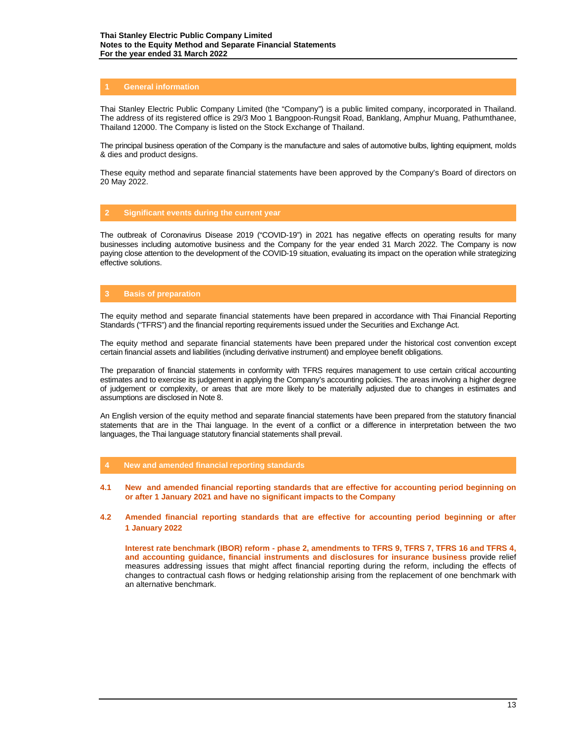## **1 General information**

Thai Stanley Electric Public Company Limited (the "Company") is a public limited company, incorporated in Thailand. The address of its registered office is 29/3 Moo 1 Bangpoon-Rungsit Road, Banklang, Amphur Muang, Pathumthanee, Thailand 12000. The Company is listed on the Stock Exchange of Thailand.

The principal business operation of the Company is the manufacture and sales of automotive bulbs, lighting equipment, molds & dies and product designs.

These equity method and separate financial statements have been approved by the Company's Board of directors on 20 May 2022.

# **2 Significant events during the current year**

The outbreak of Coronavirus Disease 2019 ("COVID-19") in 2021 has negative effects on operating results for many businesses including automotive business and the Company for the year ended 31 March 2022. The Company is now paying close attention to the development of the COVID-19 situation, evaluating its impact on the operation while strategizing effective solutions.

# **3 Basis of preparation**

The equity method and separate financial statements have been prepared in accordance with Thai Financial Reporting Standards ("TFRS") and the financial reporting requirements issued under the Securities and Exchange Act.

The equity method and separate financial statements have been prepared under the historical cost convention except certain financial assets and liabilities (including derivative instrument) and employee benefit obligations.

The preparation of financial statements in conformity with TFRS requires management to use certain critical accounting estimates and to exercise its judgement in applying the Company's accounting policies. The areas involving a higher degree of judgement or complexity, or areas that are more likely to be materially adjusted due to changes in estimates and assumptions are disclosed in Note 8.

An English version of the equity method and separate financial statements have been prepared from the statutory financial statements that are in the Thai language. In the event of a conflict or a difference in interpretation between the two languages, the Thai language statutory financial statements shall prevail.

- **4 New and amended financial reporting standards**
- **4.1 New and amended financial reporting standards that are effective for accounting period beginning on or after 1 January 2021 and have no significant impacts to the Company**
- **4.2 Amended financial reporting standards that are effective for accounting period beginning or after 1 January 2022**

**Interest rate benchmark (IBOR) reform - phase 2, amendments to TFRS 9, TFRS 7, TFRS 16 and TFRS 4, and accounting guidance, financial instruments and disclosures for insurance business** provide relief measures addressing issues that might affect financial reporting during the reform, including the effects of changes to contractual cash flows or hedging relationship arising from the replacement of one benchmark with an alternative benchmark.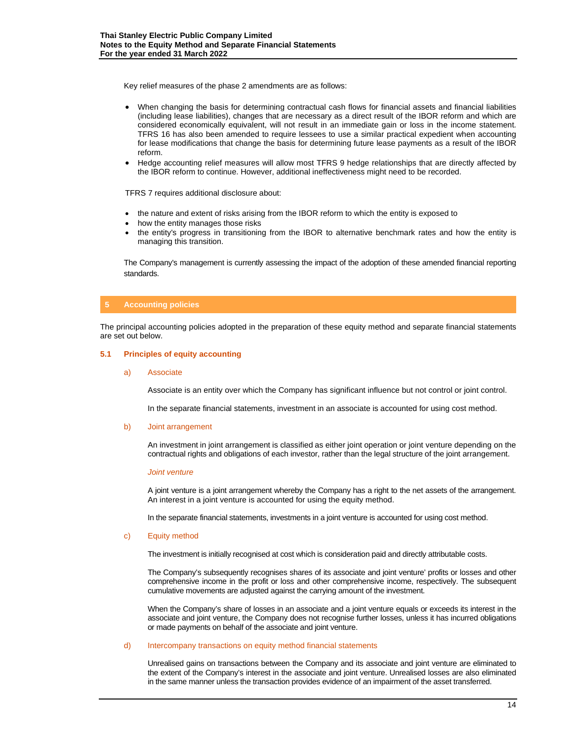Key relief measures of the phase 2 amendments are as follows:

- When changing the basis for determining contractual cash flows for financial assets and financial liabilities (including lease liabilities), changes that are necessary as a direct result of the IBOR reform and which are considered economically equivalent, will not result in an immediate gain or loss in the income statement. TFRS 16 has also been amended to require lessees to use a similar practical expedient when accounting for lease modifications that change the basis for determining future lease payments as a result of the IBOR reform.
- Hedge accounting relief measures will allow most TFRS 9 hedge relationships that are directly affected by the IBOR reform to continue. However, additional ineffectiveness might need to be recorded.

TFRS 7 requires additional disclosure about:

- the nature and extent of risks arising from the IBOR reform to which the entity is exposed to
- how the entity manages those risks
- the entity's progress in transitioning from the IBOR to alternative benchmark rates and how the entity is managing this transition.

The Company's management is currently assessing the impact of the adoption of these amended financial reporting standards.

# **5 Accounting policies**

The principal accounting policies adopted in the preparation of these equity method and separate financial statements are set out below.

## **5.1 Principles of equity accounting**

a) Associate

Associate is an entity over which the Company has significant influence but not control or joint control.

In the separate financial statements, investment in an associate is accounted for using cost method.

b) Joint arrangement

An investment in joint arrangement is classified as either joint operation or joint venture depending on the contractual rights and obligations of each investor, rather than the legal structure of the joint arrangement.

### *Joint venture*

A joint venture is a joint arrangement whereby the Company has a right to the net assets of the arrangement. An interest in a joint venture is accounted for using the equity method.

In the separate financial statements, investments in a joint venture is accounted for using cost method.

#### c) Equity method

The investment is initially recognised at cost which is consideration paid and directly attributable costs.

The Company's subsequently recognises shares of its associate and joint venture' profits or losses and other comprehensive income in the profit or loss and other comprehensive income, respectively. The subsequent cumulative movements are adjusted against the carrying amount of the investment.

When the Company's share of losses in an associate and a joint venture equals or exceeds its interest in the associate and joint venture, the Company does not recognise further losses, unless it has incurred obligations or made payments on behalf of the associate and joint venture.

#### d) Intercompany transactions on equity method financial statements

Unrealised gains on transactions between the Company and its associate and joint venture are eliminated to the extent of the Company's interest in the associate and joint venture. Unrealised losses are also eliminated in the same manner unless the transaction provides evidence of an impairment of the asset transferred.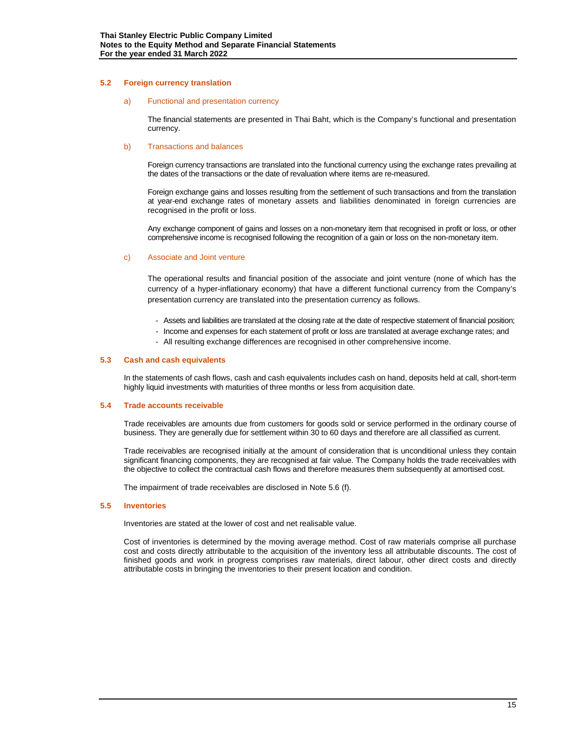### **5.2 Foreign currency translation**

#### a) Functional and presentation currency

The financial statements are presented in Thai Baht, which is the Company's functional and presentation currency.

#### b) Transactions and balances

Foreign currency transactions are translated into the functional currency using the exchange rates prevailing at the dates of the transactions or the date of revaluation where items are re-measured.

Foreign exchange gains and losses resulting from the settlement of such transactions and from the translation at year-end exchange rates of monetary assets and liabilities denominated in foreign currencies are recognised in the profit or loss.

Any exchange component of gains and losses on a non-monetary item that recognised in profit or loss, or other comprehensive income is recognised following the recognition of a gain or loss on the non-monetary item.

#### c) Associate and Joint venture

The operational results and financial position of the associate and joint venture (none of which has the currency of a hyper-inflationary economy) that have a different functional currency from the Company's presentation currency are translated into the presentation currency as follows.

- Assets and liabilities are translated at the closing rate at the date of respective statement of financial position;
- Income and expenses for each statement of profit or loss are translated at average exchange rates; and
- All resulting exchange differences are recognised in other comprehensive income.

#### **5.3 Cash and cash equivalents**

In the statements of cash flows, cash and cash equivalents includes cash on hand, deposits held at call, short-term highly liquid investments with maturities of three months or less from acquisition date.

#### **5.4 Trade accounts receivable**

Trade receivables are amounts due from customers for goods sold or service performed in the ordinary course of business. They are generally due for settlement within 30 to 60 days and therefore are all classified as current.

Trade receivables are recognised initially at the amount of consideration that is unconditional unless they contain significant financing components, they are recognised at fair value. The Company holds the trade receivables with the objective to collect the contractual cash flows and therefore measures them subsequently at amortised cost.

The impairment of trade receivables are disclosed in Note 5.6 (f).

#### **5.5 Inventories**

Inventories are stated at the lower of cost and net realisable value.

Cost of inventories is determined by the moving average method. Cost of raw materials comprise all purchase cost and costs directly attributable to the acquisition of the inventory less all attributable discounts. The cost of finished goods and work in progress comprises raw materials, direct labour, other direct costs and directly attributable costs in bringing the inventories to their present location and condition.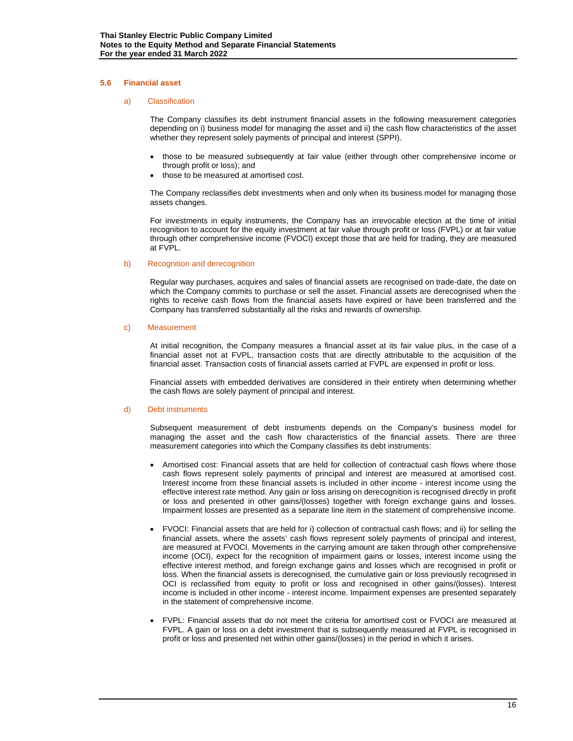#### **5.6 Financial asset**

#### a) Classification

The Company classifies its debt instrument financial assets in the following measurement categories depending on i) business model for managing the asset and ii) the cash flow characteristics of the asset whether they represent solely payments of principal and interest (SPPI).

- those to be measured subsequently at fair value (either through other comprehensive income or through profit or loss); and
- those to be measured at amortised cost.

The Company reclassifies debt investments when and only when its business model for managing those assets changes.

For investments in equity instruments, the Company has an irrevocable election at the time of initial recognition to account for the equity investment at fair value through profit or loss (FVPL) or at fair value through other comprehensive income (FVOCI) except those that are held for trading, they are measured at FVPL.

#### b) Recognition and derecognition

Regular way purchases, acquires and sales of financial assets are recognised on trade-date, the date on which the Company commits to purchase or sell the asset. Financial assets are derecognised when the rights to receive cash flows from the financial assets have expired or have been transferred and the Company has transferred substantially all the risks and rewards of ownership.

#### c) Measurement

At initial recognition, the Company measures a financial asset at its fair value plus, in the case of a financial asset not at FVPL, transaction costs that are directly attributable to the acquisition of the financial asset. Transaction costs of financial assets carried at FVPL are expensed in profit or loss.

Financial assets with embedded derivatives are considered in their entirety when determining whether the cash flows are solely payment of principal and interest.

#### d) Debt instruments

Subsequent measurement of debt instruments depends on the Company's business model for managing the asset and the cash flow characteristics of the financial assets. There are three measurement categories into which the Company classifies its debt instruments:

- Amortised cost: Financial assets that are held for collection of contractual cash flows where those cash flows represent solely payments of principal and interest are measured at amortised cost. Interest income from these financial assets is included in other income - interest income using the effective interest rate method. Any gain or loss arising on derecognition is recognised directly in profit or loss and presented in other gains/(losses) together with foreign exchange gains and losses. Impairment losses are presented as a separate line item in the statement of comprehensive income.
- FVOCI: Financial assets that are held for i) collection of contractual cash flows; and ii) for selling the financial assets, where the assets' cash flows represent solely payments of principal and interest, are measured at FVOCI. Movements in the carrying amount are taken through other comprehensive income (OCI), expect for the recognition of impairment gains or losses, interest income using the effective interest method, and foreign exchange gains and losses which are recognised in profit or loss. When the financial assets is derecognised, the cumulative gain or loss previously recognised in OCI is reclassified from equity to profit or loss and recognised in other gains/(losses). Interest income is included in other income - interest income. Impairment expenses are presented separately in the statement of comprehensive income.
- FVPL: Financial assets that do not meet the criteria for amortised cost or FVOCI are measured at FVPL. A gain or loss on a debt investment that is subsequently measured at FVPL is recognised in profit or loss and presented net within other gains/(losses) in the period in which it arises.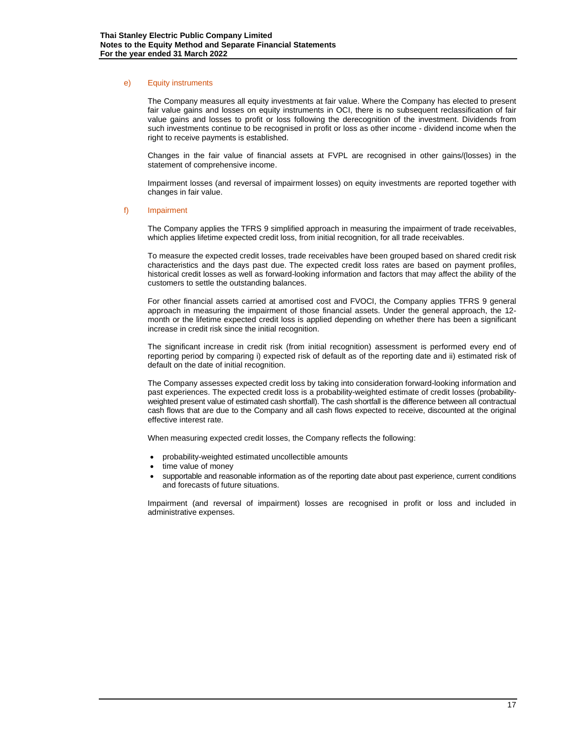#### e) Equity instruments

The Company measures all equity investments at fair value. Where the Company has elected to present fair value gains and losses on equity instruments in OCI, there is no subsequent reclassification of fair value gains and losses to profit or loss following the derecognition of the investment. Dividends from such investments continue to be recognised in profit or loss as other income - dividend income when the right to receive payments is established.

Changes in the fair value of financial assets at FVPL are recognised in other gains/(losses) in the statement of comprehensive income.

Impairment losses (and reversal of impairment losses) on equity investments are reported together with changes in fair value.

#### f) Impairment

The Company applies the TFRS 9 simplified approach in measuring the impairment of trade receivables, which applies lifetime expected credit loss, from initial recognition, for all trade receivables.

To measure the expected credit losses, trade receivables have been grouped based on shared credit risk characteristics and the days past due. The expected credit loss rates are based on payment profiles, historical credit losses as well as forward-looking information and factors that may affect the ability of the customers to settle the outstanding balances.

For other financial assets carried at amortised cost and FVOCI, the Company applies TFRS 9 general approach in measuring the impairment of those financial assets. Under the general approach, the 12 month or the lifetime expected credit loss is applied depending on whether there has been a significant increase in credit risk since the initial recognition.

The significant increase in credit risk (from initial recognition) assessment is performed every end of reporting period by comparing i) expected risk of default as of the reporting date and ii) estimated risk of default on the date of initial recognition.

The Company assesses expected credit loss by taking into consideration forward-looking information and past experiences. The expected credit loss is a probability-weighted estimate of credit losses (probabilityweighted present value of estimated cash shortfall). The cash shortfall is the difference between all contractual cash flows that are due to the Company and all cash flows expected to receive, discounted at the original effective interest rate.

When measuring expected credit losses, the Company reflects the following:

- probability-weighted estimated uncollectible amounts
- time value of money
- supportable and reasonable information as of the reporting date about past experience, current conditions and forecasts of future situations.

Impairment (and reversal of impairment) losses are recognised in profit or loss and included in administrative expenses.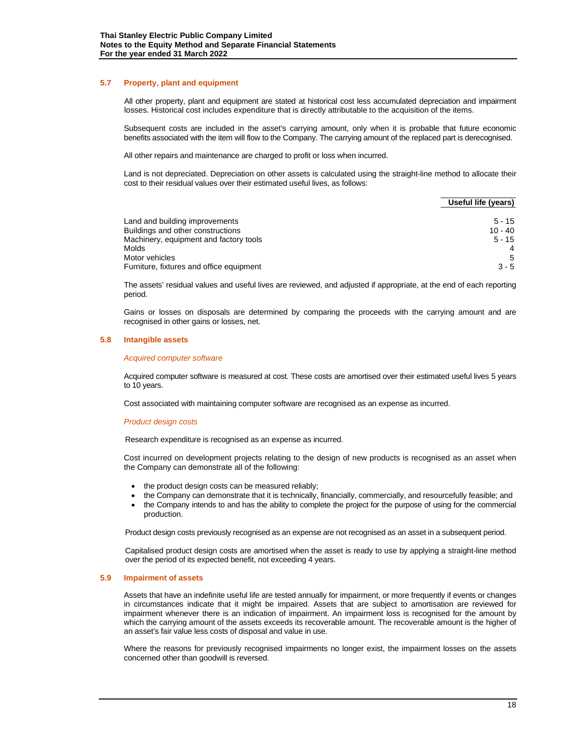#### **5.7 Property, plant and equipment**

All other property, plant and equipment are stated at historical cost less accumulated depreciation and impairment losses. Historical cost includes expenditure that is directly attributable to the acquisition of the items.

Subsequent costs are included in the asset's carrying amount, only when it is probable that future economic benefits associated with the item will flow to the Company. The carrying amount of the replaced part is derecognised.

All other repairs and maintenance are charged to profit or loss when incurred.

Land is not depreciated. Depreciation on other assets is calculated using the straight-line method to allocate their cost to their residual values over their estimated useful lives, as follows:

|                                                            | Useful life (years) |
|------------------------------------------------------------|---------------------|
| Land and building improvements                             | $5 - 15$            |
| Buildings and other constructions                          | $10 - 40$           |
| Machinery, equipment and factory tools                     | $5 - 15$            |
| Molds                                                      | 4                   |
| Motor vehicles<br>Furniture, fixtures and office equipment | -5<br>$3 - 5$       |

The assets' residual values and useful lives are reviewed, and adjusted if appropriate, at the end of each reporting period.

Gains or losses on disposals are determined by comparing the proceeds with the carrying amount and are recognised in other gains or losses, net.

#### **5.8 Intangible assets**

#### *Acquired computer software*

Acquired computer software is measured at cost. These costs are amortised over their estimated useful lives 5 years to 10 years.

Cost associated with maintaining computer software are recognised as an expense as incurred.

#### *Product design costs*

Research expenditure is recognised as an expense as incurred.

Cost incurred on development projects relating to the design of new products is recognised as an asset when the Company can demonstrate all of the following:

- the product design costs can be measured reliably;
- the Company can demonstrate that it is technically, financially, commercially, and resourcefully feasible; and
- the Company intends to and has the ability to complete the project for the purpose of using for the commercial production.

Product design costs previously recognised as an expense are not recognised as an asset in a subsequent period.

Capitalised product design costs are amortised when the asset is ready to use by applying a straight-line method over the period of its expected benefit, not exceeding 4 years.

#### **5.9 Impairment of assets**

Assets that have an indefinite useful life are tested annually for impairment, or more frequently if events or changes in circumstances indicate that it might be impaired. Assets that are subject to amortisation are reviewed for impairment whenever there is an indication of impairment. An impairment loss is recognised for the amount by which the carrying amount of the assets exceeds its recoverable amount. The recoverable amount is the higher of an asset's fair value less costs of disposal and value in use.

Where the reasons for previously recognised impairments no longer exist, the impairment losses on the assets concerned other than goodwill is reversed.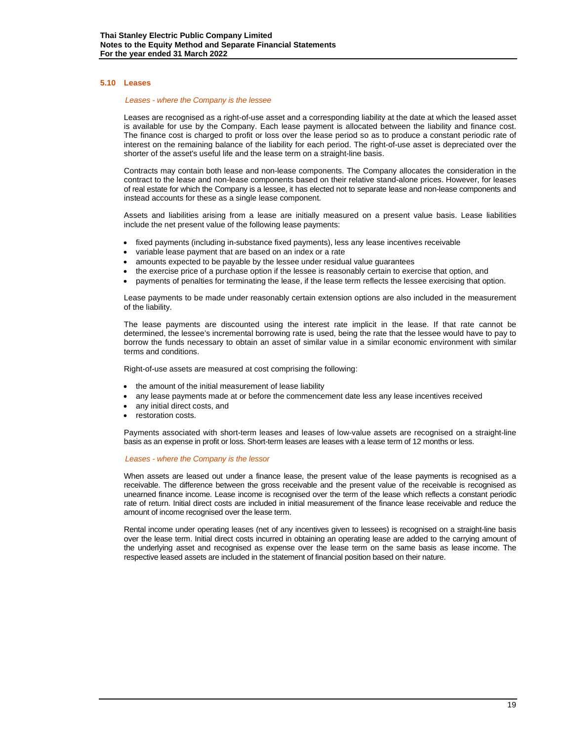#### **5.10 Leases**

#### *Leases - where the Company is the lessee*

Leases are recognised as a right-of-use asset and a corresponding liability at the date at which the leased asset is available for use by the Company. Each lease payment is allocated between the liability and finance cost. The finance cost is charged to profit or loss over the lease period so as to produce a constant periodic rate of interest on the remaining balance of the liability for each period. The right-of-use asset is depreciated over the shorter of the asset's useful life and the lease term on a straight-line basis.

Contracts may contain both lease and non-lease components. The Company allocates the consideration in the contract to the lease and non-lease components based on their relative stand-alone prices. However, for leases of real estate for which the Company is a lessee, it has elected not to separate lease and non-lease components and instead accounts for these as a single lease component.

Assets and liabilities arising from a lease are initially measured on a present value basis. Lease liabilities include the net present value of the following lease payments:

- fixed payments (including in-substance fixed payments), less any lease incentives receivable
- variable lease payment that are based on an index or a rate
- amounts expected to be payable by the lessee under residual value guarantees
- the exercise price of a purchase option if the lessee is reasonably certain to exercise that option, and
- payments of penalties for terminating the lease, if the lease term reflects the lessee exercising that option.

Lease payments to be made under reasonably certain extension options are also included in the measurement of the liability.

The lease payments are discounted using the interest rate implicit in the lease. If that rate cannot be determined, the lessee's incremental borrowing rate is used, being the rate that the lessee would have to pay to borrow the funds necessary to obtain an asset of similar value in a similar economic environment with similar terms and conditions.

Right-of-use assets are measured at cost comprising the following:

- the amount of the initial measurement of lease liability
- any lease payments made at or before the commencement date less any lease incentives received
- any initial direct costs, and
- restoration costs.

Payments associated with short-term leases and leases of low-value assets are recognised on a straight-line basis as an expense in profit or loss. Short-term leases are leases with a lease term of 12 months or less.

#### *Leases - where the Company is the lessor*

When assets are leased out under a finance lease, the present value of the lease payments is recognised as a receivable. The difference between the gross receivable and the present value of the receivable is recognised as unearned finance income. Lease income is recognised over the term of the lease which reflects a constant periodic rate of return. Initial direct costs are included in initial measurement of the finance lease receivable and reduce the amount of income recognised over the lease term.

Rental income under operating leases (net of any incentives given to lessees) is recognised on a straight-line basis over the lease term. Initial direct costs incurred in obtaining an operating lease are added to the carrying amount of the underlying asset and recognised as expense over the lease term on the same basis as lease income. The respective leased assets are included in the statement of financial position based on their nature.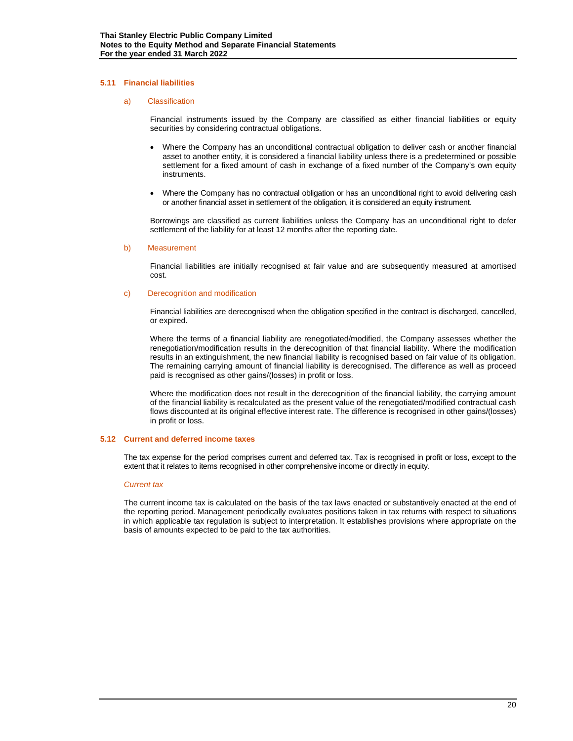# **5.11 Financial liabilities**

#### a) Classification

Financial instruments issued by the Company are classified as either financial liabilities or equity securities by considering contractual obligations.

- Where the Company has an unconditional contractual obligation to deliver cash or another financial asset to another entity, it is considered a financial liability unless there is a predetermined or possible settlement for a fixed amount of cash in exchange of a fixed number of the Company's own equity instruments.
- Where the Company has no contractual obligation or has an unconditional right to avoid delivering cash or another financial asset in settlement of the obligation, it is considered an equity instrument.

Borrowings are classified as current liabilities unless the Company has an unconditional right to defer settlement of the liability for at least 12 months after the reporting date.

#### b) Measurement

Financial liabilities are initially recognised at fair value and are subsequently measured at amortised cost.

#### c) Derecognition and modification

Financial liabilities are derecognised when the obligation specified in the contract is discharged, cancelled, or expired.

Where the terms of a financial liability are renegotiated/modified, the Company assesses whether the renegotiation/modification results in the derecognition of that financial liability. Where the modification results in an extinguishment, the new financial liability is recognised based on fair value of its obligation. The remaining carrying amount of financial liability is derecognised. The difference as well as proceed paid is recognised as other gains/(losses) in profit or loss.

Where the modification does not result in the derecognition of the financial liability, the carrying amount of the financial liability is recalculated as the present value of the renegotiated/modified contractual cash flows discounted at its original effective interest rate. The difference is recognised in other gains/(losses) in profit or loss.

#### **5.12 Current and deferred income taxes**

The tax expense for the period comprises current and deferred tax. Tax is recognised in profit or loss, except to the extent that it relates to items recognised in other comprehensive income or directly in equity.

#### *Current tax*

The current income tax is calculated on the basis of the tax laws enacted or substantively enacted at the end of the reporting period. Management periodically evaluates positions taken in tax returns with respect to situations in which applicable tax regulation is subject to interpretation. It establishes provisions where appropriate on the basis of amounts expected to be paid to the tax authorities.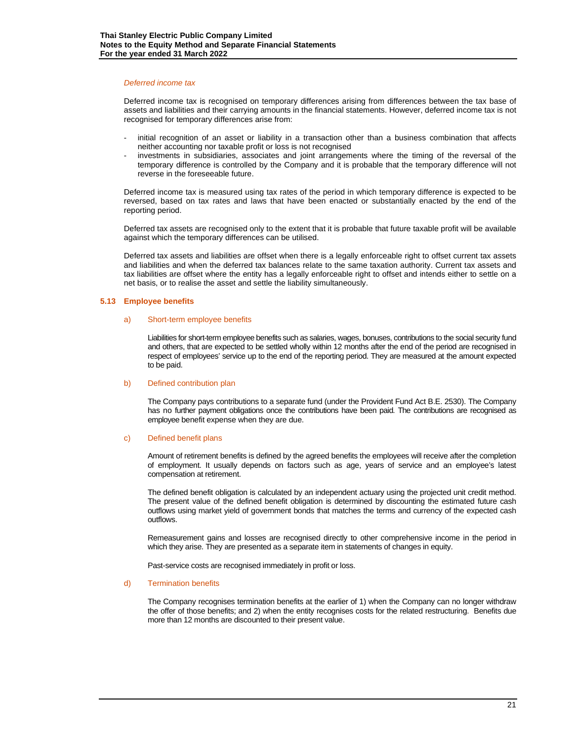#### *Deferred income tax*

Deferred income tax is recognised on temporary differences arising from differences between the tax base of assets and liabilities and their carrying amounts in the financial statements. However, deferred income tax is not recognised for temporary differences arise from:

- initial recognition of an asset or liability in a transaction other than a business combination that affects neither accounting nor taxable profit or loss is not recognised
- investments in subsidiaries, associates and joint arrangements where the timing of the reversal of the temporary difference is controlled by the Company and it is probable that the temporary difference will not reverse in the foreseeable future.

Deferred income tax is measured using tax rates of the period in which temporary difference is expected to be reversed, based on tax rates and laws that have been enacted or substantially enacted by the end of the reporting period.

Deferred tax assets are recognised only to the extent that it is probable that future taxable profit will be available against which the temporary differences can be utilised.

Deferred tax assets and liabilities are offset when there is a legally enforceable right to offset current tax assets and liabilities and when the deferred tax balances relate to the same taxation authority. Current tax assets and tax liabilities are offset where the entity has a legally enforceable right to offset and intends either to settle on a net basis, or to realise the asset and settle the liability simultaneously.

#### **5.13 Employee benefits**

#### a) Short-term employee benefits

Liabilities for short-term employee benefits such as salaries, wages, bonuses, contributions to the social security fund and others, that are expected to be settled wholly within 12 months after the end of the period are recognised in respect of employees' service up to the end of the reporting period. They are measured at the amount expected to be paid.

#### b) Defined contribution plan

The Company pays contributions to a separate fund (under the Provident Fund Act B.E. 2530). The Company has no further payment obligations once the contributions have been paid. The contributions are recognised as employee benefit expense when they are due.

#### c) Defined benefit plans

Amount of retirement benefits is defined by the agreed benefits the employees will receive after the completion of employment. It usually depends on factors such as age, years of service and an employee's latest compensation at retirement.

The defined benefit obligation is calculated by an independent actuary using the projected unit credit method. The present value of the defined benefit obligation is determined by discounting the estimated future cash outflows using market yield of government bonds that matches the terms and currency of the expected cash outflows.

Remeasurement gains and losses are recognised directly to other comprehensive income in the period in which they arise. They are presented as a separate item in statements of changes in equity.

Past-service costs are recognised immediately in profit or loss.

#### d) Termination benefits

The Company recognises termination benefits at the earlier of 1) when the Company can no longer withdraw the offer of those benefits; and 2) when the entity recognises costs for the related restructuring. Benefits due more than 12 months are discounted to their present value.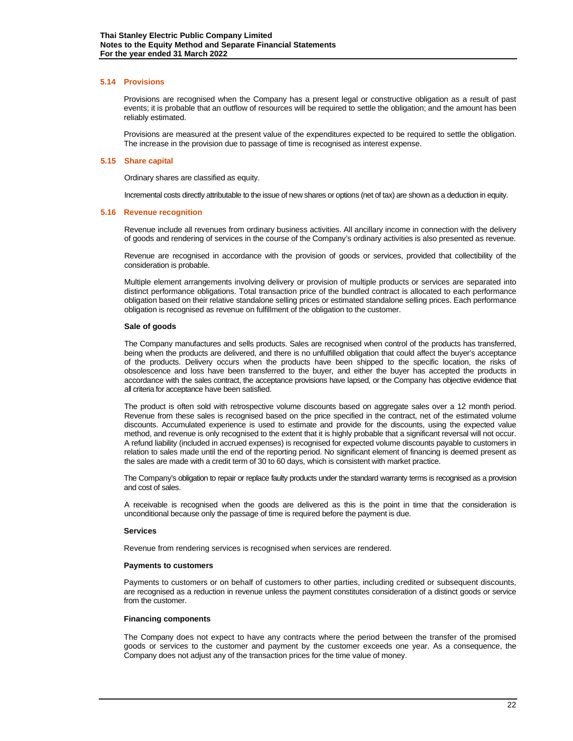#### **5.14 Provisions**

Provisions are recognised when the Company has a present legal or constructive obligation as a result of past events; it is probable that an outflow of resources will be required to settle the obligation; and the amount has been reliably estimated.

Provisions are measured at the present value of the expenditures expected to be required to settle the obligation. The increase in the provision due to passage of time is recognised as interest expense.

#### **5.15 Share capital**

Ordinary shares are classified as equity.

Incremental costs directly attributable to the issue of new shares or options (net of tax) are shown as a deduction in equity.

#### **5.16 Revenue recognition**

Revenue include all revenues from ordinary business activities. All ancillary income in connection with the delivery of goods and rendering of services in the course of the Company's ordinary activities is also presented as revenue.

Revenue are recognised in accordance with the provision of goods or services, provided that collectibility of the consideration is probable.

Multiple element arrangements involving delivery or provision of multiple products or services are separated into distinct performance obligations. Total transaction price of the bundled contract is allocated to each performance obligation based on their relative standalone selling prices or estimated standalone selling prices. Each performance obligation is recognised as revenue on fulfillment of the obligation to the customer.

#### **Sale of goods**

The Company manufactures and sells products. Sales are recognised when control of the products has transferred, being when the products are delivered, and there is no unfulfilled obligation that could affect the buyer's acceptance of the products. Delivery occurs when the products have been shipped to the specific location, the risks of obsolescence and loss have been transferred to the buyer, and either the buyer has accepted the products in accordance with the sales contract, the acceptance provisions have lapsed, or the Company has objective evidence that all criteria for acceptance have been satisfied.

The product is often sold with retrospective volume discounts based on aggregate sales over a 12 month period. Revenue from these sales is recognised based on the price specified in the contract, net of the estimated volume discounts. Accumulated experience is used to estimate and provide for the discounts, using the expected value method, and revenue is only recognised to the extent that it is highly probable that a significant reversal will not occur. A refund liability (included in accrued expenses) is recognised for expected volume discounts payable to customers in relation to sales made until the end of the reporting period. No significant element of financing is deemed present as the sales are made with a credit term of 30 to 60 days, which is consistent with market practice.

The Company's obligation to repair or replace faulty products under the standard warranty terms is recognised as a provision and cost of sales.

A receivable is recognised when the goods are delivered as this is the point in time that the consideration is unconditional because only the passage of time is required before the payment is due.

#### **Services**

Revenue from rendering services is recognised when services are rendered.

#### **Payments to customers**

Payments to customers or on behalf of customers to other parties, including credited or subsequent discounts, are recognised as a reduction in revenue unless the payment constitutes consideration of a distinct goods or service from the customer.

#### **Financing components**

The Company does not expect to have any contracts where the period between the transfer of the promised goods or services to the customer and payment by the customer exceeds one year. As a consequence, the Company does not adjust any of the transaction prices for the time value of money.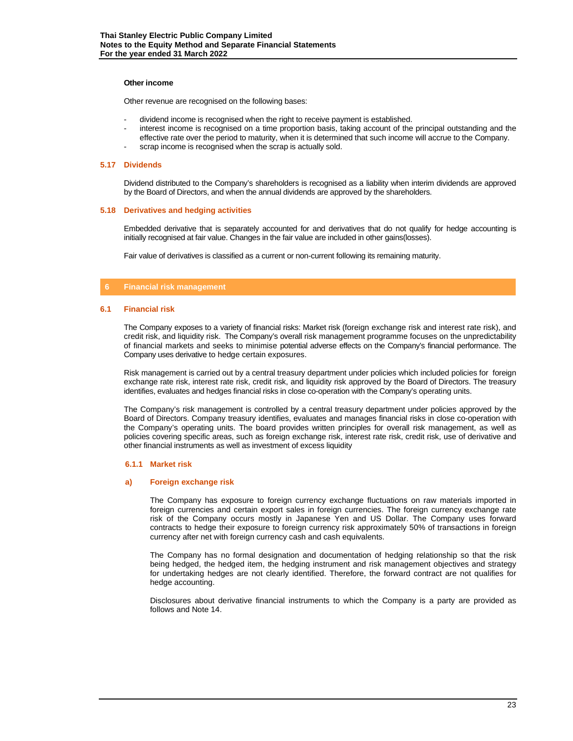#### **Other income**

Other revenue are recognised on the following bases:

- dividend income is recognised when the right to receive payment is established.
- interest income is recognised on a time proportion basis, taking account of the principal outstanding and the effective rate over the period to maturity, when it is determined that such income will accrue to the Company.
- scrap income is recognised when the scrap is actually sold.

#### **5.17 Dividends**

Dividend distributed to the Company's shareholders is recognised as a liability when interim dividends are approved by the Board of Directors, and when the annual dividends are approved by the shareholders.

#### **5.18 Derivatives and hedging activities**

Embedded derivative that is separately accounted for and derivatives that do not qualify for hedge accounting is initially recognised at fair value. Changes in the fair value are included in other gains(losses).

Fair value of derivatives is classified as a current or non-current following its remaining maturity.

# **6 Financial risk management**

#### **6.1 Financial risk**

The Company exposes to a variety of financial risks: Market risk (foreign exchange risk and interest rate risk), and credit risk, and liquidity risk. The Company's overall risk management programme focuses on the unpredictability of financial markets and seeks to minimise potential adverse effects on the Company's financial performance. The Company uses derivative to hedge certain exposures.

Risk management is carried out by a central treasury department under policies which included policies for foreign exchange rate risk, interest rate risk, credit risk, and liquidity risk approved by the Board of Directors. The treasury identifies, evaluates and hedges financial risks in close co-operation with the Company's operating units.

The Company's risk management is controlled by a central treasury department under policies approved by the Board of Directors. Company treasury identifies, evaluates and manages financial risks in close co-operation with the Company's operating units. The board provides written principles for overall risk management, as well as policies covering specific areas, such as foreign exchange risk, interest rate risk, credit risk, use of derivative and other financial instruments as well as investment of excess liquidity

#### **6.1.1 Market risk**

#### **a) Foreign exchange risk**

The Company has exposure to foreign currency exchange fluctuations on raw materials imported in foreign currencies and certain export sales in foreign currencies. The foreign currency exchange rate risk of the Company occurs mostly in Japanese Yen and US Dollar. The Company uses forward contracts to hedge their exposure to foreign currency risk approximately 50% of transactions in foreign currency after net with foreign currency cash and cash equivalents.

The Company has no formal designation and documentation of hedging relationship so that the risk being hedged, the hedged item, the hedging instrument and risk management objectives and strategy for undertaking hedges are not clearly identified. Therefore, the forward contract are not qualifies for hedge accounting.

Disclosures about derivative financial instruments to which the Company is a party are provided as follows and Note 14.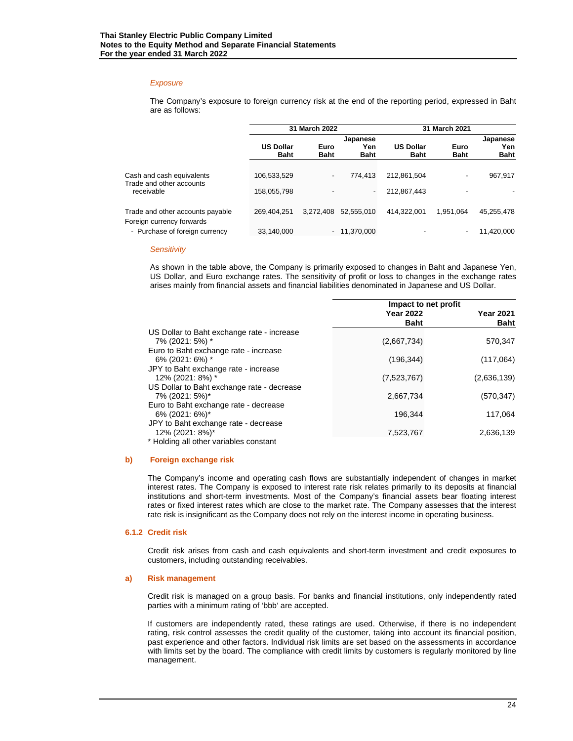# *Exposure*

The Company's exposure to foreign currency risk at the end of the reporting period, expressed in Baht are as follows:

|                                                               |                                 | 31 March 2022       |                          | 31 March 2021                   |                     |                    |  |
|---------------------------------------------------------------|---------------------------------|---------------------|--------------------------|---------------------------------|---------------------|--------------------|--|
|                                                               |                                 |                     | Japanese                 |                                 | Japanese            |                    |  |
|                                                               | <b>US Dollar</b><br><b>Baht</b> | Euro<br><b>Baht</b> | Yen<br><b>Baht</b>       | <b>US Dollar</b><br><b>Baht</b> | Euro<br><b>Baht</b> | Yen<br><b>Baht</b> |  |
| Cash and cash equivalents                                     | 106,533,529                     |                     | 774.413                  | 212.861.504                     | -                   | 967,917            |  |
| Trade and other accounts<br>receivable                        | 158,055,798                     |                     | $\overline{\phantom{a}}$ | 212,867,443                     | -                   |                    |  |
| Trade and other accounts payable<br>Foreign currency forwards | 269,404,251                     | 3.272.408           | 52.555.010               | 414.322.001                     | 1.951.064           | 45,255,478         |  |
| - Purchase of foreign currency                                | 33,140,000                      |                     | $-11,370,000$            |                                 | -                   | 11.420.000         |  |

#### *Sensitivity*

As shown in the table above, the Company is primarily exposed to changes in Baht and Japanese Yen, US Dollar, and Euro exchange rates. The sensitivity of profit or loss to changes in the exchange rates arises mainly from financial assets and financial liabilities denominated in Japanese and US Dollar.

|                                            | Impact to net profit |                  |
|--------------------------------------------|----------------------|------------------|
|                                            | <b>Year 2022</b>     | <b>Year 2021</b> |
|                                            | <b>Baht</b>          | <b>Baht</b>      |
| US Dollar to Baht exchange rate - increase |                      |                  |
| 7% (2021: 5%) *                            | (2,667,734)          | 570,347          |
| Euro to Baht exchange rate - increase      |                      |                  |
| 6% (2021: 6%) *                            | (196, 344)           | (117,064)        |
| JPY to Baht exchange rate - increase       |                      |                  |
| 12% (2021: 8%) *                           | (7,523,767)          | (2,636,139)      |
| US Dollar to Baht exchange rate - decrease |                      |                  |
| 7% (2021: 5%)*                             | 2,667,734            | (570,347)        |
| Euro to Baht exchange rate - decrease      |                      |                  |
| 6% (2021: 6%)*                             | 196.344              | 117,064          |
| JPY to Baht exchange rate - decrease       |                      |                  |
| 12% (2021: 8%)*                            | 7,523,767            | 2,636,139        |
| * Holding all other variables constant     |                      |                  |

#### **b) Foreign exchange risk**

The Company's income and operating cash flows are substantially independent of changes in market interest rates. The Company is exposed to interest rate risk relates primarily to its deposits at financial institutions and short-term investments. Most of the Company's financial assets bear floating interest rates or fixed interest rates which are close to the market rate. The Company assesses that the interest rate risk is insignificant as the Company does not rely on the interest income in operating business.

#### **6.1.2 Credit risk**

Credit risk arises from cash and cash equivalents and short-term investment and credit exposures to customers, including outstanding receivables.

#### **a) Risk management**

Credit risk is managed on a group basis. For banks and financial institutions, only independently rated parties with a minimum rating of 'bbb' are accepted.

If customers are independently rated, these ratings are used. Otherwise, if there is no independent rating, risk control assesses the credit quality of the customer, taking into account its financial position, past experience and other factors. Individual risk limits are set based on the assessments in accordance with limits set by the board. The compliance with credit limits by customers is regularly monitored by line management.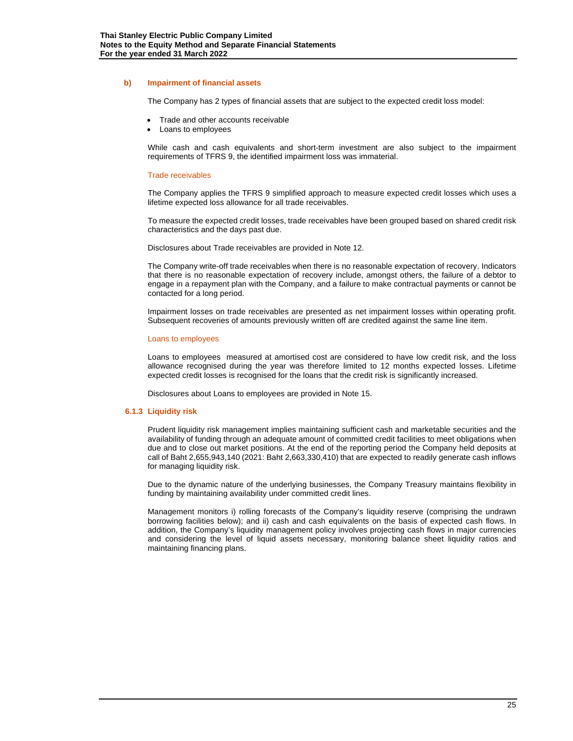#### **b) Impairment of financial assets**

The Company has 2 types of financial assets that are subject to the expected credit loss model:

- Trade and other accounts receivable
- Loans to employees

While cash and cash equivalents and short-term investment are also subject to the impairment requirements of TFRS 9, the identified impairment loss was immaterial.

#### Trade receivables

The Company applies the TFRS 9 simplified approach to measure expected credit losses which uses a lifetime expected loss allowance for all trade receivables.

To measure the expected credit losses, trade receivables have been grouped based on shared credit risk characteristics and the days past due.

Disclosures about Trade receivables are provided in Note 12.

The Company write-off trade receivables when there is no reasonable expectation of recovery. Indicators that there is no reasonable expectation of recovery include, amongst others, the failure of a debtor to engage in a repayment plan with the Company, and a failure to make contractual payments or cannot be contacted for a long period.

Impairment losses on trade receivables are presented as net impairment losses within operating profit. Subsequent recoveries of amounts previously written off are credited against the same line item.

# Loans to employees

Loans to employees measured at amortised cost are considered to have low credit risk, and the loss allowance recognised during the year was therefore limited to 12 months expected losses. Lifetime expected credit losses is recognised for the loans that the credit risk is significantly increased.

Disclosures about Loans to employees are provided in Note 15.

#### **6.1.3 Liquidity risk**

Prudent liquidity risk management implies maintaining sufficient cash and marketable securities and the availability of funding through an adequate amount of committed credit facilities to meet obligations when due and to close out market positions. At the end of the reporting period the Company held deposits at call of Baht 2,655,943,140 (2021: Baht 2,663,330,410) that are expected to readily generate cash inflows for managing liquidity risk.

Due to the dynamic nature of the underlying businesses, the Company Treasury maintains flexibility in funding by maintaining availability under committed credit lines.

Management monitors i) rolling forecasts of the Company's liquidity reserve (comprising the undrawn borrowing facilities below); and ii) cash and cash equivalents on the basis of expected cash flows. In addition, the Company's liquidity management policy involves projecting cash flows in major currencies and considering the level of liquid assets necessary, monitoring balance sheet liquidity ratios and maintaining financing plans.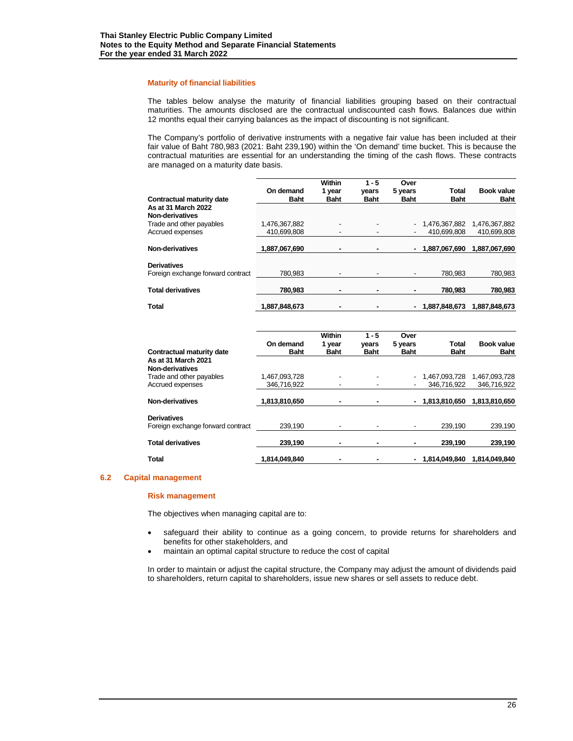#### **Maturity of financial liabilities**

The tables below analyse the maturity of financial liabilities grouping based on their contractual maturities. The amounts disclosed are the contractual undiscounted cash flows. Balances due within 12 months equal their carrying balances as the impact of discounting is not significant.

The Company's portfolio of derivative instruments with a negative fair value has been included at their fair value of Baht 780,983 (2021: Baht 239,190) within the 'On demand' time bucket. This is because the contractual maturities are essential for an understanding the timing of the cash flows. These contracts are managed on a maturity date basis.

|                                   |               | <b>Within</b> | $1 - 5$        | Over        |               |                   |
|-----------------------------------|---------------|---------------|----------------|-------------|---------------|-------------------|
|                                   | On demand     | 1 year        | vears          | 5 years     | Total         | <b>Book value</b> |
| Contractual maturity date         | <b>Baht</b>   | <b>Baht</b>   | <b>Baht</b>    | <b>Baht</b> | <b>Baht</b>   | <b>Baht</b>       |
| As at 31 March 2022               |               |               |                |             |               |                   |
| Non-derivatives                   |               |               |                |             |               |                   |
| Trade and other payables          | 1,476,367,882 |               |                |             | 1,476,367,882 | 1,476,367,882     |
| Accrued expenses                  | 410,699,808   |               |                |             | 410.699.808   | 410,699,808       |
|                                   |               |               |                |             |               |                   |
| Non-derivatives                   | 1,887,067,690 |               |                |             | 1,887,067,690 | 1,887,067,690     |
| <b>Derivatives</b>                |               |               |                |             |               |                   |
| Foreign exchange forward contract | 780.983       |               | $\blacksquare$ |             | 780.983       | 780,983           |
|                                   |               |               |                |             |               |                   |
| <b>Total derivatives</b>          | 780.983       | ۰             | ۰              | ٠           | 780.983       | 780,983           |
|                                   |               |               |                |             |               |                   |
| <b>Total</b>                      | 1,887,848,673 |               |                |             | 1.887.848.673 | 1.887.848.673     |

|                                   |               | Within      | $1 - 5$                  | Over        |                  |                   |
|-----------------------------------|---------------|-------------|--------------------------|-------------|------------------|-------------------|
|                                   | On demand     | 1 year      | years                    | 5 years     | <b>Total</b>     | <b>Book value</b> |
| Contractual maturity date         | <b>Baht</b>   | <b>Baht</b> | <b>Baht</b>              | <b>Baht</b> | <b>Baht</b>      | <b>Baht</b>       |
| As at 31 March 2021               |               |             |                          |             |                  |                   |
| Non-derivatives                   |               |             |                          |             |                  |                   |
| Trade and other payables          | 1.467.093.728 |             |                          |             | 1.467.093.728    | 1.467.093.728     |
| Accrued expenses                  | 346.716.922   |             | ٠                        | ٠           | 346.716.922      | 346,716,922       |
| Non-derivatives                   | 1,813,810,650 |             | ٠                        |             | $-1.813.810.650$ | 1.813.810.650     |
| <b>Derivatives</b>                |               |             |                          |             |                  |                   |
| Foreign exchange forward contract | 239.190       |             | $\overline{\phantom{a}}$ | ۰           | 239.190          | 239,190           |
| <b>Total derivatives</b>          | 239.190       |             |                          |             | 239.190          | 239,190           |
| <b>Total</b>                      | 1.814.049.840 |             |                          |             | $-1.814.049.840$ | 1.814.049.840     |

#### **6.2 Capital management**

#### **Risk management**

The objectives when managing capital are to:

- safeguard their ability to continue as a going concern, to provide returns for shareholders and benefits for other stakeholders, and
- maintain an optimal capital structure to reduce the cost of capital

In order to maintain or adjust the capital structure, the Company may adjust the amount of dividends paid to shareholders, return capital to shareholders, issue new shares or sell assets to reduce debt.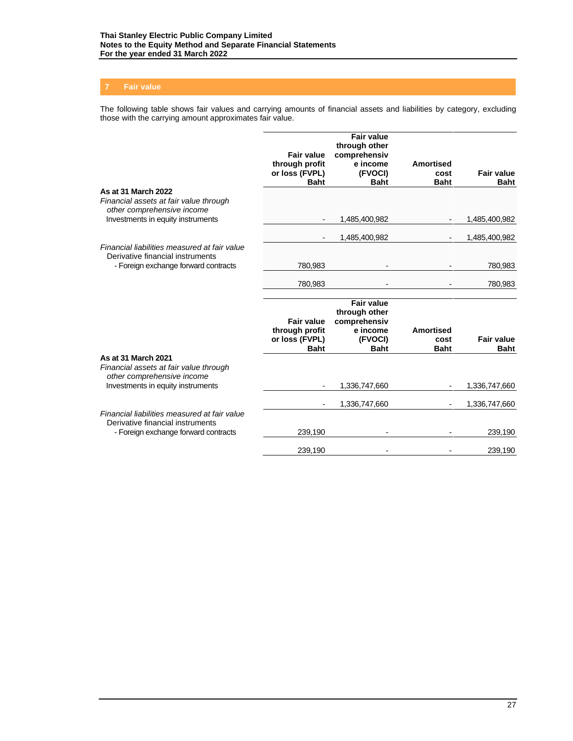The following table shows fair values and carrying amounts of financial assets and liabilities by category, excluding those with the carrying amount approximates fair value.

|                                                                                                                          | <b>Fair value</b><br>through profit<br>or loss (FVPL)<br><b>Baht</b> | <b>Fair value</b><br>through other<br>comprehensiv<br>e income<br>(FVOCI)<br><b>Baht</b> | <b>Amortised</b><br>cost<br><b>Baht</b> | <b>Fair value</b><br><b>Baht</b> |
|--------------------------------------------------------------------------------------------------------------------------|----------------------------------------------------------------------|------------------------------------------------------------------------------------------|-----------------------------------------|----------------------------------|
| As at 31 March 2022<br>Financial assets at fair value through<br>other comprehensive income                              |                                                                      |                                                                                          |                                         |                                  |
| Investments in equity instruments                                                                                        |                                                                      | 1,485,400,982                                                                            |                                         | 1,485,400,982                    |
|                                                                                                                          | $\overline{\phantom{a}}$                                             | 1,485,400,982                                                                            |                                         | 1,485,400,982                    |
| Financial liabilities measured at fair value<br>Derivative financial instruments                                         |                                                                      |                                                                                          |                                         |                                  |
| - Foreign exchange forward contracts                                                                                     | 780,983                                                              |                                                                                          |                                         | 780,983                          |
|                                                                                                                          | 780,983                                                              |                                                                                          |                                         | 780,983                          |
|                                                                                                                          | <b>Fair value</b><br>through profit<br>or loss (FVPL)                | <b>Fair value</b><br>through other<br>comprehensiv<br>e income<br>(FVOCI)                | Amortised<br>cost                       | <b>Fair value</b>                |
|                                                                                                                          | <b>Baht</b>                                                          | <b>Baht</b>                                                                              | <b>Baht</b>                             | <b>Baht</b>                      |
| As at 31 March 2021<br>Financial assets at fair value through<br>other comprehensive income                              |                                                                      |                                                                                          |                                         |                                  |
| Investments in equity instruments                                                                                        |                                                                      | 1,336,747,660                                                                            |                                         | 1,336,747,660                    |
|                                                                                                                          |                                                                      | 1,336,747,660                                                                            |                                         | 1,336,747,660                    |
| Financial liabilities measured at fair value<br>Derivative financial instruments<br>- Foreign exchange forward contracts | 239,190                                                              |                                                                                          |                                         | 239,190                          |
|                                                                                                                          | 239,190                                                              |                                                                                          |                                         | 239,190                          |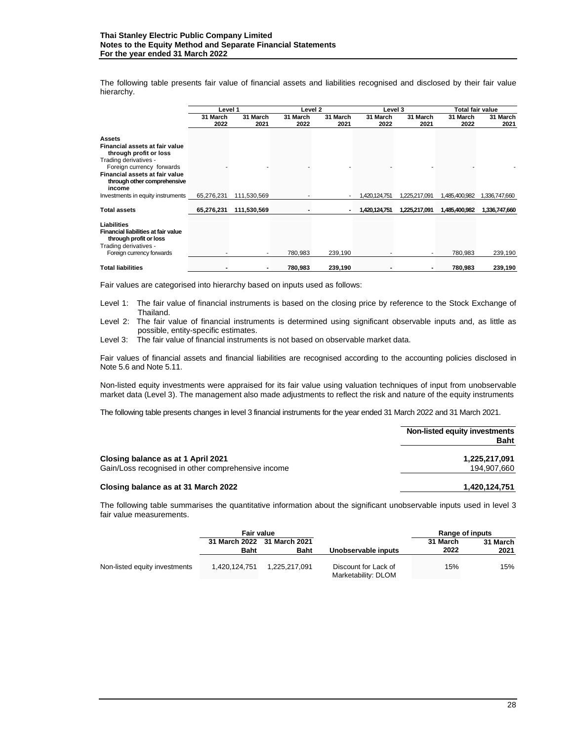The following table presents fair value of financial assets and liabilities recognised and disclosed by their fair value hierarchy.

|                                                                                                                                                                                                     | Level 1          |                  |                  | Level 2          |                  | <b>Total fair value</b><br>Level 3 |                  |                  |
|-----------------------------------------------------------------------------------------------------------------------------------------------------------------------------------------------------|------------------|------------------|------------------|------------------|------------------|------------------------------------|------------------|------------------|
|                                                                                                                                                                                                     | 31 March<br>2022 | 31 March<br>2021 | 31 March<br>2022 | 31 March<br>2021 | 31 March<br>2022 | 31 March<br>2021                   | 31 March<br>2022 | 31 March<br>2021 |
| Assets<br>Financial assets at fair value<br>through profit or loss<br>Trading derivatives -<br>Foreign currency forwards<br>Financial assets at fair value<br>through other comprehensive<br>income |                  |                  |                  |                  |                  |                                    |                  |                  |
| Investments in equity instruments                                                                                                                                                                   | 65,276,231       | 111,530,569      |                  |                  | 1,420,124,751    | 1,225,217,091                      | 1,485,400,982    | 1,336,747,660    |
| <b>Total assets</b>                                                                                                                                                                                 | 65,276,231       | 111,530,569      |                  | $\blacksquare$   | 1,420,124,751    | 1,225,217,091                      | 1,485,400,982    | 1,336,747,660    |
| Liabilities<br>Financial liabilities at fair value<br>through profit or loss<br>Trading derivatives -<br>Foreign currency forwards                                                                  |                  |                  | 780.983          | 239,190          |                  |                                    | 780,983          | 239,190          |
| <b>Total liabilities</b>                                                                                                                                                                            |                  |                  | 780,983          | 239,190          |                  |                                    | 780,983          | 239,190          |

Fair values are categorised into hierarchy based on inputs used as follows:

Level 1: The fair value of financial instruments is based on the closing price by reference to the Stock Exchange of Thailand.

Level 2: The fair value of financial instruments is determined using significant observable inputs and, as little as possible, entity-specific estimates.

Level 3: The fair value of financial instruments is not based on observable market data.

Fair values of financial assets and financial liabilities are recognised according to the accounting policies disclosed in Note 5.6 and Note 5.11.

Non-listed equity investments were appraised for its fair value using valuation techniques of input from unobservable market data (Level 3). The management also made adjustments to reflect the risk and nature of the equity instruments

The following table presents changes in level 3 financial instruments for the year ended 31 March 2022 and 31 March 2021.

|                                                                                          | Non-listed equity investments<br><b>Baht</b> |
|------------------------------------------------------------------------------------------|----------------------------------------------|
| Closing balance as at 1 April 2021<br>Gain/Loss recognised in other comprehensive income | 1,225,217,091<br>194,907,660                 |
| Closing balance as at 31 March 2022                                                      | 1.420.124.751                                |

The following table summarises the quantitative information about the significant unobservable inputs used in level 3 fair value measurements.

|                               | <b>Fair value</b> |                             |                                             | Range of inputs |          |
|-------------------------------|-------------------|-----------------------------|---------------------------------------------|-----------------|----------|
|                               |                   | 31 March 2022 31 March 2021 |                                             | 31 March        | 31 March |
|                               | <b>Baht</b>       | <b>Baht</b>                 | Unobservable inputs                         | 2022            | 2021     |
| Non-listed equity investments | 1.420.124.751     | 1.225.217.091               | Discount for Lack of<br>Marketability: DLOM | 15%             | 15%      |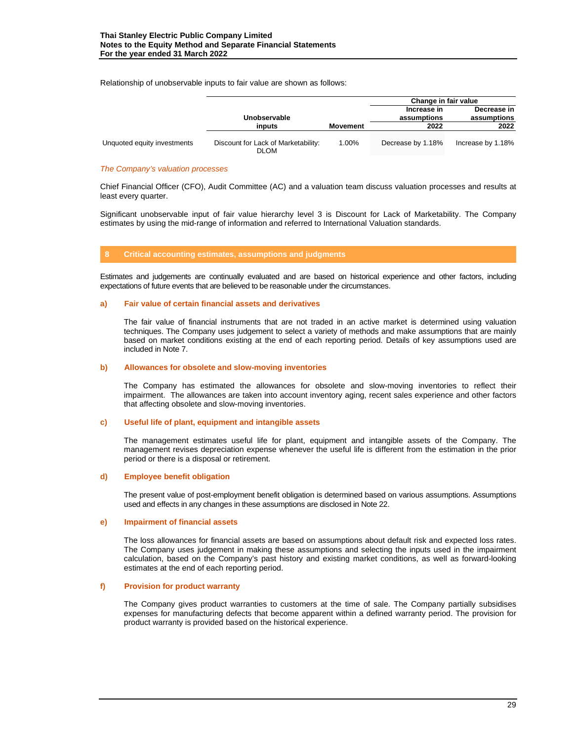Relationship of unobservable inputs to fair value are shown as follows:

|                             |                                                    |          | Change in fair value       |                            |  |
|-----------------------------|----------------------------------------------------|----------|----------------------------|----------------------------|--|
|                             | Unobservable                                       |          | Increase in<br>assumptions | Decrease in<br>assumptions |  |
|                             | inputs                                             | Movement | 2022                       | 2022                       |  |
| Unquoted equity investments | Discount for Lack of Marketability:<br><b>DLOM</b> | 1.00%    | Decrease by 1.18%          | Increase by 1.18%          |  |

#### *The Company's valuation processes*

Chief Financial Officer (CFO), Audit Committee (AC) and a valuation team discuss valuation processes and results at least every quarter.

Significant unobservable input of fair value hierarchy level 3 is Discount for Lack of Marketability. The Company estimates by using the mid-range of information and referred to International Valuation standards.

# **8 Critical accounting estimates, assumptions and judgments**

Estimates and judgements are continually evaluated and are based on historical experience and other factors, including expectations of future events that are believed to be reasonable under the circumstances.

# **a) Fair value of certain financial assets and derivatives**

The fair value of financial instruments that are not traded in an active market is determined using valuation techniques. The Company uses judgement to select a variety of methods and make assumptions that are mainly based on market conditions existing at the end of each reporting period. Details of key assumptions used are included in Note 7.

#### **b) Allowances for obsolete and slow-moving inventories**

The Company has estimated the allowances for obsolete and slow-moving inventories to reflect their impairment. The allowances are taken into account inventory aging, recent sales experience and other factors that affecting obsolete and slow-moving inventories.

#### **c) Useful life of plant, equipment and intangible assets**

The management estimates useful life for plant, equipment and intangible assets of the Company. The management revises depreciation expense whenever the useful life is different from the estimation in the prior period or there is a disposal or retirement.

#### **d) Employee benefit obligation**

The present value of post-employment benefit obligation is determined based on various assumptions. Assumptions used and effects in any changes in these assumptions are disclosed in Note 22.

#### **e) Impairment of financial assets**

The loss allowances for financial assets are based on assumptions about default risk and expected loss rates. The Company uses judgement in making these assumptions and selecting the inputs used in the impairment calculation, based on the Company's past history and existing market conditions, as well as forward-looking estimates at the end of each reporting period.

# **f) Provision for product warranty**

The Company gives product warranties to customers at the time of sale. The Company partially subsidises expenses for manufacturing defects that become apparent within a defined warranty period. The provision for product warranty is provided based on the historical experience.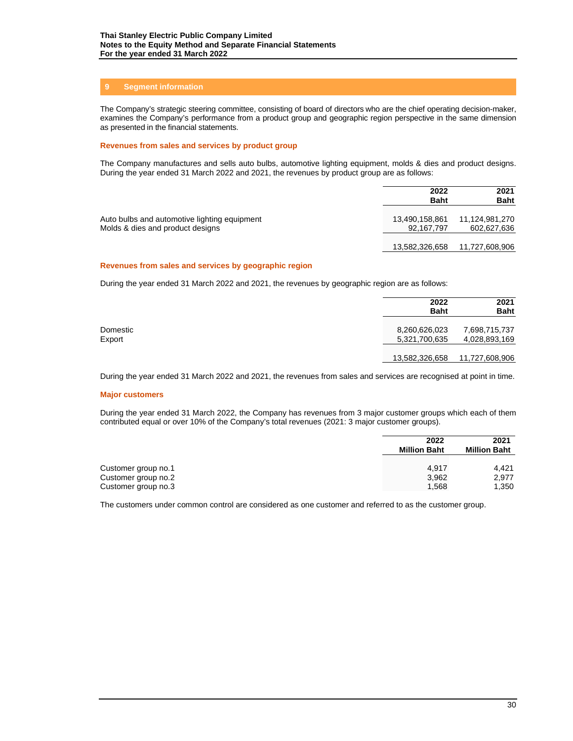# **9 Segment information**

The Company's strategic steering committee, consisting of board of directors who are the chief operating decision-maker, examines the Company's performance from a product group and geographic region perspective in the same dimension as presented in the financial statements.

## **Revenues from sales and services by product group**

The Company manufactures and sells auto bulbs, automotive lighting equipment, molds & dies and product designs. During the year ended 31 March 2022 and 2021, the revenues by product group are as follows:

|                                                                                  | 2022<br><b>Baht</b>          | 2021<br><b>Baht</b>           |
|----------------------------------------------------------------------------------|------------------------------|-------------------------------|
| Auto bulbs and automotive lighting equipment<br>Molds & dies and product designs | 13,490,158,861<br>92.167.797 | 11,124,981,270<br>602,627,636 |
|                                                                                  | 13,582,326,658               | 11,727,608,906                |

#### **Revenues from sales and services by geographic region**

During the year ended 31 March 2022 and 2021, the revenues by geographic region are as follows:

|                    | 2022<br><b>Baht</b>            | 2021<br><b>Baht</b>            |
|--------------------|--------------------------------|--------------------------------|
| Domestic<br>Export | 8,260,626,023<br>5,321,700,635 | 7,698,715,737<br>4,028,893,169 |
|                    | 13,582,326,658                 | 11,727,608,906                 |

During the year ended 31 March 2022 and 2021, the revenues from sales and services are recognised at point in time.

#### **Major customers**

During the year ended 31 March 2022, the Company has revenues from 3 major customer groups which each of them contributed equal or over 10% of the Company's total revenues (2021: 3 major customer groups).

|                     | 2022<br><b>Million Baht</b> | 2021<br><b>Million Baht</b> |
|---------------------|-----------------------------|-----------------------------|
| Customer group no.1 | 4.917                       | 4.421                       |
| Customer group no.2 | 3,962                       | 2.977                       |
| Customer group no.3 | 1,568                       | 1,350                       |

The customers under common control are considered as one customer and referred to as the customer group.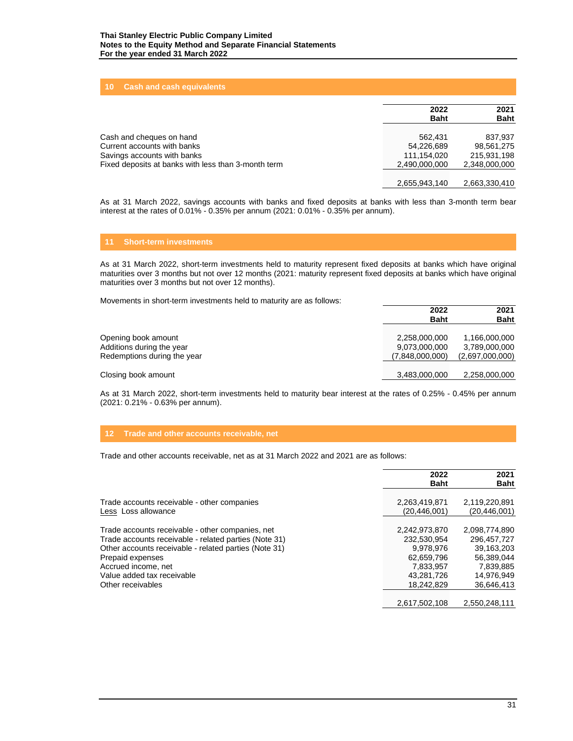# **10 Cash and cash equivalents**

|                                                     | 2022<br><b>Baht</b> | 2021<br><b>Baht</b> |
|-----------------------------------------------------|---------------------|---------------------|
| Cash and cheques on hand                            | 562.431             | 837.937             |
| Current accounts with banks                         | 54.226.689          | 98.561.275          |
| Savings accounts with banks                         | 111.154.020         | 215.931.198         |
| Fixed deposits at banks with less than 3-month term | 2,490,000,000       | 2,348,000,000       |
|                                                     | 2,655,943,140       | 2,663,330,410       |

As at 31 March 2022, savings accounts with banks and fixed deposits at banks with less than 3-month term bear interest at the rates of 0.01% - 0.35% per annum (2021: 0.01% - 0.35% per annum).

# **11 Short-term investments**

As at 31 March 2022, short-term investments held to maturity represent fixed deposits at banks which have original maturities over 3 months but not over 12 months (2021: maturity represent fixed deposits at banks which have original maturities over 3 months but not over 12 months).

Movements in short-term investments held to maturity are as follows:

|                                                                                 | 2022<br><b>Baht</b>                               | 2021<br><b>Baht</b>                               |
|---------------------------------------------------------------------------------|---------------------------------------------------|---------------------------------------------------|
| Opening book amount<br>Additions during the year<br>Redemptions during the year | 2,258,000,000<br>9,073,000,000<br>(7,848,000,000) | 1,166,000,000<br>3,789,000,000<br>(2,697,000,000) |
| Closing book amount                                                             | 3,483,000,000                                     | 2,258,000,000                                     |

As at 31 March 2022, short-term investments held to maturity bear interest at the rates of 0.25% - 0.45% per annum (2021: 0.21% - 0.63% per annum).

#### **12 Trade and other accounts receivable, net**

Trade and other accounts receivable, net as at 31 March 2022 and 2021 are as follows:

|                                                       | 2022<br><b>Baht</b> | 2021<br><b>Baht</b> |
|-------------------------------------------------------|---------------------|---------------------|
| Trade accounts receivable - other companies           | 2,263,419,871       | 2,119,220,891       |
| Less Loss allowance                                   | (20.446.001)        | (20, 446, 001)      |
|                                                       |                     |                     |
| Trade accounts receivable - other companies, net      | 2,242,973,870       | 2,098,774,890       |
| Trade accounts receivable - related parties (Note 31) | 232.530.954         | 296.457.727         |
| Other accounts receivable - related parties (Note 31) | 9.978.976           | 39.163.203          |
| Prepaid expenses                                      | 62,659,796          | 56.389.044          |
| Accrued income, net                                   | 7.833.957           | 7.839.885           |
| Value added tax receivable                            | 43.281.726          | 14.976.949          |
| Other receivables                                     | 18.242.829          | 36.646.413          |
|                                                       |                     |                     |
|                                                       | 2,617,502,108       | 2.550.248.111       |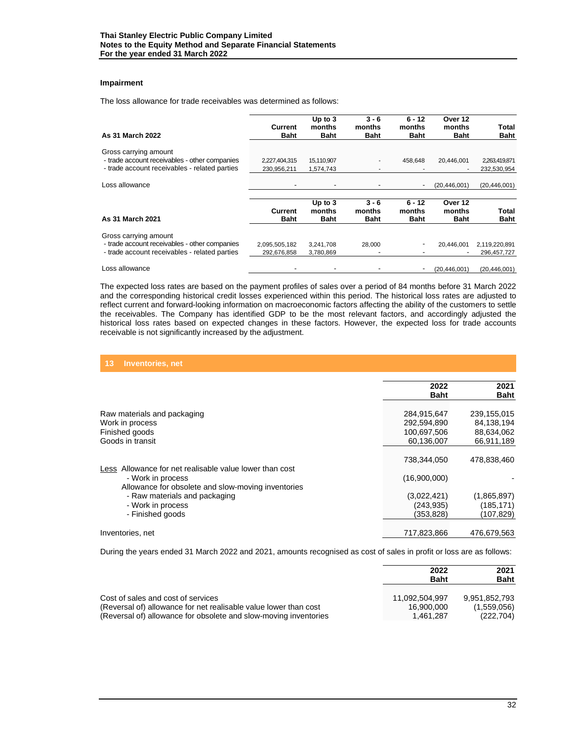# **Impairment**

The loss allowance for trade receivables was determined as follows:

| As 31 March 2022                              | Current<br><b>Baht</b>        | Up to $3$<br>months<br><b>Baht</b> | $3 - 6$<br>months<br><b>Baht</b> | $6 - 12$<br>months<br><b>Baht</b> | Over 12<br>months<br><b>Baht</b> | Total<br>Baht        |
|-----------------------------------------------|-------------------------------|------------------------------------|----------------------------------|-----------------------------------|----------------------------------|----------------------|
| Gross carrying amount                         |                               |                                    |                                  |                                   |                                  |                      |
| - trade account receivables - other companies | 2,227,404,315                 | 15,110,907                         |                                  | 458.648                           | 20,446,001                       | 2,263,419,871        |
| - trade account receivables - related parties | 230,956,211                   | 1,574,743                          |                                  |                                   |                                  | 232,530,954          |
|                                               |                               |                                    |                                  |                                   |                                  |                      |
| Loss allowance                                |                               |                                    |                                  |                                   | (20, 446, 001)                   | (20, 446, 001)       |
|                                               |                               | Up to $3$                          | $3 - 6$                          | $6 - 12$                          | Over 12                          |                      |
| As 31 March 2021                              | <b>Current</b><br><b>Baht</b> | months<br>Baht                     | months<br>Baht                   | months<br>Baht                    | months<br><b>Baht</b>            | Total<br><b>Baht</b> |
| Gross carrying amount                         |                               |                                    |                                  |                                   |                                  |                      |
| - trade account receivables - other companies | 2,095,505,182                 | 3,241,708                          | 28,000                           |                                   | 20,446,001                       | 2,119,220,891        |
| - trade account receivables - related parties | 292,676,858                   | 3,780,869                          |                                  |                                   |                                  | 296,457,727          |
| Loss allowance                                |                               |                                    |                                  |                                   | (20, 446, 001)                   | (20, 446, 001)       |

The expected loss rates are based on the payment profiles of sales over a period of 84 months before 31 March 2022 and the corresponding historical credit losses experienced within this period. The historical loss rates are adjusted to reflect current and forward-looking information on macroeconomic factors affecting the ability of the customers to settle the receivables. The Company has identified GDP to be the most relevant factors, and accordingly adjusted the historical loss rates based on expected changes in these factors. However, the expected loss for trade accounts receivable is not significantly increased by the adjustment.

| 13<br><b>Inventories, net</b>                                                                                                |                                                         |                                                       |
|------------------------------------------------------------------------------------------------------------------------------|---------------------------------------------------------|-------------------------------------------------------|
|                                                                                                                              | 2022<br><b>Baht</b>                                     | 2021<br>Baht                                          |
| Raw materials and packaging<br>Work in process<br>Finished goods<br>Goods in transit                                         | 284,915,647<br>292,594,890<br>100,697,506<br>60,136,007 | 239,155,015<br>84,138,194<br>88,634,062<br>66,911,189 |
| Less Allowance for net realisable value lower than cost<br>- Work in process                                                 | 738,344,050<br>(16,900,000)                             | 478,838,460                                           |
| Allowance for obsolete and slow-moving inventories<br>- Raw materials and packaging<br>- Work in process<br>- Finished goods | (3,022,421)<br>(243, 935)<br>(353,828)                  | (1,865,897)<br>(185, 171)<br>(107,829)                |
| Inventories, net                                                                                                             | 717,823,866                                             | 476,679,563                                           |

During the years ended 31 March 2022 and 2021, amounts recognised as cost of sales in profit or loss are as follows:

|                                                                  | 2022<br><b>Baht</b> | 2021<br><b>Baht</b> |
|------------------------------------------------------------------|---------------------|---------------------|
| Cost of sales and cost of services                               | 11.092.504.997      | 9.951.852.793       |
| (Reversal of) allowance for net realisable value lower than cost | 16.900.000          | (1,559,056)         |
| (Reversal of) allowance for obsolete and slow-moving inventories | 1.461.287           | (222, 704)          |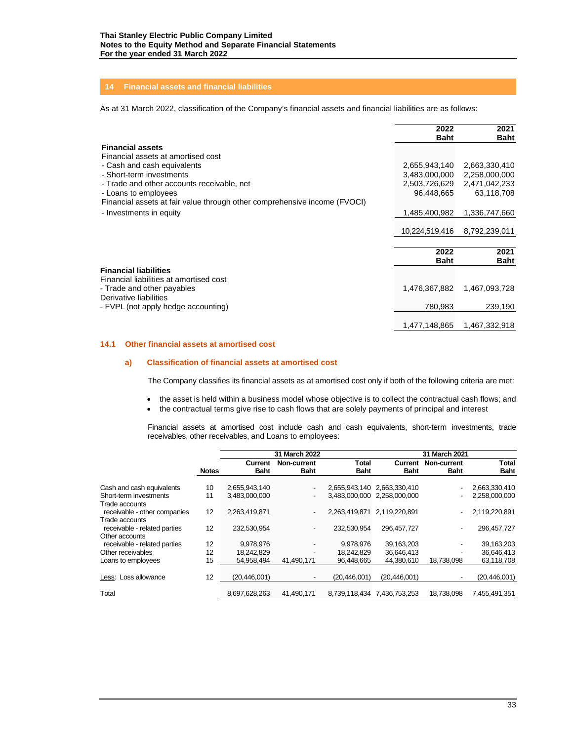# **14 Financial assets and financial liabilities**

As at 31 March 2022, classification of the Company's financial assets and financial liabilities are as follows:

|                                                                           | 2022           | 2021          |
|---------------------------------------------------------------------------|----------------|---------------|
|                                                                           | <b>Baht</b>    | <b>Baht</b>   |
| <b>Financial assets</b>                                                   |                |               |
| Financial assets at amortised cost                                        |                |               |
| - Cash and cash equivalents                                               | 2,655,943,140  | 2,663,330,410 |
| - Short-term investments                                                  | 3,483,000,000  | 2,258,000,000 |
| - Trade and other accounts receivable, net                                | 2,503,726,629  | 2,471,042,233 |
| - Loans to employees                                                      | 96,448,665     | 63,118,708    |
| Financial assets at fair value through other comprehensive income (FVOCI) |                |               |
| - Investments in equity                                                   | 1,485,400,982  | 1,336,747,660 |
|                                                                           |                |               |
|                                                                           | 10,224,519,416 | 8,792,239,011 |
|                                                                           |                |               |
|                                                                           | 2022           | 2021          |
|                                                                           | <b>Baht</b>    | <b>Baht</b>   |
| <b>Financial liabilities</b>                                              |                |               |
| Financial liabilities at amortised cost                                   |                |               |
| - Trade and other payables                                                | 1,476,367,882  | 1,467,093,728 |
| Derivative liabilities                                                    |                |               |
| - FVPL (not apply hedge accounting)                                       | 780.983        | 239,190       |
|                                                                           |                |               |
|                                                                           | 1,477,148,865  | 1,467,332,918 |

# **14.1 Other financial assets at amortised cost**

# **a) Classification of financial assets at amortised cost**

The Company classifies its financial assets as at amortised cost only if both of the following criteria are met:

- the asset is held within a business model whose objective is to collect the contractual cash flows; and
- the contractual terms give rise to cash flows that are solely payments of principal and interest

Financial assets at amortised cost include cash and cash equivalents, short-term investments, trade receivables, other receivables, and Loans to employees:

|                                                |              |               | 31 March 2022            |                |                             | 31 March 2021 |               |
|------------------------------------------------|--------------|---------------|--------------------------|----------------|-----------------------------|---------------|---------------|
|                                                |              | Current       | Non-current              | <b>Total</b>   | Current                     | Non-current   | <b>Total</b>  |
|                                                | <b>Notes</b> | <b>Baht</b>   | <b>Baht</b>              | <b>Baht</b>    | <b>Baht</b>                 | <b>Baht</b>   | Baht          |
| Cash and cash equivalents                      | 10           | 2,655,943,140 | $\overline{\phantom{a}}$ |                | 2,655,943,140 2,663,330,410 |               | 2,663,330,410 |
| Short-term investments<br>Trade accounts       | 11           | 3,483,000,000 | $\overline{\phantom{a}}$ |                | 3.483.000.000 2.258.000.000 |               | 2,258,000,000 |
| receivable - other companies<br>Trade accounts | 12           | 2,263,419,871 | $\overline{\phantom{a}}$ | 2,263,419,871  | 2,119,220,891               |               | 2,119,220,891 |
| receivable - related parties<br>Other accounts | 12           | 232,530,954   | $\overline{\phantom{a}}$ | 232.530.954    | 296.457.727                 |               | 296, 457, 727 |
| receivable - related parties                   | 12           | 9,978,976     |                          | 9,978,976      | 39,163,203                  |               | 39,163,203    |
| Other receivables                              | 12           | 18,242,829    | -                        | 18,242,829     | 36,646,413                  |               | 36,646,413    |
| Loans to employees                             | 15           | 54.958.494    | 41.490.171               | 96.448.665     | 44.380.610                  | 18.738.098    | 63,118,708    |
| Less: Loss allowance                           | 12           | (20.446.001)  | ٠                        | (20, 446, 001) | (20, 446, 001)              |               | (20,446,001)  |
| Total                                          |              | 8,697,628,263 | 41.490.171               | 8.739.118.434  | 7.436.753.253               | 18.738.098    | 7,455,491,351 |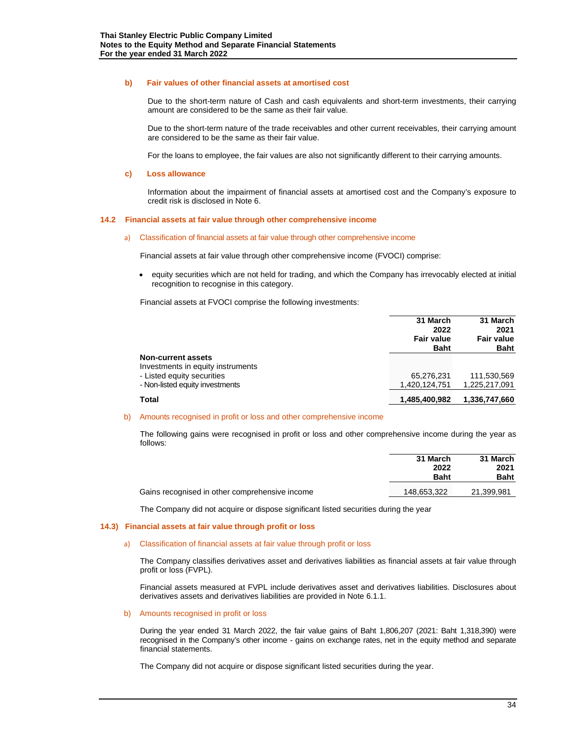#### **b) Fair values of other financial assets at amortised cost**

Due to the short-term nature of Cash and cash equivalents and short-term investments, their carrying amount are considered to be the same as their fair value.

Due to the short-term nature of the trade receivables and other current receivables, their carrying amount are considered to be the same as their fair value.

For the loans to employee, the fair values are also not significantly different to their carrying amounts.

#### **c) Loss allowance**

Information about the impairment of financial assets at amortised cost and the Company's exposure to credit risk is disclosed in Note 6.

#### **14.2 Financial assets at fair value through other comprehensive income**

#### a) Classification of financial assets at fair value through other comprehensive income

Financial assets at fair value through other comprehensive income (FVOCI) comprise:

• equity securities which are not held for trading, and which the Company has irrevocably elected at initial recognition to recognise in this category.

Financial assets at FVOCI comprise the following investments:

|                                   | 31 March<br>2022<br><b>Fair value</b><br><b>Baht</b> | 31 March<br>2021<br><b>Fair value</b><br><b>Baht</b> |
|-----------------------------------|------------------------------------------------------|------------------------------------------------------|
| <b>Non-current assets</b>         |                                                      |                                                      |
| Investments in equity instruments |                                                      |                                                      |
| - Listed equity securities        | 65,276,231                                           | 111,530,569                                          |
| - Non-listed equity investments   | 1,420,124,751                                        | 1.225.217.091                                        |
| <b>Total</b>                      | 1.485.400.982                                        | 1,336,747,660                                        |

#### b) Amounts recognised in profit or loss and other comprehensive income

The following gains were recognised in profit or loss and other comprehensive income during the year as follows:

|                                                | 31 March<br>2022<br><b>Baht</b> | 31 March<br>2021<br><b>Baht</b> |
|------------------------------------------------|---------------------------------|---------------------------------|
| Gains recognised in other comprehensive income | 148,653,322                     | 21,399,981                      |

The Company did not acquire or dispose significant listed securities during the year

#### **14.3) Financial assets at fair value through profit or loss**

#### a) Classification of financial assets at fair value through profit or loss

The Company classifies derivatives asset and derivatives liabilities as financial assets at fair value through profit or loss (FVPL).

Financial assets measured at FVPL include derivatives asset and derivatives liabilities. Disclosures about derivatives assets and derivatives liabilities are provided in Note 6.1.1.

#### b) Amounts recognised in profit or loss

During the year ended 31 March 2022, the fair value gains of Baht 1,806,207 (2021: Baht 1,318,390) were recognised in the Company's other income - gains on exchange rates, net in the equity method and separate financial statements.

The Company did not acquire or dispose significant listed securities during the year.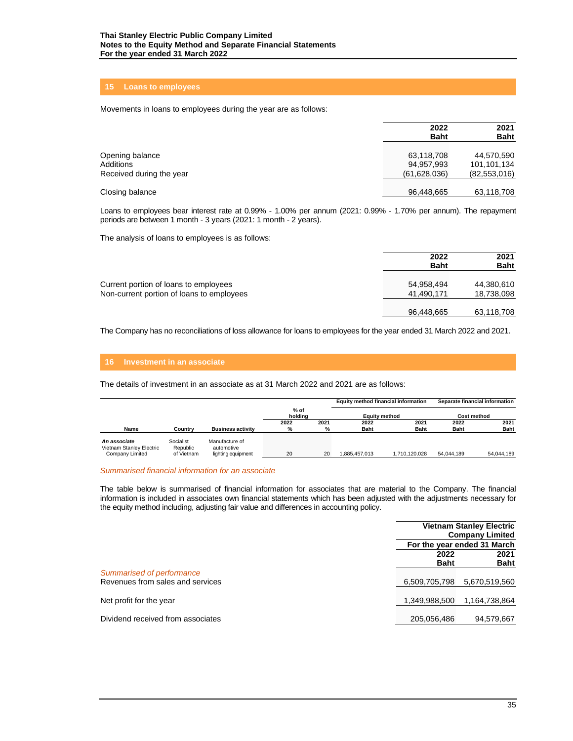# **15 Loans to employees**

Movements in loans to employees during the year are as follows:

|                                                          | 2022<br><b>Baht</b>                        | 2021<br><b>Baht</b>                         |
|----------------------------------------------------------|--------------------------------------------|---------------------------------------------|
| Opening balance<br>Additions<br>Received during the year | 63,118,708<br>94,957,993<br>(61, 628, 036) | 44,570,590<br>101,101,134<br>(82, 553, 016) |
| Closing balance                                          | 96,448,665                                 | 63,118,708                                  |

Loans to employees bear interest rate at 0.99% - 1.00% per annum (2021: 0.99% - 1.70% per annum). The repayment periods are between 1 month - 3 years (2021: 1 month - 2 years).

The analysis of loans to employees is as follows:

|                                                                                    | 2022<br><b>Baht</b>      | 2021<br><b>Baht</b>      |
|------------------------------------------------------------------------------------|--------------------------|--------------------------|
| Current portion of loans to employees<br>Non-current portion of loans to employees | 54,958,494<br>41,490,171 | 44,380,610<br>18,738,098 |
|                                                                                    | 96,448,665               | 63,118,708               |

The Company has no reconciliations of loss allowance for loans to employees for the year ended 31 March 2022 and 2021.

The details of investment in an associate as at 31 March 2022 and 2021 are as follows:

|                                                             |                                     |                                                    |                 |      | Equity method financial information |               |             | Separate financial information |
|-------------------------------------------------------------|-------------------------------------|----------------------------------------------------|-----------------|------|-------------------------------------|---------------|-------------|--------------------------------|
|                                                             |                                     |                                                    | % of<br>holdina |      | <b>Equity method</b>                |               | Cost method |                                |
|                                                             |                                     |                                                    | 2022            | 2021 | 2022                                | 2021          | 2022        | 2021                           |
| Name                                                        | Country                             | <b>Business activity</b>                           | %               | %    | <b>Baht</b>                         | <b>Baht</b>   | <b>Baht</b> | <b>Baht</b>                    |
| An associate<br>Vietnam Stanley Electric<br>Company Limited | Socialist<br>Republic<br>of Vietnam | Manufacture of<br>automotive<br>lighting equipment | 20              | 20   | 1.885.457.013                       | 1.710.120.028 | 54.044.189  | 54.044.189                     |

#### *Summarised financial information for an associate*

The table below is summarised of financial information for associates that are material to the Company. The financial information is included in associates own financial statements which has been adjusted with the adjustments necessary for the equity method including, adjusting fair value and differences in accounting policy.

|                                                               | <b>Vietnam Stanley Electric</b><br><b>Company Limited</b> |                             |
|---------------------------------------------------------------|-----------------------------------------------------------|-----------------------------|
|                                                               |                                                           | For the year ended 31 March |
|                                                               | 2022<br><b>Baht</b>                                       | 2021<br><b>Baht</b>         |
| Summarised of performance<br>Revenues from sales and services | 6,509,705,798                                             | 5,670,519,560               |
| Net profit for the year                                       | 1,349,988,500                                             | 1.164.738.864               |
| Dividend received from associates                             | 205,056,486                                               | 94,579,667                  |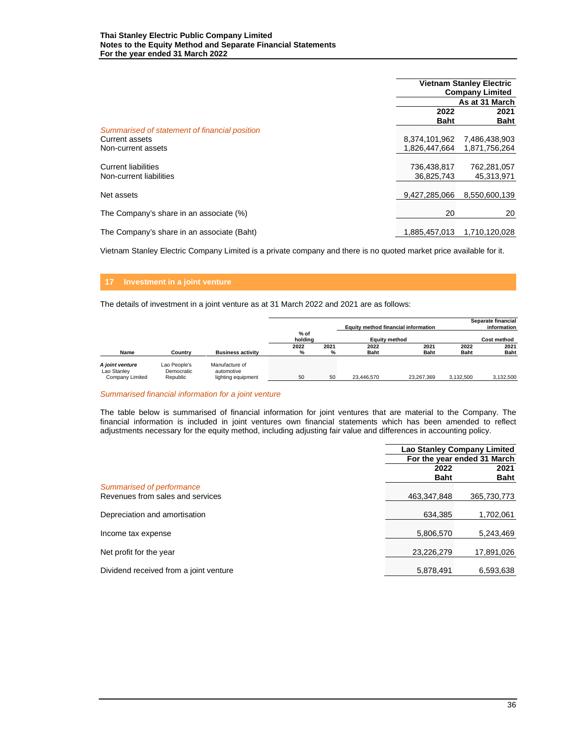|                                                       |                           | <b>Vietnam Stanley Electric</b><br><b>Company Limited</b> |  |  |
|-------------------------------------------------------|---------------------------|-----------------------------------------------------------|--|--|
|                                                       |                           | As at 31 March                                            |  |  |
|                                                       | 2022                      | 2021                                                      |  |  |
| Summarised of statement of financial position         | <b>Baht</b>               | <b>Baht</b>                                               |  |  |
| Current assets                                        | 8.374.101.962             | 7,486,438,903                                             |  |  |
| Non-current assets                                    | 1.826.447.664             | 1.871.756.264                                             |  |  |
| <b>Current liabilities</b><br>Non-current liabilities | 736,438,817<br>36,825,743 | 762,281,057<br>45,313,971                                 |  |  |
| Net assets                                            | 9,427,285,066             | 8,550,600,139                                             |  |  |
| The Company's share in an associate (%)               | 20                        | 20                                                        |  |  |
| The Company's share in an associate (Baht)            | 1.885.457.013             | 1.710.120.028                                             |  |  |

Vietnam Stanley Electric Company Limited is a private company and there is no quoted market price available for it.

# **17 Investment in a joint venture**

The details of investment in a joint venture as at 31 March 2022 and 2021 are as follows:

|                                                   |                                        |                                                    |                   |      | Equity method financial information |               |             | Separate financial<br>information |
|---------------------------------------------------|----------------------------------------|----------------------------------------------------|-------------------|------|-------------------------------------|---------------|-------------|-----------------------------------|
|                                                   |                                        |                                                    | $%$ of<br>holdina |      |                                     | Equity method |             | <b>Cost method</b>                |
|                                                   |                                        |                                                    | 2022              | 2021 | 2022                                | 2021          | 2022        | 2021                              |
| Name                                              | Country                                | <b>Business activity</b>                           | %                 | %    | <b>Baht</b>                         | <b>Baht</b>   | <b>Baht</b> | <b>Baht</b>                       |
| A joint venture<br>Lao Stanley<br>Company Limited | Lao People's<br>Democratic<br>Republic | Manufacture of<br>automotive<br>lighting equipment | 50                | 50   | 23.446.570                          | 23.267.369    | 3.132.500   | 3.132.500                         |

## *Summarised financial information for a joint venture*

The table below is summarised of financial information for joint ventures that are material to the Company. The financial information is included in joint ventures own financial statements which has been amended to reflect adjustments necessary for the equity method, including adjusting fair value and differences in accounting policy.

|                                        | <b>Lao Stanley Company Limited</b> |             |  |
|----------------------------------------|------------------------------------|-------------|--|
|                                        | For the year ended 31 March        |             |  |
|                                        | 2022                               | 2021        |  |
|                                        | <b>Baht</b>                        | <b>Baht</b> |  |
| Summarised of performance              |                                    |             |  |
| Revenues from sales and services       | 463,347,848                        | 365,730,773 |  |
|                                        |                                    |             |  |
| Depreciation and amortisation          | 634.385                            | 1,702,061   |  |
|                                        |                                    |             |  |
| Income tax expense                     | 5,806,570                          | 5,243,469   |  |
|                                        |                                    |             |  |
| Net profit for the year                | 23,226,279                         | 17,891,026  |  |
|                                        |                                    |             |  |
| Dividend received from a joint venture | 5.878.491                          | 6.593.638   |  |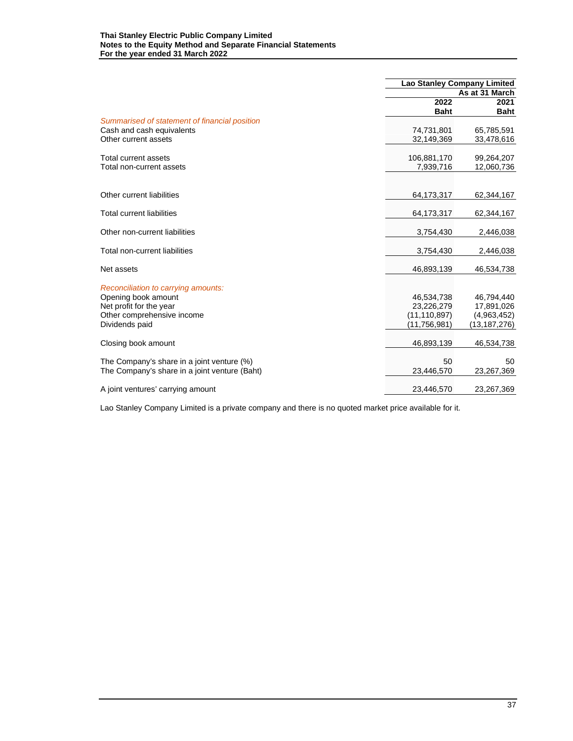#### **Thai Stanley Electric Public Company Limited Notes to the Equity Method and Separate Financial Statements For the year ended 31 March 2022**

|                                               | <b>Lao Stanley Company Limited</b> |                |  |
|-----------------------------------------------|------------------------------------|----------------|--|
|                                               |                                    | As at 31 March |  |
|                                               | 2022                               | 2021           |  |
|                                               | <b>Baht</b>                        | <b>Baht</b>    |  |
| Summarised of statement of financial position |                                    |                |  |
| Cash and cash equivalents                     | 74,731,801                         | 65,785,591     |  |
| Other current assets                          | 32,149,369                         | 33,478,616     |  |
| Total current assets                          | 106,881,170                        | 99,264,207     |  |
| Total non-current assets                      | 7,939,716                          | 12,060,736     |  |
|                                               |                                    |                |  |
| Other current liabilities                     | 64,173,317                         | 62,344,167     |  |
| Total current liabilities                     | 64,173,317                         | 62,344,167     |  |
| Other non-current liabilities                 | 3,754,430                          | 2,446,038      |  |
| Total non-current liabilities                 | 3,754,430                          | 2,446,038      |  |
|                                               |                                    |                |  |
| Net assets                                    | 46,893,139                         | 46,534,738     |  |
| Reconciliation to carrying amounts:           |                                    |                |  |
| Opening book amount                           | 46,534,738                         | 46,794,440     |  |
| Net profit for the year                       | 23,226,279                         | 17,891,026     |  |
| Other comprehensive income                    | (11, 110, 897)                     | (4,963,452)    |  |
| Dividends paid                                | (11, 756, 981)                     | (13,187,276)   |  |
| Closing book amount                           | 46,893,139                         | 46,534,738     |  |
| The Company's share in a joint venture (%)    | 50                                 | 50             |  |
| The Company's share in a joint venture (Baht) | 23,446,570                         | 23,267,369     |  |
|                                               |                                    |                |  |
| A joint ventures' carrying amount             | 23,446,570                         | 23,267,369     |  |

Lao Stanley Company Limited is a private company and there is no quoted market price available for it.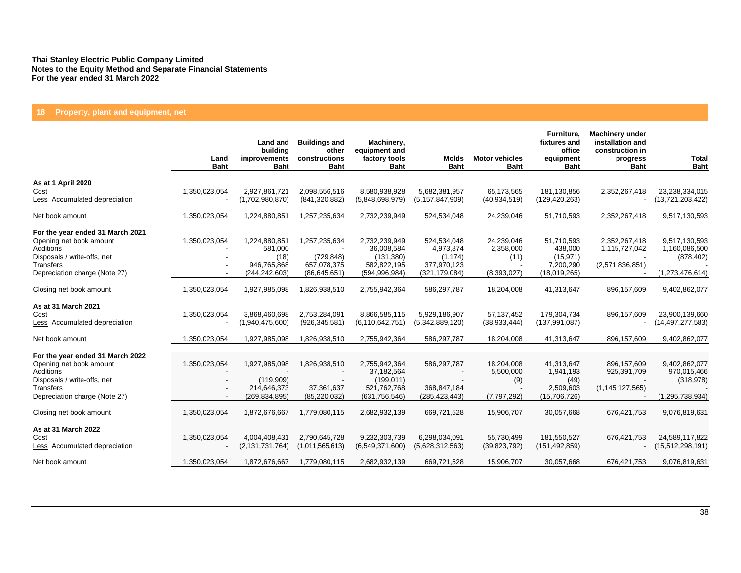# **18 Property, plant and equipment, net**

|                                          | Land<br><b>Baht</b> | Land and<br>building<br>improvements<br><b>Baht</b> | <b>Buildings and</b><br>other<br>constructions<br><b>Baht</b> | Machinery,<br>equipment and<br>factory tools<br><b>Baht</b> | <b>Molds</b><br><b>Baht</b>         | <b>Motor vehicles</b><br><b>Baht</b> | Furniture,<br>fixtures and<br>office<br>equipment<br><b>Baht</b> | <b>Machinery under</b><br>installation and<br>construction in<br>progress<br><b>Baht</b> | <b>Total</b><br><b>Baht</b>        |
|------------------------------------------|---------------------|-----------------------------------------------------|---------------------------------------------------------------|-------------------------------------------------------------|-------------------------------------|--------------------------------------|------------------------------------------------------------------|------------------------------------------------------------------------------------------|------------------------------------|
| As at 1 April 2020                       |                     |                                                     |                                                               |                                                             |                                     |                                      |                                                                  |                                                                                          |                                    |
| Cost<br>Less Accumulated depreciation    | 1,350,023,054       | 2,927,861,721<br>(1,702,980,870)                    | 2,098,556,516<br>(841, 320, 882)                              | 8.580.938.928<br>(5,848,698,979)                            | 5,682,381,957<br>(5, 157, 847, 909) | 65.173.565<br>(40, 934, 519)         | 181,130,856<br>(129, 420, 263)                                   | 2,352,267,418                                                                            | 23,238,334,015<br>(13,721,203,422) |
| Net book amount                          | 1,350,023,054       | 1,224,880,851                                       | 1,257,235,634                                                 | 2,732,239,949                                               | 524,534,048                         | 24,239,046                           | 51,710,593                                                       | 2,352,267,418                                                                            | 9,517,130,593                      |
| For the year ended 31 March 2021         |                     |                                                     |                                                               |                                                             |                                     |                                      |                                                                  |                                                                                          |                                    |
| Opening net book amount                  | 1,350,023,054       | 1,224,880,851                                       | 1,257,235,634                                                 | 2,732,239,949                                               | 524,534,048                         | 24,239,046                           | 51,710,593                                                       | 2,352,267,418                                                                            | 9,517,130,593                      |
| Additions                                |                     | 581,000                                             |                                                               | 36,008,584                                                  | 4,973,874                           | 2,358,000                            | 438,000                                                          | 1,115,727,042                                                                            | 1,160,086,500                      |
| Disposals / write-offs, net              |                     | (18)                                                | (729, 848)                                                    | (131, 380)                                                  | (1, 174)                            | (11)                                 | (15, 971)                                                        |                                                                                          | (878, 402)                         |
| Transfers                                |                     | 946,765,868                                         | 657,078,375                                                   | 582,822,195                                                 | 377,970,123                         |                                      | 7,200,290                                                        | (2,571,836,851)                                                                          |                                    |
| Depreciation charge (Note 27)            |                     | (244, 242, 603)                                     | (86, 645, 651)                                                | (594, 996, 984)                                             | (321, 179, 084)                     | (8,393,027)                          | (18,019,265)                                                     |                                                                                          | (1,273,476,614)                    |
| Closing net book amount                  | 1,350,023,054       | 1,927,985,098                                       | 1,826,938,510                                                 | 2,755,942,364                                               | 586,297,787                         | 18,204,008                           | 41,313,647                                                       | 896,157,609                                                                              | 9,402,862,077                      |
| As at 31 March 2021                      |                     |                                                     |                                                               |                                                             |                                     |                                      |                                                                  |                                                                                          |                                    |
| Cost                                     | 1,350,023,054       | 3,868,460,698                                       | 2,753,284,091                                                 | 8,866,585,115                                               | 5,929,186,907                       | 57,137,452                           | 179,304,734                                                      | 896,157,609                                                                              | 23,900,139,660                     |
| Less Accumulated depreciation            |                     | (1,940,475,600)                                     | (926, 345, 581)                                               | (6, 110, 642, 751)                                          | (5,342,889,120)                     | (38, 933, 444)                       | (137, 991, 087)                                                  |                                                                                          | (14, 497, 277, 583)                |
| Net book amount                          | 1,350,023,054       | 1,927,985,098                                       | 1,826,938,510                                                 | 2,755,942,364                                               | 586,297,787                         | 18,204,008                           | 41,313,647                                                       | 896,157,609                                                                              | 9,402,862,077                      |
|                                          |                     |                                                     |                                                               |                                                             |                                     |                                      |                                                                  |                                                                                          |                                    |
| For the year ended 31 March 2022         |                     |                                                     |                                                               |                                                             |                                     |                                      |                                                                  |                                                                                          |                                    |
| Opening net book amount                  | 1,350,023,054       | 1,927,985,098                                       | 1,826,938,510                                                 | 2,755,942,364                                               | 586,297,787                         | 18.204.008                           | 41,313,647                                                       | 896,157,609                                                                              | 9,402,862,077                      |
| Additions                                |                     |                                                     |                                                               | 37,182,564                                                  | $\overline{\phantom{a}}$            | 5,500,000                            | 1,941,193                                                        | 925,391,709                                                                              | 970,015,466                        |
| Disposals / write-offs, net<br>Transfers |                     | (119,909)<br>214,646,373                            | 37,361,637                                                    | (199, 011)<br>521,762,768                                   | 368,847,184                         | (9)                                  | (49)<br>2,509,603                                                | (1, 145, 127, 565)                                                                       | (318, 978)                         |
| Depreciation charge (Note 27)            |                     | (269, 834, 895)                                     | (85, 220, 032)                                                | (631, 756, 546)                                             | (285, 423, 443)                     | (7,797,292)                          | (15,706,726)                                                     |                                                                                          | (1, 295, 738, 934)                 |
|                                          |                     |                                                     |                                                               |                                                             |                                     |                                      |                                                                  |                                                                                          |                                    |
| Closing net book amount                  | 1,350,023,054       | 1,872,676,667                                       | 1,779,080,115                                                 | 2,682,932,139                                               | 669,721,528                         | 15,906,707                           | 30,057,668                                                       | 676,421,753                                                                              | 9,076,819,631                      |
| As at 31 March 2022                      |                     |                                                     |                                                               |                                                             |                                     |                                      |                                                                  |                                                                                          |                                    |
| Cost                                     | 1,350,023,054       | 4,004,408,431                                       | 2,790,645,728                                                 | 9,232,303,739                                               | 6,298,034,091                       | 55,730,499                           | 181,550,527                                                      | 676,421,753                                                                              | 24,589,117,822                     |
| Less Accumulated depreciation            |                     | (2, 131, 731, 764)                                  | (1,011,565,613)                                               | (6,549,371,600)                                             | (5,628,312,563)                     | (39, 823, 792)                       | (151, 492, 859)                                                  |                                                                                          | (15,512,298,191)                   |
| Net book amount                          | 1,350,023,054       | 1,872,676,667                                       | 1,779,080,115                                                 | 2,682,932,139                                               | 669,721,528                         | 15,906,707                           | 30,057,668                                                       | 676,421,753                                                                              | 9,076,819,631                      |
|                                          |                     |                                                     |                                                               |                                                             |                                     |                                      |                                                                  |                                                                                          |                                    |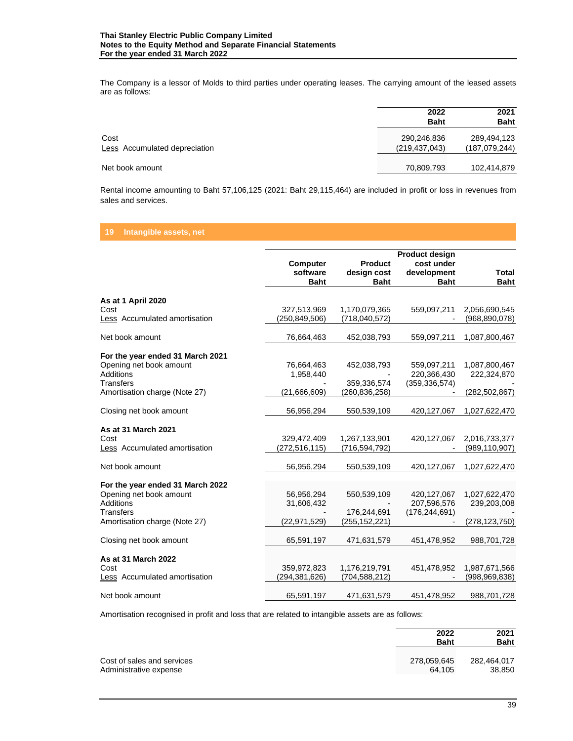The Company is a lessor of Molds to third parties under operating leases. The carrying amount of the leased assets are as follows:

|                                       | 2022<br><b>Baht</b>            | 2021<br><b>Baht</b>            |
|---------------------------------------|--------------------------------|--------------------------------|
| Cost<br>Less Accumulated depreciation | 290,246,836<br>(219, 437, 043) | 289,494,123<br>(187, 079, 244) |
| Net book amount                       | 70,809,793                     | 102,414,879                    |

Rental income amounting to Baht 57,106,125 (2021: Baht 29,115,464) are included in profit or loss in revenues from sales and services.

# **19 Intangible assets, net**

|                 | <b>Product</b>                                                           | cost under                                                                  |                                                                                                                     |
|-----------------|--------------------------------------------------------------------------|-----------------------------------------------------------------------------|---------------------------------------------------------------------------------------------------------------------|
| software        |                                                                          |                                                                             | <b>Total</b>                                                                                                        |
| <b>Baht</b>     | <b>Baht</b>                                                              | <b>Baht</b>                                                                 | <b>Baht</b>                                                                                                         |
|                 |                                                                          |                                                                             |                                                                                                                     |
|                 |                                                                          |                                                                             | 2,056,690,545                                                                                                       |
| (250,849,506)   | (718,040,572)                                                            |                                                                             | (968, 890, 078)                                                                                                     |
| 76,664,463      | 452,038,793                                                              | 559,097,211                                                                 | 1,087,800,467                                                                                                       |
|                 |                                                                          |                                                                             |                                                                                                                     |
|                 |                                                                          |                                                                             | 1,087,800,467                                                                                                       |
|                 |                                                                          |                                                                             | 222,324,870                                                                                                         |
|                 |                                                                          |                                                                             |                                                                                                                     |
| (21,666,609)    | (260,836,258)                                                            |                                                                             | (282, 502, 867)                                                                                                     |
| 56,956,294      | 550,539,109                                                              | 420, 127, 067                                                               | 1,027,622,470                                                                                                       |
|                 |                                                                          |                                                                             |                                                                                                                     |
|                 |                                                                          |                                                                             | 2,016,733,377                                                                                                       |
| (272, 516, 115) | (716, 594, 792)                                                          |                                                                             | (989, 110, 907)                                                                                                     |
| 56,956,294      | 550,539,109                                                              | 420, 127, 067                                                               | 1,027,622,470                                                                                                       |
|                 |                                                                          |                                                                             |                                                                                                                     |
| 56,956,294      | 550,539,109                                                              | 420,127,067                                                                 | 1,027,622,470                                                                                                       |
| 31,606,432      |                                                                          | 207,596,576                                                                 | 239,203,008                                                                                                         |
|                 | 176,244,691                                                              | (176, 244, 691)                                                             |                                                                                                                     |
| (22,971,529)    | (255, 152, 221)                                                          |                                                                             | (278, 123, 750)                                                                                                     |
| 65,591,197      | 471,631,579                                                              | 451,478,952                                                                 | 988,701,728                                                                                                         |
|                 |                                                                          |                                                                             |                                                                                                                     |
| 359,972,823     | 1,176,219,791                                                            | 451,478,952                                                                 | 1,987,671,566                                                                                                       |
| (294,381,626)   | (704, 588, 212)                                                          |                                                                             | (998, 969, 838)                                                                                                     |
| 65,591,197      | 471,631,579                                                              | 451,478,952                                                                 | 988,701,728                                                                                                         |
|                 | <b>Computer</b><br>327,513,969<br>76,664,463<br>1,958,440<br>329,472,409 | design cost<br>1,170,079,365<br>452,038,793<br>359,336,574<br>1,267,133,901 | <b>Product design</b><br>development<br>559,097,211<br>559,097,211<br>220,366,430<br>(359, 336, 574)<br>420,127,067 |

Amortisation recognised in profit and loss that are related to intangible assets are as follows:

|                            | 2022<br><b>Baht</b> | 2021<br><b>Baht</b> |
|----------------------------|---------------------|---------------------|
| Cost of sales and services | 278,059,645         | 282.464.017         |
| Administrative expense     | 64.105              | 38,850              |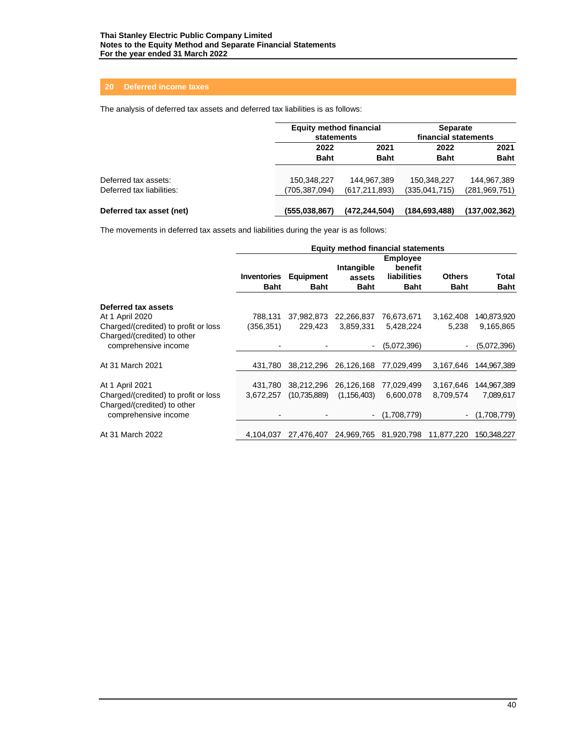# **20 Deferred income taxes**

The analysis of deferred tax assets and deferred tax liabilities is as follows:

|                           | <b>Equity method financial</b><br>statements |                 | <b>Separate</b><br>financial statements |                 |  |
|---------------------------|----------------------------------------------|-----------------|-----------------------------------------|-----------------|--|
|                           | 2021<br>2022                                 |                 | 2022                                    | 2021            |  |
|                           | <b>Baht</b>                                  | <b>Baht</b>     | <b>Baht</b>                             | <b>Baht</b>     |  |
| Deferred tax assets:      | 150,348,227                                  | 144,967,389     | 150,348,227                             | 144,967,389     |  |
| Deferred tax liabilities: | (705,387,094)                                | (617, 211, 893) | (335,041,715)                           | (281, 969, 751) |  |
| Deferred tax asset (net)  | (555.038.867)                                | (472, 244, 504) | (184, 693, 488)                         | (137,002,362)   |  |

The movements in deferred tax assets and liabilities during the year is as follows:

|                                                                     | Equity method financial statements |                          |                                     |                                                          |                              |                      |
|---------------------------------------------------------------------|------------------------------------|--------------------------|-------------------------------------|----------------------------------------------------------|------------------------------|----------------------|
|                                                                     | <b>Inventories</b><br><b>Baht</b>  | Equipment<br><b>Baht</b> | Intangible<br>assets<br><b>Baht</b> | <b>Employee</b><br>benefit<br>liabilities<br><b>Baht</b> | <b>Others</b><br><b>Baht</b> | Total<br><b>Baht</b> |
| Deferred tax assets                                                 |                                    |                          |                                     |                                                          |                              |                      |
| At 1 April 2020                                                     | 788.131                            | 37,982,873               | 22,266,837                          | 76.673,671                                               | 3,162,408                    | 140,873,920          |
| Charged/(credited) to profit or loss<br>Charged/(credited) to other | (356, 351)                         | 229.423                  | 3,859,331                           | 5,428,224                                                | 5,238                        | 9,165,865            |
| comprehensive income                                                |                                    |                          |                                     | (5.072, 396)                                             |                              | (5,072,396)          |
| At 31 March 2021                                                    | 431.780                            | 38,212,296               | 26,126,168                          | 77.029.499                                               | 3,167,646                    | 144,967,389          |
| At 1 April 2021                                                     | 431.780                            | 38,212,296               | 26,126,168                          | 77,029,499                                               | 3,167,646                    | 144,967,389          |
| Charged/(credited) to profit or loss                                | 3,672,257                          | (10,735,889)             | (1, 156, 403)                       | 6,600,078                                                | 8,709,574                    | 7,089,617            |
| Charged/(credited) to other<br>comprehensive income                 |                                    |                          |                                     | (1,708,779)                                              |                              | (1,708,779)          |
| At 31 March 2022                                                    | 4.104.037                          | 27.476.407               |                                     | 24,969,765 81,920,798                                    | 11,877,220                   | 150.348.227          |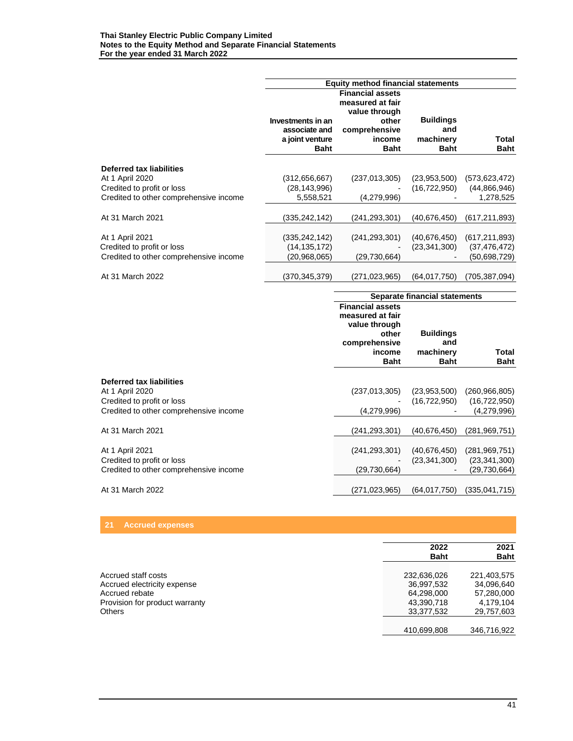|                                               | <b>Equity method financial statements</b>                            |                                                                                                                 |                                                     |                      |  |
|-----------------------------------------------|----------------------------------------------------------------------|-----------------------------------------------------------------------------------------------------------------|-----------------------------------------------------|----------------------|--|
|                                               | Investments in an<br>associate and<br>a joint venture<br><b>Baht</b> | <b>Financial assets</b><br>measured at fair<br>value through<br>other<br>comprehensive<br>income<br><b>Baht</b> | <b>Buildings</b><br>and<br>machinery<br><b>Baht</b> | Total<br><b>Baht</b> |  |
|                                               |                                                                      |                                                                                                                 |                                                     |                      |  |
| Deferred tax liabilities                      | (312, 656, 667)                                                      | (237, 013, 305)                                                                                                 | (23.953.500)                                        | (573, 623, 472)      |  |
| At 1 April 2020<br>Credited to profit or loss | (28, 143, 996)                                                       |                                                                                                                 | (16, 722, 950)                                      | (44,866,946)         |  |
| Credited to other comprehensive income        | 5,558,521                                                            | (4,279,996)                                                                                                     |                                                     | 1,278,525            |  |
|                                               |                                                                      |                                                                                                                 |                                                     |                      |  |
| At 31 March 2021                              | (335,242,142)                                                        | (241,293,301)                                                                                                   | (40,676,450)                                        | (617, 211, 893)      |  |
|                                               |                                                                      |                                                                                                                 |                                                     |                      |  |
| At 1 April 2021                               | (335,242,142)                                                        | (241, 293, 301)                                                                                                 | (40, 676, 450)                                      | (617, 211, 893)      |  |
| Credited to profit or loss                    | (14, 135, 172)                                                       |                                                                                                                 | (23, 341, 300)                                      | (37, 476, 472)       |  |
| Credited to other comprehensive income        | (20,968,065)                                                         | (29, 730, 664)                                                                                                  |                                                     | (50,698,729)         |  |
|                                               |                                                                      |                                                                                                                 |                                                     |                      |  |
| At 31 March 2022                              | (370,345,379)                                                        | (271, 023, 965)                                                                                                 | (64, 017, 750)                                      | (705, 387, 094)      |  |

|                                             |                                                                                                                 | Separate financial statements                       |                             |  |  |
|---------------------------------------------|-----------------------------------------------------------------------------------------------------------------|-----------------------------------------------------|-----------------------------|--|--|
|                                             | <b>Financial assets</b><br>measured at fair<br>value through<br>other<br>comprehensive<br>income<br><b>Baht</b> | <b>Buildings</b><br>and<br>machinery<br><b>Baht</b> | <b>Total</b><br><b>Baht</b> |  |  |
|                                             |                                                                                                                 |                                                     |                             |  |  |
| Deferred tax liabilities<br>At 1 April 2020 | (237, 013, 305)                                                                                                 | (23,953,500)                                        | (260,966,805)               |  |  |
| Credited to profit or loss                  |                                                                                                                 | (16, 722, 950)                                      | (16, 722, 950)              |  |  |
| Credited to other comprehensive income      | (4,279,996)                                                                                                     |                                                     | (4,279,996)                 |  |  |
|                                             |                                                                                                                 |                                                     |                             |  |  |
| At 31 March 2021                            | (241,293,301)                                                                                                   | (40, 676, 450)                                      | (281,969,751)               |  |  |
|                                             |                                                                                                                 |                                                     |                             |  |  |
| At 1 April 2021                             | (241, 293, 301)                                                                                                 | (40, 676, 450)                                      | (281, 969, 751)             |  |  |
| Credited to profit or loss                  |                                                                                                                 | (23, 341, 300)                                      | (23, 341, 300)              |  |  |
| Credited to other comprehensive income      | (29,730,664)                                                                                                    |                                                     | (29,730,664)                |  |  |
|                                             |                                                                                                                 |                                                     |                             |  |  |
| At 31 March 2022                            | (271,023,965)                                                                                                   | (64,017,750)                                        | (335,041,715)               |  |  |

# **21 Accrued expenses**

|                                | 2022<br><b>Baht</b> | 2021<br><b>Baht</b> |
|--------------------------------|---------------------|---------------------|
|                                |                     |                     |
| Accrued staff costs            | 232,636,026         | 221,403,575         |
| Accrued electricity expense    | 36,997,532          | 34,096,640          |
| Accrued rebate                 | 64,298,000          | 57,280,000          |
| Provision for product warranty | 43,390,718          | 4.179.104           |
| Others                         | 33,377,532          | 29,757,603          |
|                                |                     |                     |
|                                | 410,699,808         | 346.716.922         |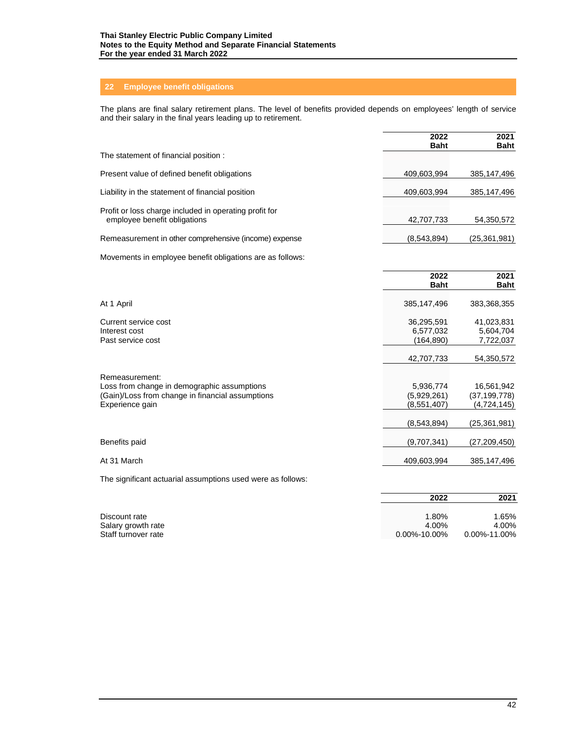# **22 Employee benefit obligations**

The plans are final salary retirement plans. The level of benefits provided depends on employees' length of service and their salary in the final years leading up to retirement.

|                                                                                        | 2022<br><b>Baht</b> | 2021<br><b>Baht</b> |
|----------------------------------------------------------------------------------------|---------------------|---------------------|
| The statement of financial position :                                                  |                     |                     |
| Present value of defined benefit obligations                                           | 409,603,994         | 385,147,496         |
| Liability in the statement of financial position                                       | 409,603,994         | 385,147,496         |
| Profit or loss charge included in operating profit for<br>employee benefit obligations | 42,707,733          | 54,350,572          |
| Remeasurement in other comprehensive (income) expense                                  | (8,543,894)         | (25,361,981)        |

Movements in employee benefit obligations are as follows:

|                                                                                                                                      | 2022<br><b>Baht</b>                     | 2021<br><b>Baht</b>                         |
|--------------------------------------------------------------------------------------------------------------------------------------|-----------------------------------------|---------------------------------------------|
| At 1 April                                                                                                                           | 385,147,496                             | 383,368,355                                 |
| Current service cost<br>Interest cost<br>Past service cost                                                                           | 36,295,591<br>6,577,032<br>(164,890)    | 41,023,831<br>5,604,704<br>7,722,037        |
|                                                                                                                                      | 42,707,733                              | 54,350,572                                  |
| Remeasurement:<br>Loss from change in demographic assumptions<br>(Gain)/Loss from change in financial assumptions<br>Experience gain | 5,936,774<br>(5,929,261)<br>(8,551,407) | 16,561,942<br>(37, 199, 778)<br>(4,724,145) |
|                                                                                                                                      | (8,543,894)                             | (25,361,981)                                |
| Benefits paid                                                                                                                        | (9,707,341)                             | (27,209,450)                                |
| At 31 March                                                                                                                          | 409,603,994                             | 385,147,496                                 |

The significant actuarial assumptions used were as follows:

|                                     | 2022             | 2021               |
|-------------------------------------|------------------|--------------------|
|                                     |                  |                    |
| Discount rate<br>Salary growth rate | 1.80%<br>4.00%   | 1.65%<br>4.00%     |
| Staff turnover rate                 | $0.00\%$ -10.00% | $0.00\% - 11.00\%$ |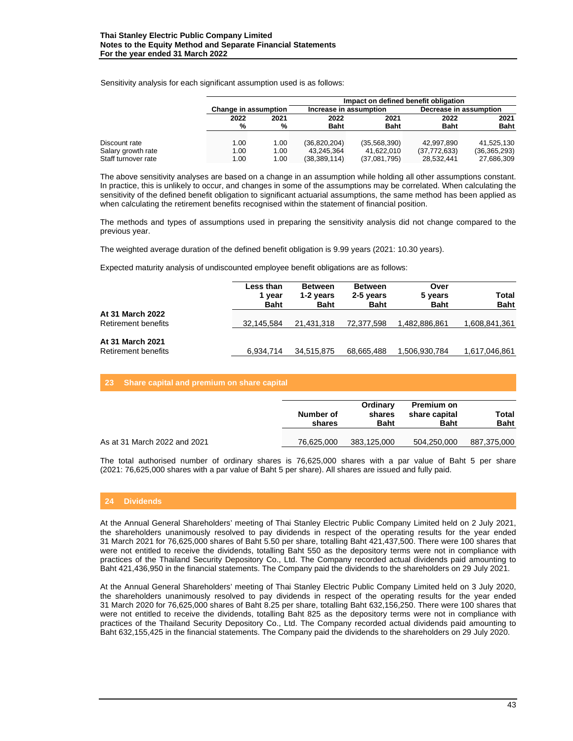|                     |                      | Impact on defined benefit obligation |                        |              |                        |                |  |  |  |  |
|---------------------|----------------------|--------------------------------------|------------------------|--------------|------------------------|----------------|--|--|--|--|
|                     | Change in assumption |                                      | Increase in assumption |              | Decrease in assumption |                |  |  |  |  |
|                     | 2022                 | 2021                                 | 2022                   | 2021         | 2022                   | 2021           |  |  |  |  |
|                     | %                    | %                                    | <b>Baht</b>            | <b>Baht</b>  | <b>Baht</b>            | <b>Baht</b>    |  |  |  |  |
|                     |                      |                                      |                        |              |                        |                |  |  |  |  |
| Discount rate       | 1.00                 | 1.00                                 | (36, 820, 204)         | (35,568,390) | 42.997.890             | 41.525.130     |  |  |  |  |
| Salary growth rate  | 1.00                 | 1.00                                 | 43,245,364             | 41.622.010   | (37,772,633)           | (36, 365, 293) |  |  |  |  |
| Staff turnover rate | 1.00                 | 1.00                                 | (38, 389, 114)         | (37,081,795) | 28,532,441             | 27,686,309     |  |  |  |  |

Sensitivity analysis for each significant assumption used is as follows:

The above sensitivity analyses are based on a change in an assumption while holding all other assumptions constant. In practice, this is unlikely to occur, and changes in some of the assumptions may be correlated. When calculating the sensitivity of the defined benefit obligation to significant actuarial assumptions, the same method has been applied as when calculating the retirement benefits recognised within the statement of financial position.

The methods and types of assumptions used in preparing the sensitivity analysis did not change compared to the previous year.

The weighted average duration of the defined benefit obligation is 9.99 years (2021: 10.30 years).

Expected maturity analysis of undiscounted employee benefit obligations are as follows:

|                                                | Less than<br>1 vear<br><b>Baht</b> | <b>Between</b><br>1-2 years<br><b>Baht</b> | <b>Between</b><br>2-5 years<br><b>Baht</b> | Over<br>5 years<br><b>Baht</b> | Total<br><b>Baht</b> |
|------------------------------------------------|------------------------------------|--------------------------------------------|--------------------------------------------|--------------------------------|----------------------|
| At 31 March 2022<br>Retirement benefits        | 32.145.584                         | 21.431.318                                 | 72.377.598                                 | 1,482,886,861                  | 1,608,841,361        |
| <b>At 31 March 2021</b><br>Retirement benefits | 6.934.714                          | 34.515.875                                 | 68,665,488                                 | 1,506,930,784                  | 1,617,046,861        |

#### **23 Share capital and premium on share capital**

|                              | Number of<br>shares | Ordinary<br>shares<br><b>Baht</b> | Premium on<br>share capital<br><b>Baht</b> | Total<br><b>Baht</b> |
|------------------------------|---------------------|-----------------------------------|--------------------------------------------|----------------------|
| As at 31 March 2022 and 2021 | 76.625.000          | 383.125.000                       | 504,250,000                                | 887,375,000          |

The total authorised number of ordinary shares is 76,625,000 shares with a par value of Baht 5 per share (2021: 76,625,000 shares with a par value of Baht 5 per share). All shares are issued and fully paid.

#### **24 Dividends**

At the Annual General Shareholders' meeting of Thai Stanley Electric Public Company Limited held on 2 July 2021, the shareholders unanimously resolved to pay dividends in respect of the operating results for the year ended 31 March 2021 for 76,625,000 shares of Baht 5.50 per share, totalling Baht 421,437,500. There were 100 shares that were not entitled to receive the dividends, totalling Baht 550 as the depository terms were not in compliance with practices of the Thailand Security Depository Co., Ltd. The Company recorded actual dividends paid amounting to Baht 421,436,950 in the financial statements. The Company paid the dividends to the shareholders on 29 July 2021.

At the Annual General Shareholders' meeting of Thai Stanley Electric Public Company Limited held on 3 July 2020, the shareholders unanimously resolved to pay dividends in respect of the operating results for the year ended 31 March 2020 for 76,625,000 shares of Baht 8.25 per share, totalling Baht 632,156,250. There were 100 shares that were not entitled to receive the dividends, totalling Baht 825 as the depository terms were not in compliance with practices of the Thailand Security Depository Co., Ltd. The Company recorded actual dividends paid amounting to Baht 632,155,425 in the financial statements. The Company paid the dividends to the shareholders on 29 July 2020.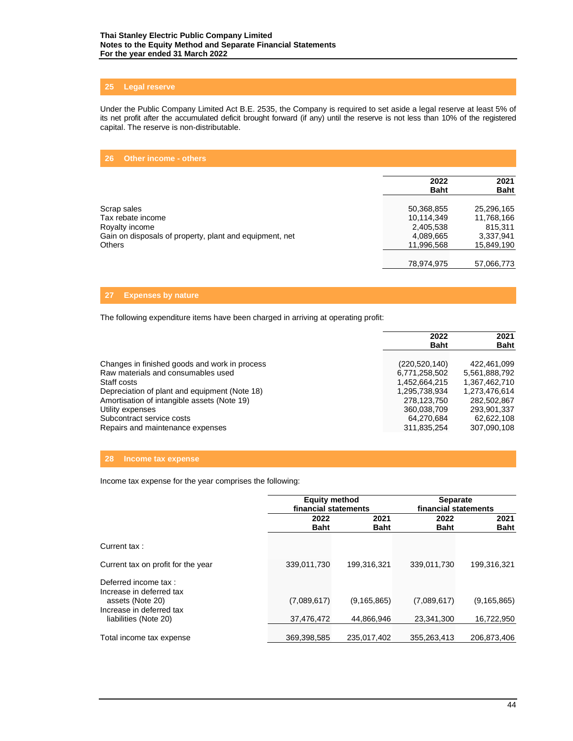# **25 Legal reserve**

Under the Public Company Limited Act B.E. 2535, the Company is required to set aside a legal reserve at least 5% of its net profit after the accumulated deficit brought forward (if any) until the reserve is not less than 10% of the registered capital. The reserve is non-distributable.

# **26 Other income - others**

|                                                         | 2022<br><b>Baht</b> | 2021<br><b>Baht</b> |
|---------------------------------------------------------|---------------------|---------------------|
|                                                         |                     |                     |
| Scrap sales                                             | 50,368,855          | 25,296,165          |
| Tax rebate income                                       | 10,114,349          | 11,768,166          |
| Royalty income                                          | 2,405,538           | 815.311             |
| Gain on disposals of property, plant and equipment, net | 4,089,665           | 3,337,941           |
| <b>Others</b>                                           | 11,996,568          | 15,849,190          |
|                                                         |                     |                     |
|                                                         | 78,974,975          | 57,066,773          |

# **27 Expenses by nature**

The following expenditure items have been charged in arriving at operating profit:

|                                               | 2022<br><b>Baht</b> | 2021<br><b>Baht</b> |
|-----------------------------------------------|---------------------|---------------------|
| Changes in finished goods and work in process | (220, 520, 140)     | 422.461.099         |
| Raw materials and consumables used            | 6,771,258,502       | 5,561,888,792       |
| Staff costs                                   | 1,452,664,215       | 1,367,462,710       |
| Depreciation of plant and equipment (Note 18) | 1,295,738,934       | 1,273,476,614       |
| Amortisation of intangible assets (Note 19)   | 278.123.750         | 282.502.867         |
| Utility expenses                              | 360,038,709         | 293,901,337         |
| Subcontract service costs                     | 64,270,684          | 62.622.108          |
| Repairs and maintenance expenses              | 311,835,254         | 307,090,108         |

# **28 Income tax expense**

Income tax expense for the year comprises the following:

|                                                  | <b>Equity method</b><br>financial statements |               | <b>Separate</b><br>financial statements |                     |  |
|--------------------------------------------------|----------------------------------------------|---------------|-----------------------------------------|---------------------|--|
|                                                  | 2022<br><b>Baht</b>                          |               | 2022<br><b>Baht</b>                     | 2021<br><b>Baht</b> |  |
| Current tax:                                     |                                              |               |                                         |                     |  |
| Current tax on profit for the year               | 339,011,730                                  | 199.316.321   | 339.011.730                             | 199.316.321         |  |
| Deferred income tax:<br>Increase in deferred tax |                                              |               |                                         |                     |  |
| assets (Note 20)<br>Increase in deferred tax     | (7,089,617)                                  | (9, 165, 865) | (7,089,617)                             | (9, 165, 865)       |  |
| liabilities (Note 20)                            | 37,476,472                                   | 44.866.946    | 23.341.300                              | 16,722,950          |  |
| Total income tax expense                         | 369,398,585                                  | 235.017.402   | 355,263,413                             | 206,873,406         |  |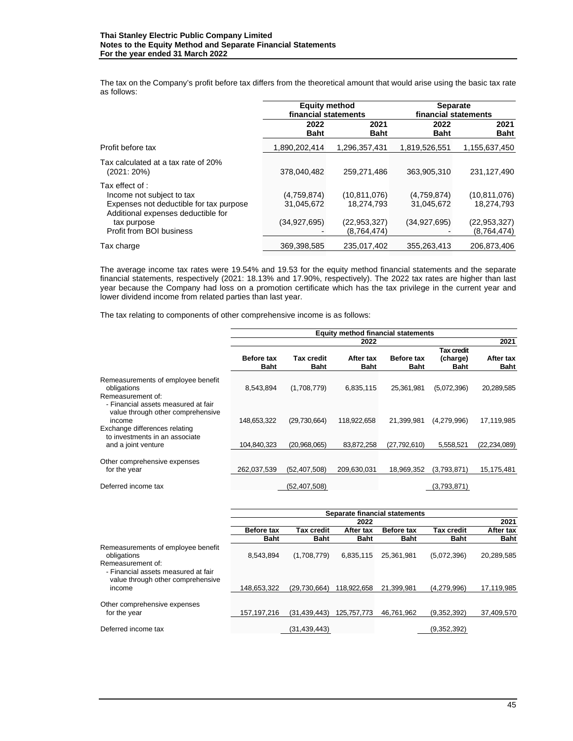The tax on the Company's profit before tax differs from the theoretical amount that would arise using the basic tax rate as follows:

|                                                                                                                                                                          | <b>Equity method</b><br>financial statements |                                                           | <b>Separate</b><br>financial statements   |                                                             |  |
|--------------------------------------------------------------------------------------------------------------------------------------------------------------------------|----------------------------------------------|-----------------------------------------------------------|-------------------------------------------|-------------------------------------------------------------|--|
|                                                                                                                                                                          | 2022<br><b>Baht</b>                          | 2021<br><b>Baht</b>                                       | 2022<br><b>Baht</b>                       | 2021<br><b>Baht</b>                                         |  |
| Profit before tax                                                                                                                                                        | 1,890,202,414                                | 1,296,357,431                                             | 1,819,526,551                             | 1,155,637,450                                               |  |
| Tax calculated at a tax rate of 20%<br>(2021: 20%)                                                                                                                       | 378,040,482                                  | 259.271.486                                               | 363,905,310                               | 231,127,490                                                 |  |
| Tax effect of :<br>Income not subject to tax<br>Expenses not deductible for tax purpose<br>Additional expenses deductible for<br>tax purpose<br>Profit from BOI business | (4,759,874)<br>31,045,672<br>(34,927,695)    | (10.811.076)<br>18.274.793<br>(22,953,327)<br>(8,764,474) | (4,759,874)<br>31.045.672<br>(34.927.695) | (10.811.076)<br>18.274.793<br>(22, 953, 327)<br>(8,764,474) |  |
| Tax charge                                                                                                                                                               | 369,398,585                                  | 235,017,402                                               | 355,263,413                               | 206.873.406                                                 |  |

The average income tax rates were 19.54% and 19.53 for the equity method financial statements and the separate financial statements, respectively (2021: 18.13% and 17.90%, respectively). The 2022 tax rates are higher than last year because the Company had loss on a promotion certificate which has the tax privilege in the current year and lower dividend income from related parties than last year.

The tax relating to components of other comprehensive income is as follows:

|                                                                                                         | <b>Equity method financial statements</b> |                           |                          |                           |                         |                          |  |
|---------------------------------------------------------------------------------------------------------|-------------------------------------------|---------------------------|--------------------------|---------------------------|-------------------------|--------------------------|--|
|                                                                                                         | 2022                                      |                           |                          |                           |                         | 2021                     |  |
|                                                                                                         |                                           |                           |                          |                           | Tax credit              |                          |  |
|                                                                                                         | <b>Before tax</b><br>Baht                 | Tax credit<br><b>Baht</b> | After tax<br><b>Baht</b> | <b>Before tax</b><br>Baht | (charge)<br><b>Baht</b> | After tax<br><b>Baht</b> |  |
| Remeasurements of employee benefit<br>obligations                                                       | 8,543,894                                 | (1,708,779)               | 6,835,115                | 25,361,981                | (5,072,396)             | 20,289,585               |  |
| Remeasurement of:<br>- Financial assets measured at fair<br>value through other comprehensive<br>income | 148,653,322                               | (29,730,664)              | 118,922,658              | 21,399,981                | (4,279,996)             | 17,119,985               |  |
| Exchange differences relating<br>to investments in an associate                                         |                                           |                           |                          |                           |                         |                          |  |
| and a joint venture                                                                                     | 104,840,323                               | (20,968,065)              | 83,872,258               | (27,792,610)              | 5,558,521               | (22, 234, 089)           |  |
| Other comprehensive expenses<br>for the year                                                            | 262,037,539                               | (52, 407, 508)            | 209,630,031              | 18,969,352                | (3,793,871)             | 15,175,481               |  |
|                                                                                                         |                                           |                           |                          |                           |                         |                          |  |
| Deferred income tax                                                                                     |                                           | (52,407,508)              |                          |                           | (3,793,871)             |                          |  |

|                                     | Separate financial statements |                   |             |             |             |             |
|-------------------------------------|-------------------------------|-------------------|-------------|-------------|-------------|-------------|
|                                     | 2022                          |                   |             |             |             | 2021        |
|                                     | <b>Before tax</b>             | <b>Tax credit</b> | After tax   | Before tax  | Tax credit  | After tax   |
|                                     | <b>Baht</b>                   | <b>Baht</b>       | <b>Baht</b> | <b>Baht</b> | <b>Baht</b> | <b>Baht</b> |
| Remeasurements of employee benefit  |                               |                   |             |             |             |             |
| obligations                         | 8.543.894                     | (1,708,779)       | 6.835.115   | 25,361,981  | (5,072,396) | 20,289,585  |
| Remeasurement of:                   |                               |                   |             |             |             |             |
| - Financial assets measured at fair |                               |                   |             |             |             |             |
| value through other comprehensive   |                               |                   |             |             |             |             |
| income                              | 148.653.322                   | (29.730.664)      | 118.922.658 | 21.399.981  | (4.279.996) | 17,119,985  |
|                                     |                               |                   |             |             |             |             |
| Other comprehensive expenses        |                               |                   |             |             |             |             |
| for the year                        | 157, 197, 216                 | (31, 439, 443)    | 125.757.773 | 46.761.962  | (9,352,392) | 37,409,570  |
|                                     |                               |                   |             |             |             |             |
| Deferred income tax                 |                               | (31,439,443)      |             |             | (9,352,392) |             |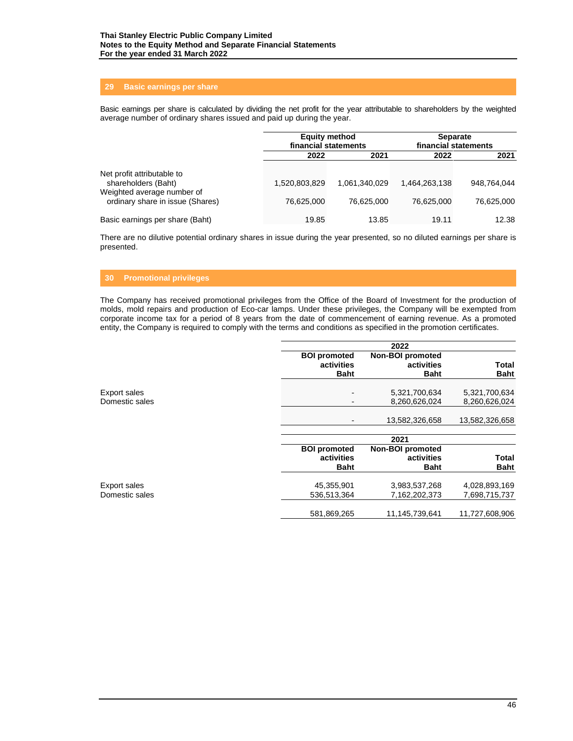# **29 Basic earnings per share**

Basic earnings per share is calculated by dividing the net profit for the year attributable to shareholders by the weighted average number of ordinary shares issued and paid up during the year.

|                                                                                 | <b>Equity method</b><br>financial statements |               | <b>Separate</b><br>financial statements |             |
|---------------------------------------------------------------------------------|----------------------------------------------|---------------|-----------------------------------------|-------------|
|                                                                                 | 2022                                         | 2021          | 2022                                    | 2021        |
| Net profit attributable to<br>shareholders (Baht)<br>Weighted average number of | 1,520,803,829                                | 1,061,340,029 | 1,464,263,138                           | 948.764.044 |
| ordinary share in issue (Shares)                                                | 76,625,000                                   | 76,625,000    | 76.625.000                              | 76,625,000  |
| Basic earnings per share (Baht)                                                 | 19.85                                        | 13.85         | 19.11                                   | 12.38       |

There are no dilutive potential ordinary shares in issue during the year presented, so no diluted earnings per share is presented.

# **30 Promotional privileges**

The Company has received promotional privileges from the Office of the Board of Investment for the production of molds, mold repairs and production of Eco-car lamps. Under these privileges, the Company will be exempted from corporate income tax for a period of 8 years from the date of commencement of earning revenue. As a promoted entity, the Company is required to comply with the terms and conditions as specified in the promotion certificates.

|                                       |                                                  | 2022                                                 |                                |
|---------------------------------------|--------------------------------------------------|------------------------------------------------------|--------------------------------|
|                                       | <b>BOI</b> promoted<br>activities<br><b>Baht</b> | <b>Non-BOI</b> promoted<br>activities<br><b>Baht</b> | Total<br><b>Baht</b>           |
| <b>Export sales</b><br>Domestic sales |                                                  | 5,321,700,634<br>8,260,626,024                       | 5,321,700,634<br>8,260,626,024 |
|                                       |                                                  | 13,582,326,658                                       | 13,582,326,658                 |
|                                       |                                                  | 2021                                                 |                                |
|                                       | <b>BOI</b> promoted<br>activities<br><b>Baht</b> | Non-BOI promoted<br>activities<br><b>Baht</b>        | <b>Total</b><br><b>Baht</b>    |
| <b>Export sales</b><br>Domestic sales | 45,355,901<br>536,513,364                        | 3,983,537,268<br>7,162,202,373                       | 4,028,893,169<br>7,698,715,737 |
|                                       | 581,869,265                                      | 11,145,739,641                                       | 11,727,608,906                 |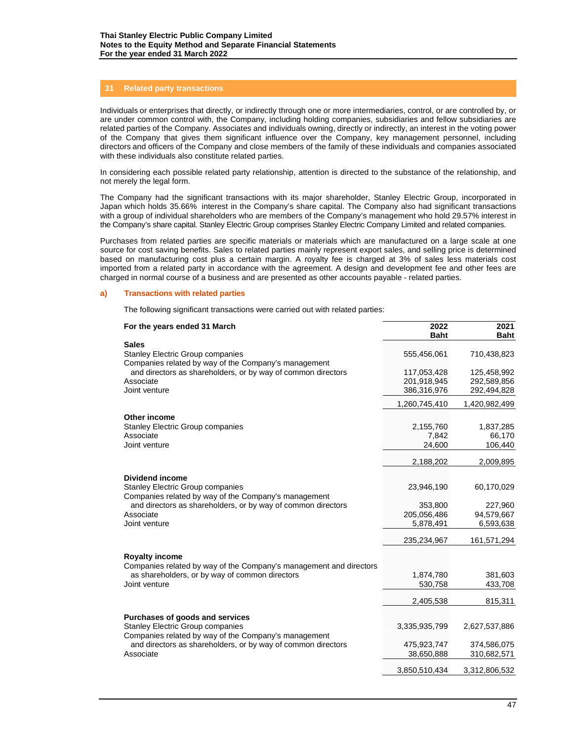# **31 Related party transactions**

Individuals or enterprises that directly, or indirectly through one or more intermediaries, control, or are controlled by, or are under common control with, the Company, including holding companies, subsidiaries and fellow subsidiaries are related parties of the Company. Associates and individuals owning, directly or indirectly, an interest in the voting power of the Company that gives them significant influence over the Company, key management personnel, including directors and officers of the Company and close members of the family of these individuals and companies associated with these individuals also constitute related parties.

In considering each possible related party relationship, attention is directed to the substance of the relationship, and not merely the legal form.

The Company had the significant transactions with its major shareholder, Stanley Electric Group, incorporated in Japan which holds 35.66% interest in the Company's share capital. The Company also had significant transactions with a group of individual shareholders who are members of the Company's management who hold 29.57% interest in the Company's share capital. Stanley Electric Group comprises Stanley Electric Company Limited and related companies.

Purchases from related parties are specific materials or materials which are manufactured on a large scale at one source for cost saving benefits. Sales to related parties mainly represent export sales, and selling price is determined based on manufacturing cost plus a certain margin. A royalty fee is charged at 3% of sales less materials cost imported from a related party in accordance with the agreement. A design and development fee and other fees are charged in normal course of a business and are presented as other accounts payable - related parties.

#### **a) Transactions with related parties**

The following significant transactions were carried out with related parties:

| For the years ended 31 March                                                                    | 2022<br><b>Baht</b>        | 2021<br><b>Baht</b>        |
|-------------------------------------------------------------------------------------------------|----------------------------|----------------------------|
| <b>Sales</b><br><b>Stanley Electric Group companies</b>                                         | 555,456,061                | 710,438,823                |
| Companies related by way of the Company's management                                            |                            |                            |
| and directors as shareholders, or by way of common directors<br>Associate                       | 117,053,428<br>201,918,945 | 125,458,992<br>292,589,856 |
| Joint venture                                                                                   | 386,316,976                | 292,494,828                |
|                                                                                                 | 1,260,745,410              | 1,420,982,499              |
| Other income                                                                                    |                            |                            |
| <b>Stanley Electric Group companies</b>                                                         | 2,155,760                  | 1,837,285                  |
| Associate<br>Joint venture                                                                      | 7,842<br>24,600            | 66,170<br>106,440          |
|                                                                                                 |                            |                            |
|                                                                                                 | 2,188,202                  | 2,009,895                  |
| <b>Dividend income</b>                                                                          |                            |                            |
| <b>Stanley Electric Group companies</b><br>Companies related by way of the Company's management | 23,946,190                 | 60,170,029                 |
| and directors as shareholders, or by way of common directors                                    | 353,800                    | 227,960                    |
| Associate<br>Joint venture                                                                      | 205,056,486                | 94,579,667                 |
|                                                                                                 | 5,878,491                  | 6,593,638                  |
|                                                                                                 | 235,234,967                | 161,571,294                |
| <b>Royalty income</b>                                                                           |                            |                            |
| Companies related by way of the Company's management and directors                              |                            |                            |
| as shareholders, or by way of common directors                                                  | 1,874,780                  | 381,603                    |
| Joint venture                                                                                   | 530,758                    | 433,708                    |
|                                                                                                 | 2,405,538                  | 815,311                    |
| Purchases of goods and services                                                                 |                            |                            |
| <b>Stanley Electric Group companies</b>                                                         | 3,335,935,799              | 2,627,537,886              |
| Companies related by way of the Company's management                                            |                            |                            |
| and directors as shareholders, or by way of common directors<br>Associate                       | 475,923,747<br>38,650,888  | 374,586,075<br>310,682,571 |
|                                                                                                 |                            |                            |
|                                                                                                 | 3,850,510,434              | 3,312,806,532              |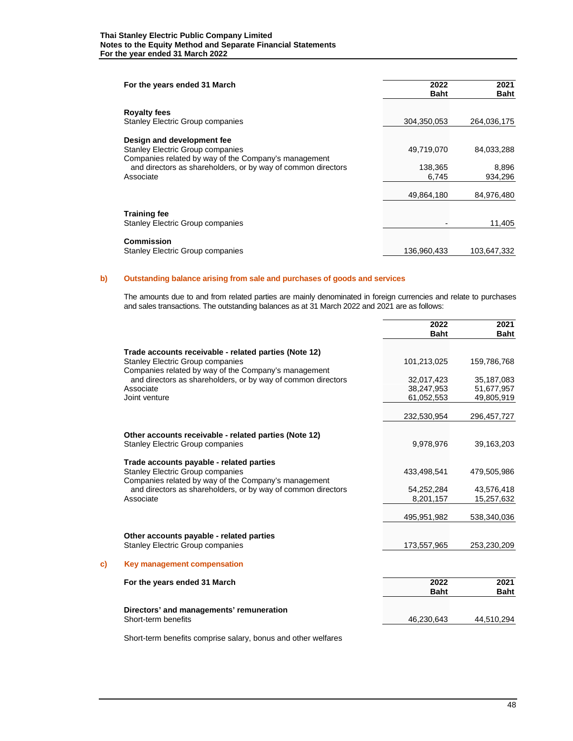| For the years ended 31 March                                                                                         | 2022<br><b>Baht</b> | 2021<br><b>Baht</b> |
|----------------------------------------------------------------------------------------------------------------------|---------------------|---------------------|
| <b>Royalty fees</b>                                                                                                  |                     |                     |
| <b>Stanley Electric Group companies</b>                                                                              | 304,350,053         | 264,036,175         |
| Design and development fee                                                                                           |                     |                     |
| <b>Stanley Electric Group companies</b>                                                                              | 49,719,070          | 84,033,288          |
| Companies related by way of the Company's management<br>and directors as shareholders, or by way of common directors | 138,365             | 8,896               |
| Associate                                                                                                            | 6,745               | 934,296             |
|                                                                                                                      | 49.864.180          | 84,976,480          |
|                                                                                                                      |                     |                     |
| <b>Training fee</b>                                                                                                  |                     |                     |
| <b>Stanley Electric Group companies</b>                                                                              |                     | 11,405              |
| Commission                                                                                                           |                     |                     |
| <b>Stanley Electric Group companies</b>                                                                              | 136.960.433         | 103.647.332         |

# **b) Outstanding balance arising from sale and purchases of goods and services**

The amounts due to and from related parties are mainly denominated in foreign currencies and relate to purchases and sales transactions. The outstanding balances as at 31 March 2022 and 2021 are as follows:

|                                                                                                 | 2022<br><b>Baht</b> | 2021<br><b>Baht</b> |
|-------------------------------------------------------------------------------------------------|---------------------|---------------------|
| Trade accounts receivable - related parties (Note 12)                                           |                     |                     |
| <b>Stanley Electric Group companies</b><br>Companies related by way of the Company's management | 101.213.025         | 159,786,768         |
| and directors as shareholders, or by way of common directors                                    | 32,017,423          | 35,187,083          |
| Associate                                                                                       | 38,247,953          | 51,677,957          |
| Joint venture                                                                                   | 61,052,553          | 49,805,919          |
|                                                                                                 | 232,530,954         | 296,457,727         |
| Other accounts receivable - related parties (Note 12)                                           |                     |                     |
| <b>Stanley Electric Group companies</b>                                                         | 9,978,976           | 39,163,203          |
| Trade accounts payable - related parties                                                        |                     |                     |
| <b>Stanley Electric Group companies</b><br>Companies related by way of the Company's management | 433,498,541         | 479,505,986         |
| and directors as shareholders, or by way of common directors                                    | 54,252,284          | 43,576,418          |
| Associate                                                                                       | 8,201,157           | 15,257,632          |
|                                                                                                 | 495,951,982         | 538,340,036         |
| Other accounts payable - related parties                                                        |                     |                     |
| <b>Stanley Electric Group companies</b>                                                         | 173,557,965         | 253,230,209         |
| Key management compensation                                                                     |                     |                     |
| For the years ended 31 March                                                                    | 2022                | 2021                |
|                                                                                                 | <b>Baht</b>         | <b>Baht</b>         |
| Directors' and managements' remuneration                                                        |                     |                     |
| Short-term benefits                                                                             | 46,230,643          | 44,510,294          |

Short-term benefits comprise salary, bonus and other welfares